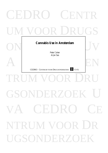# CEDRO CENTR UM VOOR DRUGS Cannabis Use in Amsterdam<br>
Peter Cohen A CEN RUM VOO GSONDERZOE CEDRO NTRUM VOOR DR UGSONDERZO **Cannabis Use in Amsterdam**  *Peter Cohen Arjan Sas* CEDRO CENTRUM VOOR DRUGSONDERZOEK UVA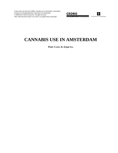Cohen, Peter, & Arjan Sas (1998), *Cannabis use in Amsterdam*. Amsterdam, Centrum voor Drugsonderzoek, Universiteit van Amsterdam. © 1998 Peter Cohen & Arjan Sas. All rights reserved. URL of this document: http://www.cedro- uva.org/lib/cohen.canasd.pdf





# **CANNABIS USE IN AMSTERDAM**

**Peter COHEN & Arjan SAS**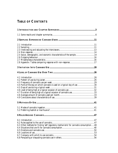# **TABLE OF CONTENTS**

| 2.5 Social, demographic, and economic characteristics of the sample14                  |    |
|----------------------------------------------------------------------------------------|----|
|                                                                                        |    |
|                                                                                        |    |
|                                                                                        |    |
|                                                                                        |    |
|                                                                                        |    |
|                                                                                        |    |
|                                                                                        |    |
|                                                                                        |    |
| 4.4 Parts of the day on which cannabis is used on a typical day of use 30              |    |
|                                                                                        |    |
|                                                                                        |    |
|                                                                                        |    |
|                                                                                        |    |
|                                                                                        |    |
|                                                                                        |    |
|                                                                                        |    |
|                                                                                        |    |
|                                                                                        |    |
| <b>6 RULES AROUND CANNABIS.</b>                                                        | 47 |
|                                                                                        |    |
|                                                                                        |    |
| 6.3 Other methods for finding 'self regulatory mechanisms' for cannabis consumption 48 |    |
|                                                                                        |    |
|                                                                                        |    |
| 6.6 Locations of use                                                                   |    |
|                                                                                        |    |
|                                                                                        |    |
|                                                                                        |    |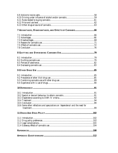| 10.6 Some other reflections and speculations on 'dependence' and the need for |  |
|-------------------------------------------------------------------------------|--|
|                                                                               |  |
|                                                                               |  |
|                                                                               |  |
|                                                                               |  |
|                                                                               |  |
|                                                                               |  |
|                                                                               |  |
|                                                                               |  |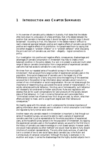### <span id="page-4-0"></span>**1 INTRODUCTION AND CH APTER SUMMARIES**

In his overview of cannabis policy debates in Australia, Hall states that the debate often boils down to a discussion of a false antithesis, that is the debate between the position that cannabis is harmless (ergo it should be legal) or harmful (ergo it should be banned) $^1$ . According to Hall, this reduction in the debate makes it difficult to reach a balanced appraisal between positive and negative effects of cannabis use and the positive and negative effects of its prohibition. He paraphrases Room by saying that one either engages in "problem inflation" or in "problem deflation" when discussing the pro's and con's of cannabis use, and their – allegedly – logical connections to policy.

Our investigation into positive and negative effects, consequences, disadvantages and advantages of cannabis consumption in Amsterdam may help to create a more balanced condition in the policy debate. Our aim is to present a wide and multi sided range of data on cannabis consumption from a large sample of experienced cannabis users who had had access to cannabis for a very long time.

We knew from our repeated series of household surveys in the municipality of Amsterdam $^2$ , that we would find a large number of experienced cannabis users in the population. Since social disapproval of cannabis use in the largest city of the Netherlands is declining for a fairly long time (since the beginning of the seventies) we would be in the position to tap information about cannabis use as it occurs in a context of non criminalisation or social marginalisation. We can not stress enough the importance of researching drug use outside the social context of marginalisation. If a society ostracises particular behaviour, like drug use or homosexuality, such behaviour will necessarily be constrained to hidden subcultures. Rules and regulations will develop that are for a part compensations for (and products of) the socially deviant status of that behaviour. In *Crack in America* Reinarman and Levine state that a "criminalized context has influenced how illicit drugs are used, by whom, what their effects are taken to mean, and to a significant degree even their behavioural consequences."<sup>3</sup>

We heartily agree with this remark, and it underscores the immense importance of getting information about cannabis use in a situation *in which consumption is not hidden and regulated by fairly normal social controls.*

Another reason why cannabis research in Amsterdam is important is, that through our series of household surveys, we would be able to reach a sample of experienced cannabis users that is just as representative for the whole population of experienced users, as the household survey sample is for the population of Amsterdam. By tapping the experienced cannabis users in the household sample, we would for the first time in the history of cannabis use create knowledge on a non biased sample. However careful one would make samples via other methods<sup>4</sup> one would never be able to fully discard intuitions of uncertain representativity. The only other study we know, of users that live in a context of low to zero social taboo about cannabis use, is the Rubin and Comitas study of Jamaican consumers.<sup>5</sup> Although this study is exemplary in its erudition and scope, it carries the disadvantage that the highly studied subjects live in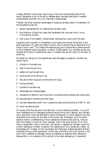a totally different culture than users living in the more industrialised parts of this world. Because so much of the policy debates about cannabis take place in western industrialised countries, this is an important disadvantage.

Therefor the three important advantages of studying cannabis users in Amsterdam via the household survey are:

- 1. sample representativity for experienced cannabis users,
- 2. the collection of data from users that developed their use over time in a non criminalizing context,
- 3. that is part of the western industrialised cosmopolitan culture and life style.

Experience with cannabis in Amsterdam is not higher than almost 30 percent of the adult population (12 years and older) of which only 43 percent has an experience of 25 times of use or over.<sup>6</sup> This means that experienced use is constrained to twelve percent of the Amsterdam adult population, or about 72,000 people. Our cannabis survey was directed at this pool of experienced users. In chapter two we will return to the topic of sampling.

We asked our sample of 216 experienced users 69 pages of questions, divided into twelve topics:

- 1. initiation of cannabis use,
- 2. level of use through time,
- 3. patterns of use through time,
- 4. quitting and diminishing of use,
- 5. the use of other drugs and combinations of drugs,
- 6. buying cannabis,
- 7. contexts of cannabis use,
- 8. advantages and disadvantages,
- 9. prevalence of effects of use (more than a hundred potential effects are mentioned),
- 10. attitudes about cannabis and other users,
- 11. cannabis dependence both from a subjective angle and according to DSM-IV, and
- 12. use of cannabis at work.

Of course, what the risks are of cannabis use, is not an objective problem. It is up till now a battleground for ideological positions around drug use in general, and cannabis use in particular. Risks are definable in terms of behaviour or social relations, but also as physical functioning, till the level of the human cell. Nowadays, with the recent advance made in understanding of how substances influence brain activity, risks are often formulated in terms of 'brain damage'. Each time some activity of an illicit drug is recognised in part of the brain, this activity is labelled as 'damage' under the current ideological climate. Hopefully this labelling will be a temporary matter, as knowledge will increase. As the neurologist and Parkinson disease specialist Wolters remarked during a small symposium on the risks of MDMA use, much activity in the brain that is labelled as 'damage' should be labelled as 'adaptive brain behaviour' because their is no evidence of this activity to be really damaging or irreversible.<sup>7</sup>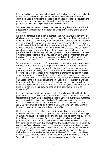In our cannabis survey we could not ask anything that relates to risks on the level of the human cell, or the level of organs within the human body. But, as the careers of experienced users in Amsterdam appeared to be ten years or longer, the structure and openness of our questionnaire would allow tapping information on at least some physiological risks if our respondents would have noticed them.

We have to take into account however, that users normally do not interpret their risk perceptions in terms of organ malfunctioning, unless such malfunctioning is highly perceivable.

Risks of substance use is easier seen in terms of one's own behaviour and in terms of effects on the micro cosmos of the user, which is more the type of risks we dealt with in the structured part of our survey. How to measure the prevalence and relevance of all possible health related phenomena is an unsolved problem, one of the reasons why scientific research is of limited value to international drug policy. It is more of value to national drug policies, where more restricted and homogeneous notions of health and of problems with health are defined. Research can clarify local impacts on predefined health risks by doing rigid and systematic comparative research between different cities or regions as we are now projecting in Bremen, Amsterdam and San Francisco. Of course, we are light years away from balanced multi-disciplinary calculations of the costs and benefits of drug use in different cultural contexts.

When speaking about the notion of risk, we have to measure the negative side of some behaviour against its positive yield or potential. The risk of breaking a leg during skiing is huge when compared to the risk of breaking ones leg during a walk in the park. But, we accept some high risks if the benefits of the behaviour are high as well. So, few skiers will, on the basis of risk assessment, exchange the excitement of their skiing for walking in the park. Risk is a rather complicated topic for research or for policy, because there is no immediate way of doing aggregate cost-benefit analyses on drug use or on the cost benefit calculations drug users make for themselves. We also have to deal with the dominant ideological climate around drug use in which the notion of drug use having benefits is far from accepted. And, when substance use does bring about some risks, just as skiing does, do these risks have to labelled as unacceptable?<sup>8</sup>

In our questionnaire we did not include questions that allow good insight into these processes of cost benefit comparison, as it goes on in experienced cannabis users. This topic lends itself much more to qualitative research until well quantifiable hypotheses can be formulated. However, we did collect information on reasons for use, for quitting cannabis, for diminishing use level and on how users control their use by applying many types of rules. This information allows some fairly detailed insight into what is seen as costs by users, and what as benefits.

Health is not an objective entity, so what we in Amsterdam consider healthy or unhealthy, may reflect in the wording of our questionnaire. It also reflects in the type of answers we get, so to a certain extent even our outcomes are determined by our local bias. This can not be prevented. Every questionnaire is a reflection of political or professional preoccupations.<sup>9</sup> Sociologists will ask completely different questions than psychologists, and again than psychiatrists. One can observe this very nicely in the enormous difference between the topics of the recent Kleiber et al study of cannabis users in Germany<sup>10</sup>, and our own. Kleiber lives in a political and professional world in which psychological and psychiatric questions are considered relevant (although Kleiber is critical of a 'deviance orientation' in this area<sup>11</sup>). This means that relevant questions about health are operationalised in terms of scores on psychological scales. We omitted such scales. In our user survey we opened the possibility for each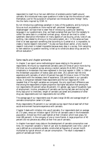<span id="page-7-0"></span>respondent to insert his or her own definition of problems and/or health around cannabis. We introduced many open questions in order to tap into the notions of users themselves. Just for the purpose of comparison we introduced some 'foreign' items, like the items inspired by DSM-IV.

By not introducing a pathology paradigm in many of the questions, and by trying to focus as much as possible on more neutral self- perceived "advantages and disadvantages" we have tried to steer free of introducing a particular labelling language in our questionnaire. Also, we freed ourselves that way from the necessity to collect the same data in a matched contrast group. Above all we tried to collect systematic descriptive information on many aspects of use (buying, prices, rules of use, quitting, risks related to driving or to the justice system, etc.). In this sense we have tried to at least approach something that according to Quensel et al. is impossible, to create a 'neutral research instrument<sup>'. 12</sup> As also we have shown earlier, a fully neutral research instrument is indeed impossible because every step in a survey, from sampling to item selection to question wording, is tied up to constructs about drug use and its ethical evaluation.<sup>13</sup>

#### *Some results and chapter summaries*

In chapter 2 we report some methodological issues relating to the sample of respondents. We found our experienced cannabis users (25 times of use or more during life time) via a household survey among a random sample (N=4,363) of those inhabitants in Amsterdam that were registered in the local register in 1994. In 1994 of the Amsterdam population of twelve years and older, 29.2 percent had life time experience with cannabis, of which 43 percent has used 25 times or more. Of the 536 respondents with the necessary level of experience, 216 participated in our cannabis survey. A comparison between these respondents and the non response  $(N= 319)$ revealed that of the eight variables we compared, the only significant difference was that among the respondents a higher proportion has higher education than among the non respondents (45 percent versus 36 percent). On gender, age, type of household, type of employment, income, prevalence of cannabis use (during last year and during last thirty days prior to interview), length of cannabis use career and prevalence of other drug use, respondents and non respondents did not differ.

The average age of our respondents was 34 years (range 18-66) and average length of cannabis consumption career is 14 years.

Many respondents (76 percent) in our cannabis survey report that at least half of their social environment has some experience with cannabis.

Chapter 3 deals with initiation into use of cannabis. Our respondents start on average at 17.0 years, versus an initiation age of 19.8 for all cannabis users in the Amsterdam population. Almost two third used hashish at their initiation which took place, for most (88 percent), in the company of one or more friends. A large proportion of 40 percent did not perceive any effect at their first use of cannabis.

In chapter 4 we report many data on the development of cannabis consumption over time. An important variable is 'level of use' and its development over time. Level of use is defined as a composite variable, constructed as frequency of use per month multiplied by typical amount of use per consumption. The result is expressed in grams of cannabis per month.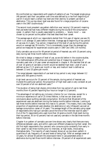We confronted our respondents with graphs of patterns of use. The largest single group (48 percent) said their use pattern over time was defined by a rise from beginning of use till it would reach a certain top level and then decline, to present use level or abstinence. This up-top-down level was also found for a large proportion of cocaine users in the 1987 cocaine study.<sup>14</sup>

The second most prevalent use pattern definition was 'varying' (24 percent) meaning that use levels had had many different heights during the course of the consumption career. A pattern that is usually associated to problems — 'slowly more' — was chosen by six percent as the pattern that best described their career.

The average age at which our respondents started their first year of regular use was 19, which is on average 15 years before interview. Average age at beginning of top period of use was 21.4 years. Top period, irrespective of the level of use during this period, would on average last 39 months. This is considerably longer than the average top period we measured for experienced cocaine users in 1987 and 1991 (19 months).

Daily cannabis use occurs for 49 percent at period of heaviest use, with 10 percent using daily during last three month before interview.

We tried to design a measure of level of use, as we did before in the cocaine studies. The methodological difficulties and potential bias of measuring quantities of cannabis used over a 14 year career are explained in chapter 4. We decided that all use of over 10 grams of cannabis a month would be labelled high level. Level of use is defined as low if 2.5 grams per month or less, and medium level is defined as between 2.5 and 10 grams per month.

The range between respondents of use level at top period is very large: between 0.2 grams and 300 grams a month.

High level use occurs for 33 percent of the sample, during period of heaviest use. Outside this particular period, the proportion of high level users is very constant at just over 10 percent of all non abstinent users.<sup>15</sup>

The duration of being high sharply diminishes from top period of use to last three months (from 41 percent reporting four hours or longer to 12 percent).

The advantage of not setting any inclusion criterion for our interview, except for a minimum experience of use of 25 times lifetime, is that we can draw some conclusions about quitting cannabis consumption. We found that 38 percent of the experienced users are abstinent during the twelve months before interview. Looking at last three months before interview this rises to 51 percent. This means, that a very large proportion of experienced users develop into abstinence or very infrequent use over an average consumption career of 14 years. The average length of the cannabis using career of respondents who had quit cannabis use at the time of the interview was 9.6 years.<sup>16</sup> Out of the 71 respondents who used more than 10 grams a month (high level) during their top period, 30 (or 42 percent) had not used any cannabis in the last three months before interview.

Chapter 4 on pattern of cannabis use over time shows very clearly that there are many differences between users, and within users over different phases during their career. We did find eight respondents (four percent) who consume quite constantly from early in their career to last three months prior to interview, at high levels, intoxicating themselves daily. The majority of users however shows an up-top-down pattern in quantities of use, frequency of use and levels of being high. After an average career of 14 years, for almost 50 percent this downward trend in use parameters ends in abstinence during last three month before interview. 29 percent of all experienced users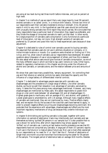are using at low level during last three month before interview, and just six percent at high level.

In chapter 5 on methods of use we report that a very large majority (over 90 percent) smokes cannabis in so called 'joints', in a mixture with tobacco. Almost two third of our respondents want their cannabis moderate to strong in strength. Only 30 percent wants it mild to very mild. In the hypothetical case that users would be confronted with unusually strong cannabis two third report they would use less. We concluded that many respondents have a particular level of intoxication they regard as preferable, and they titrate the dosage of consumed cannabis to reach just that level. In other words, for a large proportion of cannabis users consumption is only functional at a particular level of intoxication, not less, not more. High strength variants of cannabis are preferred by 33 percent and pose little risks to these experienced users because of dose adjustment.

Chapter 6 is dedicated to rules of control over cannabis use and to buying cannabis. We assumed that cannabis users do not use in arbitrary situations or company, or in indiscriminate locations or moods. Our questions were directed on finding out if this is true, and if so, what rules of cannabis use our respondents have developed. We asked questions about dissuasion of use or encouragement of others, and how this is steered. We also asked what advice users would give novices of cannabis consumption, as one of the many different ways in which we tried to tap users' notions on rules. Other topics, related to regulatory mechanisms in this chapter are driving under the influence of alcohol and cannabis, or cannabis alone, and the relation between price and amounts of use.

We show that users have many possibilities, 'sensory equipment', for controlling their use and that reliance on external controls too easily dismisses the capacity and the influence of a large battery of differentiated internal controls.

Chapter 7 is dedicated to advantages people associate with cannabis use, disadvantages and the prevalence of a large range of effects. Like other cannabis studies, we found as well that relaxation is an advantage of cannabis, perceived by many. It takes the first place among many advantages mentioned. However, very many disadvantages are mentioned by these users. We asked respondents to grade illicit drugs on a ten point scale between 'all advantages (10) and all disadvantages (1). Highest grade goes to marihuana, with an average of 6.5, and alcohol, with grade 6.1. Lowest grade goes to amphetamine, with 2.8 average. Although many negative effects of cannabis are mentioned, they are not mentioned by many. Positive effects clearly lead, and we explain this by the success of the rules that users have learned to apply, in order to prevent negative effects occurring and disadvantages becoming dominant. We postulate that the experience with advantages, disadvantages and effects are the most important regulatory mechanisms of drug use because they underlie individual rule systems.

In chapter 8 diminishing and quitting cannabis is discussed, together with some information on periods of abstinence. Users may intentionally quit cannabis and see themselves as having 'quitted'(36 persons in our sample) but it is also possible that no use is shown for some time, after which respondents may simply appear to have 'drifted' out of cannabis use. Looking at last twelve months prevalence we see that 83 respondents have not consumed any cannabis. A large part of them (57 percent) reports it will use in the future or is insecure about future use. Non use is most often explained by our respondents as 'no need for it' or 'don't feel like it'. Periods of abstinence of longer than one month occurred more than five times during the career for 59 percent of the sample. The longest period of abstinence lasts on average 18.8 months. Besides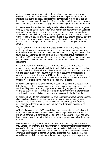quitting cannabis use, or being abstinent for a certain period, cannabis users may decide to cut back on their use. Of our respondents, 86 (40 percent of the sample) indicated that they deliberately decreased their cannabis use at some point during their cannabis using career. A minority (15 respondents) reports to have had problems with diminishing their use level, ranging from mood swings to drinking more alcohol.

In chapter 9 we discuss other drug use by experienced cannabis users. Other drugs are tried by at least 65 percent during life time. Frequent and recent other drug use is less prevalent. The number of experienced cannabis users in our sample that reports over 100 times of other illicit drug use, is small. Largest number of 100 times and more users is found with powder cocaine, 32 persons out of all 103 cocaine users (32 percent) or 15 percent of all experienced cannabis users in the sample. Hundred times of use or more for opiates during life time is reported by eight persons, four percent of the sample.

There is evidence that other drug use is largely experimental, in the sense that at relatively early age other substances are tried, but discontinued after a certain period of experimentation. Some cannabis users consume other illicit drug with cannabis. We found that 38 persons (18 percent) have experience with intravenous methods of drug use, of which 21 persons with multiple drugs. Most often mentioned are tranquillisers (11 respondents), morphine (10 respondents), cocaine (6 respondents) and heroin (3 respondents).

Chapter 10 deals with 'dependence'. A list of problem behaviours was read to respondents as an operationalisation of the strength of attraction that cannabis can have for users. We show that criminal and deviant behaviour which is attributed to cannabis use does occur, but not very frequent. Also, we asked about the prevalence of six criteria of 'dependence' taken from DSM-IV. No prevalence of any criterion is reported by 39 percent. One or two criteria are reported by 37 percent. Prevalence of three or more criteria during life time is reported by 24 percent.

Nineteen users report to have ever considered asking for some form of assistance to help them manage their cannabis use. These nineteen users are examined on a number of variables. They show remarkably high levels of use during top period. However, during last twelve months their use is not different from other users. In the conclusion some thoughts are offered about prudent use of diagnostic tools like DSM-IV.

In chapter 11 we offer some data regarding drug policy preferences of our respondents, about legal complications that users experienced, and some common 'gateway' functions of cannabis. We found that six percent of respondents prefer less liberal policies in the Netherlands for cannabis. Just over one third wants cannabis to be regulated like alcohol.

Of the 216 respondents, 212 (98 percent) had never been arrested in the Netherlands for the use or possession of cannabis. Looking only at respondents who actually have life time experience with other drugs, we still find that 93 percent of them had never been arrested or convicted in the Netherlands for use or possession of other drugs than cannabis.

Most respondents deny a role of cannabis in their use of other drugs in the sense that they want to acquaint themselves with 'stronger' substances or that cannabis made them curious for other drugs. However, cannabis use as a social activity occurs among drug users in general, and just over half of our respondents report to have learned to know other drug users via users of cannabis. Cannabis users are far more outgoing than non cannabis users, so their chance to see and meet other drug users is much larger than of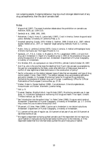non outgoing people. Outgoing behaviour may be a much stronger determinant of any drug use experience, than the use of cannabis itself.

#### *Notes*

- $1$  Wayne Hall (1997), The recent Australian debate about the prohibition on cannabis use. *Addiction*, 92(9), pp. 1109-1115.
- 2 Sandwijk et al., 1988, 1991, 1995.
- <sup>3</sup> Reinarman, Craig & Harry G. Levine (eds.) (1997), *Crack in America. Demon drugs and social justice*. Berkeley: University of California Press. p. 8.
- 4 Snowball sampling: Goode, 1970; Kleiber & Soellner, 1998; Didcott et al., 1997; referral studies: Stefanis et al., 1977, or 'reasoned' target sampling methods: Rubin & Comitas, 1975.
- 5 Rubin, Vera, & Lambros Comitas (1975), *Ganja in Jamaica. A medical anthropological study of chronic marihuana use.* The Hague: Mouton & Co.
- 6 Sandwijk, J.P., P.D.A. Cohen, S. Musterd & M.P.S. Langemeijer (1995*), Licit and illicit drug use in Amsterdam II: Report of a household survey in 1994 on the prevalence of drug use among the population of 12 years and over*. Amsterdam: Department of Human Geography, University of Amsterdam.
- 7 Eric Wolters, MD, at a symposium on risks of MDMA, Jellinek Centre October 29, 1997.
- <sup>8</sup> And if so, who is the one that does the labelling? And if such risks are seen as acceptable by the user but unacceptable by the State, under what definition of State power does such a conflict of view legitimise a State dominance in the construction of policy?
- $^{\circ}\,$  See for a discussion on the relation between types of data that are requested, and type of drug control system: Cohen, Peter (1997), The relation between drug use prevalence estimation and policy interests. In: European Monitoring Center for Drugs and Drug Addiction, *Estimating the prevalence of problem drug use in Europe.* Luxembourg: Office for Official Publications of the European Communities. pp. 27-34.
- <sup>10</sup> Kleiber, Dieter & Renate Soellner (1998)*, Cannabiskonsum. Entwicklungstendenzen, Konsummuster und Risiken*. Weinheim: Juventa Verlag.
- $11$  Ibid. p. 9.
- <sup>12</sup> Quensel, Stephan, Birgitta Kolte & Ingo Michels (1997), Monitoring cannabis use: A case study. In: *Invitational conference on monitoring illicit drugs and health. Final report.* Utrecht: Trimbos Instituut. pp. 95-105.
- <sup>13</sup> See "Introduction into the author's bias." In: Peter Cohen (1990), *Drugs as a social construct*. [Amsterdam: Department of Human Geography, University of Amsterdam. pp. 1-7. Online:](http://www.cedro-uva.org/lib/cohen.drugs.i.html) http://www.frw.uva.nl/cedro/library/dis/I.html
- 14 39 percent, cf Cohen, Peter (1989), *Cocaine use in Amsterdam in non deviant subcultures*. Amsterdam: Department of Human Geography, University of Amsterdam.
- 15 11.1 percent at first year of regular use, 10.4 percent at last year of use, and 10.9 percent at last three months of use.
- $16$  We regard a respondent as having quitted cannabis use if the respondent did not report any use of hashish or marijuana during the last twelve months prior to the interview, or if the respondent stated that he or she had totally quitted the use of marijuana or hashish.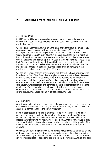## <span id="page-12-0"></span>**2 SAMPLING EXPERIENCED CANNABIS USERS**

#### *2.1 Introduction*

In 1995 and in 1996 we interviewed experienced cannabis users in Amsterdam, Utrecht and Tilburg. In this publication we will discuss results obtained from the Amsterdam sample.

We will describe cannabis use over time and other characteristics of the group of 216 experienced cannabis users of which most were interviewed in 1995. In our investigation we focused on the experienced user and not on 'any user' because we wanted to examine in depth many aspects of cannabis use, something that would be hard or impossible if we would interview users that had had only fleeting experience with the substance. We defined experienced users as those who reported to have had at least 25 occasions of use during life time. Of all cannabis users in the city of Amsterdam, 43.7 percent reaches a life time experience of 25 occasions of use. The majority (56.3 percent) of those who ever had tried hashish or marijuana in the Amsterdam population, used it less than 25 times.

We applied the same criterion of 'experience' with the first 160 cocaine users we had interviewed in 1987. $^1$  We found that by applying the criterion of 'at least 25 occasions of use' we sampled highly experienced users that were able to supply a wealth of information about their use over time. We did not work with any other inclusion criterion (like 'current use'), because we wanted to find out, as we did for experienced cocaine users, what proportion of experienced cannabis users are abstinent at the time of interview. Expressing valid observations about abstinence and other career characteristics over time would be made impossible or unclear if we had introduced criteria about current use or maximum periods since current use.

#### *2.2 Sampling*

Our aim was to interview in depth a number of experienced cannabis users, sampled in such a way that we would be able to generalise from the findings to the population of experienced cannabis users in the city of Amsterdam.

Some of the best studies on cannabis users still suffer from the fact that we do not exactly know how representative the samples are for what type of users. $^2$  Of course random sampling from populations that are not registered or structured in some accessible way is extremely difficult, if not impossible. Although very valuable, such studies are limited in relevance because no certainty can exist about the question if the findings from those studies are generalisable to groups of users outside the one observed.

Of course, studies of drug users not always have to be representative. Empirical studies of drug users will more or less describe the populations from which their respondents are drawn. Even if generalisability in the statistical sense is not possible, such studies can fill important gaps of explorative and even in depth knowledge. And, as long as is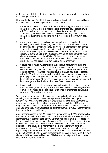understood well that these studies can not fulfil the desire for generalisable results, not much damage can be done.

However, in the case of all illicit drug use and certainly with relation to cannabis use, representativity still is very important for a number of reasons.

- 1. In Amsterdam cannabis is the most important illicit drug<sup>3</sup>, where experience with cannabis use is available with almost one third of the total adult population, and with 50 percent of the age group between 20 and 24 years old. $^4\,$  Under such circumstances, one would like to know in a generalisable way, what dominant cannabis use careers one can find and what they look like in a community based sample.
- 2. In Amsterdam cannabis is available from a number of semi legal outlets, numbering just a few in the early eighties, to about 400 in April 1996. From a drug political point of view, one should have reliable knowledge of how cannabis is used in the population under circumstances of full and non criminalised availability. A good, representative overview is needed in order to reach some certainty as to the 'effects' of this availability. Of course, the best way to reach relevant knowledge about the 'effects' of this availability, is to compare the Amsterdam patterns of cannabis use with those in other cities where such availability does not exist. Such a comparison is now under way.<sup>5</sup>
- 3. Much related to reason #2, is that once an illicit drug has outgrown small and hidden populations, and has accessed the general population as cannabis has done in most European cities, the study of hidden groups is no longer adequate. In many countries cannabis is the most important drug of pleasure after alcohol, tobacco and  $\rm{cofree.}^6$  The total lack of in-depth knowledge on patterns of cannabis use in the general population is a significant factor in the stubbornness of many fears around the use of this substance. Studies on cannabis use in representative groups may yield the knowledge to either firmly confirm these fears, or ease them.
- 4. If representativity, at least for a known group of specific characteristics, is not the aim of an investigation on drug use, it will remain unclear if some alleged effects of drug use are related to the sub group investigated or are more or less universal for all users of the particular substance.

We decided that we would use the popularity of cannabis to achieve a fully random sampling of our respondents by connecting the cannabis study to our population survey. $^7$  The 1995 Amsterdam sample of experienced cannabis users was created by using respondents from the population survey we had conducted in 1994 to measure drug use in the population of Amsterdam of 12 years and older. In order to measure drug use in the population we accessed a nett random sample of 4,363 persons that was taken from the Municipal Registry.<sup>8</sup>

Among the respondents in the 1994 population survey we found 1,272 persons who had used hashish or marihuana at least once in their lifetime. This is 29.2 percent of the response group of the population survey. Research into cannabis use is only possible if the respondents have a certain level of experience. We decided that an intake criterion of a life time prevalence of cannabis use of 25 occasions or more would suffice to participate in the survey. This meant that of the 1,272 persons with a life time prevalence of cannabis, 709 did not have enough experience to be recruited for our in depth survey. Another 28 persons with a life time prevalence of cannabis did not know or did not want to tell us how many times they used cannabis in their life, so they were also excluded from the cannabis survey. This left us with 535 potential respondents who satisfied the entry criterion.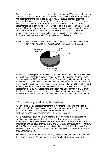<span id="page-14-0"></span>We had asked all users of cannabis that were found during the 1994 household survey in Amsterdam to sign a consent form that allowed us to keep the address and to invite the respondent for the cannabis follow up survey. Of the 535 cannabis users who reported life time prevalence of at least 25 occasions of cannabis use, 250 persons were willing to participate in the cannabis survey. In 1995 we sent all 250 potential respondents a letter, reminding them they had filled in a consent form for follow-up research. Moreover, the letter announced that an interviewer would contact them a week after receipt of the letter to make an appointment. In the letter we offered the respondents a voucher for a movie, a book, or a compact disc, and asked them to indicate to the interviewer which of the three they would choose.

**Figure 2.1** Response compared to the total number of respondents in the population survey who reported life time prevalence of cannabis use  $(N=1,272)$ .



Ultimately we managed to track down and interview during the years 1995 and 1996 a total of 216 persons. This gives us a response rate of 40.5 percent. We interviewed 205 respondents in 1995, and eleven in 1996. The remaining 34 persons could not be interviewed. They refused us an interview despite their earlier promise to participate (six persons), or could not be traced due to moving to an unknown address (16 persons) or a long stay abroad (five persons). Despite our efforts, four persons could not be reached for an interview. Furthermore, one person was suffering from AIDS and was too ill to be interviewed, and one person had died. In one case we decided not to interview a respondent because he indicated that he had never used cannabis in his life.

#### *2.3 Interviewing and educating the interviewers*

We employed 24 experienced interviewers, that were introduced into the research project and into the interview and its secrets in a one day course. The interviewers were not paid for attending the introduction class, but for Dutch standards they were very well paid for each completed interview ( $f100,$ - $^9$  per interview).

We discussed each question plenary, allowing the interviewers to ask questions on wording, order and routing. This discussion resulted in several last minute improvements to the questionnaire. We required of every interviewer that he or she interviewed one colleague interviewer, and one experienced cannabis user from her own circles. These test interviews were checked and discussed with the interviewer. This way we achieved that each interviewer knew the interview schedule quite well before they went into the field.

On average an interview took 1.5 hours to complete. Maximum number of interviews by one interviewer was 15, minimum was two. Two hundred interviews were done at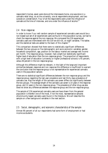<span id="page-15-0"></span>respondent's homes, seven were done at the interviewers home, one was done in a cannabis retail shop, six at the university, one at respondents employment, and two outside on a street bench. Four of all the respondents were under the influence of cannabis at the time of interview, and one under the influence of alcohol.<sup>10</sup>

#### *2.4 Non-response*

In order to know if our nett random sample of experienced cannabis users would be a non biased sub set of all experienced users we found in the population survey, we had to check the response against the non-response. We compared the 216 experienced cannabis users we interviewed with the 319 we did not, on eight variables. The tables and the statistical tests are added to the back of this chapter.<sup>11</sup>

This comparison showed that there were no statistically significant differences between the two groups on five demographic and socio-economic variables: gender, household composition, age, position on the labour market and average nett income per month. The response group, however, had a slight but statistically significant higher level of education than the non-response group. The proportion of respondents with a high level of education (university or higher professional schools) is 45 percent, versus 36 percent in the non-response group.

Although this difference might be relevant, in the light of the large and important similarities between response and non response this difference is insufficient to warrant the conclusion that the response group is not representative for experienced cannabis users in the population sample.

There are no statistical significant differences between the non-response group and the response group regarding the last year prevalence and last thirty days prevalence of cannabis use. Also the length of the cannabis use career differs not significantly between the two groups. The average length of the cannabis use career is 14 years in the response group, and 12 years in the non-response group. The prevalence of other drug use also does not show any differences between the response group and the non-response group.

The sample of 216 experienced cannabis users we have drawn from the general population is therefor one of the most, if not *the* most, representative samples ofcommunity based cannabis users found in the literature. We will describe this sample on a few background variables in the next section.

#### *2.5 Social, demographic, and economic characteristics of the sample*

Almost 90 percent of all our respondents had some form of employment or had income as students.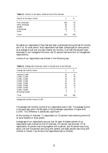**Table 2.1** Position on the labour market at time of the interview.

| Position on the labour market | n   | %   |
|-------------------------------|-----|-----|
| Fully employed                | 109 | 50  |
| Partly employed               | 45  | 21  |
| <b>Student</b>                | 32  | 15  |
| Unemployed                    | 23  | 11  |
| Other                         | 7   | 3   |
| Total                         | 216 | 100 |

We asked our respondents if they had ever been unemployed during the last 24 months, and if so, for what period. Sixty respondents had been unemployed for some period, at an average of just over one year (median ten months). Over half (56 percent) were employed in non managerial functions, and 31 percent had some form of management responsibility.

Income of our respondents was divided in the following way:

| Average nett monthly income | n   | %   |
|-----------------------------|-----|-----|
| Less than $f1,000$          | 29  | 13  |
| $f1,000 - f1,500$           | 41  | 19  |
| $f1,500 - f2,000$           | 34  | 16  |
| $f2,000 - f2,500$           | 31  | 14  |
| $f2,500 - f3,000$           | 32  | 15  |
| $f3,000 - f4,000$           | 31  | 14  |
| $f4,000 - f5,000$           | 10  | 5   |
| $f5,000 - f6,000$           | 3   |     |
| More than $f6,000$          | 5   | 2   |
| Total                       | 216 | 100 |

**Table 2.2** Average nett income per month in the year prior to the interview.

average nett monthly income: ƒ2,281

The average nett monthly income of our respondents was ƒ2,281. The average income in the same age cohort  $(18-66 \text{ years})$  in the Amsterdam population is higher with  $f2,970$ . This difference is statistically significant.<sup>12</sup>

At the moment of interview, 71 respondents (or 33 percent) were receiving some kind of social benefits or study grants.

Average age of our respondents was just over 34 years. Nineteen percent of our respondents were married at time of interview, 6.5 percent was divorced. Of all respondents, 42 percent was living together with a partner, and 44 percent was living alone. Just over five percent was living with parents, and eight percent was living with children or friends. Two thirds of the respondents had no children.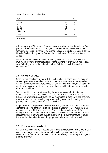<span id="page-17-0"></span>

| Table 2.3 Age at time of the interview. |  |  |  |
|-----------------------------------------|--|--|--|
|-----------------------------------------|--|--|--|

| Age                                                               | n                         | %                   |
|-------------------------------------------------------------------|---------------------------|---------------------|
| $18 - 25$<br>$26 - 35$<br>$36 - 45$<br>$46 - 55$<br>Older than 55 | 40<br>83<br>74<br>17<br>2 | 19<br>38<br>34<br>8 |
| Total                                                             | 216                       | 100                 |

average age: 34

A large majority of 86 percent of our respondents was born in the Netherlands, five percent was born in Surinam. The rest (ten percent) of the respondents was born in Germany, Indonesia, Rumania, New Guinea, Ireland, Venezuela, Denmark, Belgium, Nigeria, England, Hong Kong, Tunisia, the United States of America or South Africa.

We asked our respondent what education they had finished, and if they were still involved in any form of more education. At the moment of interview 70 respondents were following some kind of education, either full time or part time next to employment.

#### *2.6 Outgoing behaviour*

Since our first population survey in 1987, part of all our questionnaires is a standard series of questions that ask about social and cultural involvements of the respondents. We ask how many evenings the respondents normally remain at home, how often in the past four weeks prior to interview they visited cafés, night-clubs, discos, restaurants, diners and snackbars.

We also want to know how often during the last eight weeks prior to interview respondents have visited the movies, art houses, theatres for plays or ballet, concert halls, opera or comedians. All these data are recomputed in such a way that they yield a score from 0 to 6, zero meaning very low outgoing behaviour, 6 meaning on all participating variables a score of at least medium.

Respondents in our experienced cannabis user survey have a median score of 5 for the composite outgoing behaviour scale. The average is just over 4. Our respondents are often not at home. Their median score is 3 in an 'at home scale' from 1 (often at home) to 3 (often from home). Their outgoing behaviour is mostly directed towards restaurants, then to cafés/discos, then to theatres. In short, they are the type of person that uses the city quite extensively for purposes of leisure and cultural exploits.

#### *2.7 Miscellaneous characteristics*

We asked every one a series of questions relating to experience with mental health care and relating to own criminal behaviour in the past. It showed that 9 out of 216 respondents, or four percent had been convicted for a felony during the past four years prior to interview.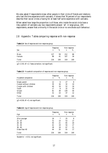<span id="page-18-0"></span>We also asked if respondents knew other people in their circle of friends and relations who had life time experience with cannabis. It shows that 76 percent of our respondents describe their social circles a having for at least half some experience with cannabis.

When asked how large the proportion is of those, who inside the social circle have a risky pattern of cannabis use, two respondents answer: 'all'. A large group, 205 respondents, answer that a minority in the social circle or no one shows such behaviour.

#### *2.8 Appendix: Tables comparing response with non-response*

|                |                  | Response |            | Non-response |
|----------------|------------------|----------|------------|--------------|
| <i>Sex</i>     | $\boldsymbol{n}$ | %        | n          | %            |
| Male<br>Female | 127<br>89        | 59<br>41 | 212<br>107 | 66<br>34     |
| Total          | 216              | 100      | 319        | 100          |

**Table 2.4** Sex of response and non-response group.

 $\gamma$ 2 = 2.93; df = 2; Yates correction; not significant.

|                         | Response |     | Non-response |     |
|-------------------------|----------|-----|--------------|-----|
| Household composition   | n        | %   | n            | %   |
| Single parent           | 12       | 6   | 27           | 8   |
| Couple without children | 35       | 16  | 32           | 10  |
| Couple with children    | 40       | 19  | 52           | 16  |
| Youth                   | 17       | 8   | 32           | 10  |
| Single                  | 81       | 38  | 139          | 44  |
| Other                   | 31       | 14  | 37           | 12  |
| Total                   | 216      | 100 | 319          | 100 |

**Table 2.5** Household composition of response and non-response group.

 $\chi$ 2 = 8.36; df = 5; not significant.

|               | Response |     |                  |     | Non-response |  |
|---------------|----------|-----|------------------|-----|--------------|--|
| Age           | $\eta$   | %   | $\boldsymbol{n}$ | %   |              |  |
| 20 or younger | 16       |     | 25               | 8   |              |  |
| $21 - 25$     | 31       | 14  | 53               | 17  |              |  |
| $26 - 30$     | 45       | 21  | 65               | 20  |              |  |
| $31 - 35$     | 41       | 19  | 54               | 17  |              |  |
| $36 - 40$     | 39       | 18  | 67               | 21  |              |  |
| Older than 40 | 44       | 20  | 55               | 17  |              |  |
| Total         | 216      | 100 | 319              | 100 |              |  |

**Table 2.6** Age of response and non-response group.

Student's  $t = 0.51$ ; not significant.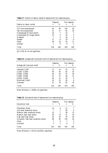|                              | Response |     | Non-response |     |
|------------------------------|----------|-----|--------------|-----|
| Position on labour market    | n        | %   | n            | %   |
| Full time employement        | 87       | 40  | 120          | 38  |
| Part time employment         | 37       | 17  | 62           | 19  |
| Unemployed for short period  | 16       | 7   | 23           |     |
| Unemployed for longer period | 13       | 6   | 16           | 5   |
| <b>Disabled</b>              | 7        | 3   | 16           | 5   |
| <b>Student</b>               | 17       | 8   | 19           | 6   |
| Other                        | 38       | 18  | 55           |     |
| Unkown                       |          | 0   | 8            | 3   |
| Total                        | 216      | 100 | 319          | 100 |

**Table 2.7** Position on labour market of response and non-response group.

 $\chi$ 2 = 5.94; df = 8; not significant.

| Table 2.8 Average nett income per month of response and non-response group. |  |
|-----------------------------------------------------------------------------|--|
|-----------------------------------------------------------------------------|--|

|                               | Response |     | Non-response     |     |
|-------------------------------|----------|-----|------------------|-----|
| Average nett income per month | n        | %   | $\boldsymbol{n}$ | %   |
| Less than $f1,250$            | 31       | 14  | 42               | 13  |
| $f1,250 - f2,000$             | 44       | 20  | 62               | 19  |
| $f2,000 - f3,000$             | 40       | 19  | 57               | 18  |
| $f3,000 - f4,000$             | 23       | 11  | 36               | 11  |
| $f4,000 - f5,000$             | 24       | 11  | 30               | 9   |
| More than f5,000              | 32       | 15  | 30               | 9   |
| Unknown                       | 22       | 10  | 62               | 19  |
| Total                         | 216      | 100 | 319              | 100 |

Mann-Whitney U = 32940; not significant.

|  | <b>Table 2.9</b> Educational level of response and non-response group. |  |  |  |  |  |  |  |
|--|------------------------------------------------------------------------|--|--|--|--|--|--|--|
|--|------------------------------------------------------------------------|--|--|--|--|--|--|--|

|                                          | Response |     | Non-response |     |
|------------------------------------------|----------|-----|--------------|-----|
| Educational level                        | n        | %   | $\eta$       | %   |
| Elementary school                        | 14       | 6   | 21           |     |
| Low level vocational school              | 7        | 3   | 30           | 9   |
| Medium level vocational school           | 15       | 7   | 38           | 12  |
| Medium level high school                 | 29       | 13  | 31           | 10  |
| High level high school                   | 52       | 24  | 76           | 24  |
| University, high level vocational school | 96       | 44  | 110          | 34  |
| Other                                    |          | 0   |              | 2   |
| Unknown                                  | 2        |     | 6            | 2   |
| Total                                    | 216      | 100 | 319          | 100 |

Mann-Whitney U = 31173; p=0.0521, significant.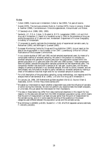#### *Notes*

- 1 Cohen (1989), *[Cocaine use in Amsterdam](http://www.cedro-uva.org/lib/cohen.drugs.00.html)*; [Cohen & Sas \(1993\),](http://www.frw.uva.nl/cedro/library/FU/FU.html) *Ten years of cocaine*.
- 2 Goode (1970), *The marijuana smokers*; Rubin & Comitas (1975), *Ganja in Jamaica*; Kleiber & Soellner (1998), *Cannabiskonsum. Entwicklungstendenzen, Konsummuster und Risiken*.
- 3 Cf Sandwijk et al. (1988, 1991, 1995).
- <sup>4</sup> Sandwijk, J.P., P.D.A. Cohen, S. Musterd & M.P.S. Langemeijer (1995*), Licit and illicit drug use in Amsterdam II: Report of a household survey in 1994 on the prevalence of drug use among the population of 12 years and over*. Amsterdam: Department of Human Geography, University of Amsterdam.
- 5 Cf proposals to exactly replicate the Amsterdam study of experienced cannabis users, by Reinarman (1995), and Böllinger & Quensel (1995).
- 6 European Monitoring Centre for Drugs and Drug Addiction (1997), *Annual report on the state of the drugs problem in the European Union 1997*. Luxembourg: Office for Official Publications of the European Communities.
- 7 In our cocaine studies of 1987 and 1991 we had sampled experienced users, by means of a complicated method of snowball sampling. We were in the position to compare our snowball samples with samples of cocaine users from two population surveys within the general population of 12 years and older (the 1987 and 1990 surveys). These comparisons were not perfect, because the population samples contained too few experienced users. The comparison therefor was done with a sample of all 'last year' cocaine users, not the same category of persons as sampled in our snowball samples. We had no choice, however, and we were already very fortunate to be able to partly validate our snowball samples by making a check of the selection bias that might exist for our snowball sample of cocaine users.
- $^{\mathrm{s}}$  For a full description of the population sampling, survey methodology, non response and the analysis there of see Sandwijk et al. (1995), *Licit and illicit drug use in Amsterdam II*.
- 9 On January 1st, 1996, 100 Netherlands guilders equalled US\$ 62.12. Source: Olsen & Associates, Zürich. Online: http://www.oanda.com/
- $10$  We asked our interviewers to report whether a respondent was under the influence of cannabis or alchol during the interview. We did not perform any objective tests like breath analysers, or urine tests. We just asked the interviewers for their impressions.
- $11$  The data in these tables may differ from data mentioned elsewhere in this resport for two reasons: (1) the data were derived from the 1994 Amsterdam population survey, which means that the point of measurement is at least one year earlier than the point of measurement for the cannabis survey, and (2) in some cases the wording of the questions or the answer categories used differed between the population survey and the cannabis survey.
- <sup>12</sup> Man-Whitney U=245802; p<0.001. Student's  $t = 7.83$ ; df=270.8 (separate variance estimate,  $F = 40.025$ ;  $p \le 0.001$ ).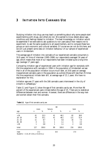## <span id="page-21-0"></span>**3 INITIATION INTO CANNABIS USE**

Studying initiation into drug use may teach us something about why some people start experimenting with drugs, and others do not. We wanted to know details about age, conditions and feelings related to initiation. The best knowledge on initiation would be assembled if we were able to ask questions to non users about their reasons not to experiment, to ask the same questions to all experimenters, and to compare these two groups on socio economic and cultural variables. Of course we can not do this here, and we will just present some data on initiation behaviour of our sample of experienced users in Amsterdam.

The average age of initiation into cannabis of our experienced cannabis consumers is 16.9 years. At time of interview (1995-1996) our respondents averaged 34 years of age, which means that most of our respondents had been initiated quite a long time ago (average 17 years ago).

Comparing initiation age of experienced users with initiation age for *everybody* with life time experience with cannabis in 1994 in the population of Amsterdam we see that in all of the population initiation occurs much later, at 19.8 years on average. Inexperienced cannabis users in the population as a whole (those with less than 25 times life time experience) initiate later still, at average age of 21.1 years. We have no explanation for this.

Initiation age was 17 years with the 166 cannabis users interviewed in the city of Utrecht in coffeeshops.<sup>1</sup>

Table 3.1 and Figure 3.1 show the age of first cannabis use by sex. More than 96 percent of the experienced users initiate before the age of 25. There are no statistical differences between men and women. However, there are differences in the way men and women obtain their first cannabis.

|           |        |       | <b>sex</b>     |       |                  |       |
|-----------|--------|-------|----------------|-------|------------------|-------|
|           | male   |       | female         |       | total            |       |
| age       | $\eta$ | %     | $\eta$         | %     | $\boldsymbol{n}$ | %     |
| < 16      | 41     | 32.3  | 41             | 46.1  | 82               | 38.0  |
| $16 - 20$ | 70     | 55.1  | 41             | 46.1  | 111              | 51.4  |
| $21 - 25$ | 11     | 8.7   | $\overline{5}$ | 5.6   | 16               | 7.4   |
| $26 - 30$ | 4      | 3.1   | 1              | 1.1   | $\overline{5}$   | 2.3   |
| $>30$     | 1      | 0.8   | 1              | 1.1   | $\boldsymbol{2}$ | 0.9   |
| total     | 127    | 100.0 | 89             | 100.0 | 216              | 100.0 |
| mean      | 17.3   |       | 16.5           |       | 17.0             |       |

|  | Table 3.1 Age of first cannabis use by sex |  |  |  |  |
|--|--------------------------------------------|--|--|--|--|
|--|--------------------------------------------|--|--|--|--|

Student's  $t = 1.51$ ; df = 214; p = 0.133 (n.s.)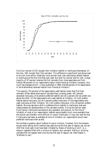

Only four women (4.5%) bought their initiation hashish or marihuana themselves. Of the men, 18% bought their first cannabis. This difference is significant $^{\text{2}}$  and shows men to be a bit more active. Relatively more women than men were being offered hashish or marihuana at the first time they ever used. But both for women and for men, a large majority of 97 percent receives the first cannabis from close associates and from friends; 88 percent of our respondents report close friends as initiation company. Not much has changed since H. Cohen published in 1969, that 86 percent of his respondents in the Netherlands received hashish from friends at initiation.<sup>3</sup>

The majority (70 percent) of the respondents used hashish when they first tried cannabis. When asked what type of cannabis they currently prefer, 46.1 percent answered marijuana, 25.8 percent preferred hashish and 28.1 percent did not prefer one above the other. Of the respondents who used hashish at initiation, 31.4 still prefers hashish above marijuana, but 44.3 percent prefers marijuana. Of the respondents who used marijuana at their initiation, 54.1 still prefers marijuana. Only 18 percent prefers hashish. We may see here a shift in preference from hashish to marihuana, that was made possible by developments on the cannabis market. During the last ten years Dutch grown marihuana has become very available, and popular. At the time of initiation of most of our respondents, hashish was probably much more available than the bulkier and therefor more difficult to import marihuana. It may very well be that if marijuana had been as available at time of initiation our respondents would have preferred marihuana then as well.

We omitted a question about method of use *at initiation*. However, from the answers we got when asking which method was used during the first year of regular use, we can infer that most users must have been initiated by means of smoking a 'joint' i.e. a tobacco cigarette filled with a mixture of tobacco and cannabis. Eating or drinking cannabis did not happen even once during first year of regular use. (See chapter 5, 'Methods of use')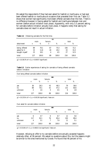We asked the respondents if they had ever asked for hashish or marihuana, or had ever been offered hashish or marihuana at occasions that preceded their first use. Table 3.2 shows that women had significantly more been offered cannabis than the men. There is no difference however in having asked for hashish and marihuana between men and women (before actual initiation took place). Apparently, with only 5.5 percent asking for cannabis before initiation actually took place, it happens rarely that asking for cannabis does not result in actual initiation.

|               |      |       | sex    |       |       |       |
|---------------|------|-------|--------|-------|-------|-------|
|               | male |       | female |       | total |       |
| obtainment    | n    | %     | n      | %     | n     | %     |
| being offered | 89   | 70.1  | 67     | 75.3  | 156   | 72.2  |
| asked for it  | 15   | 11.8  | 18     | 20.2  | 33    | 15.3  |
| bought myself | 23   | 18.1  | 4      | 4.5   | 27    | 12.5  |
| total         | 127  | 100.0 | 89     | 100.0 | 216   | 100.0 |

**Table 3.2** Obtaining cannabis for the first time.

 $\chi$ 2 = 10.38179; df = 2; p = 0.00557 (significant)

**Table 3.3**Earlier experiences of asking for cannabis of being offered cannabis before initiation

*Ever being offered cannabis before initiation*

|                | <b>sex</b>       |       |        |       |        |       |  |  |
|----------------|------------------|-------|--------|-------|--------|-------|--|--|
|                | male             |       | female |       |        | total |  |  |
|                | n                | %     | n      | %     | $\eta$ | %     |  |  |
| yes            | 36               | 28.3  | 43     | 48.3  | 79     | 36.6  |  |  |
| n <sub>0</sub> | 89               | 70.1  | 42     | 47.2  | 131    | 60.6  |  |  |
| unknown        | $\boldsymbol{2}$ | 1.6   | 4      | 4.5   | 6      | 2.8   |  |  |
| total          | 127              | 100.0 | 89     | 100.0 | 216    | 100.0 |  |  |

 $\chi$ 2 = 10.23514; df = 1; p = 0.00138 (significant); Yates corr.

|         | <b>sex</b>     |       |        |       |        |       |  |
|---------|----------------|-------|--------|-------|--------|-------|--|
|         | male           |       | female |       | total  |       |  |
|         | n              | %     | $\eta$ | %     | $\eta$ | %     |  |
| yes     | 6              | 4.7   | 6      | 6.7   | 12     | 5.6   |  |
| no      | 117            | 92.1  | 76     | 85.4  | 193    | 89.4  |  |
| unknown | $\overline{4}$ | 3.1   | 7      | 7.9   | 11     | 5.1   |  |
| total   | 127            | 100.0 | 89     | 100.0 | 216    | 100.0 |  |

 $\chi$ 2 = 0.53109; df = 1; p = 0.46615 (not significant); Yates corr.

However, refusing an offer to try cannabis before one actually accepted happens relatively often, at 36 percent. We asked no questions about this, but the reasons might be similar to the ones mentioned by Goode. He found that 46 percent of his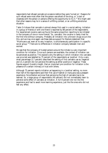respondents had refused cannabis at occasions before they were 'turned on'. Reasons for such refusal were most often that the person was afraid of the drug, or "a lack of closeness with the person or persons offering the opportunity to try it."4 We might add that other reasons may lie in a sense of unfitting context, or an unfitting emotional situation.

Table 3.4 shows that cannabis is almost always first used in a social setting. Initiation in a group of friends or with one friend is reported by 88 percent of the respondents. For experienced cocaine users we found the same proportion reporting to be initiated in the company of one or more friends.<sup>5</sup> So, cannabis, like cocaine is rarely tried for the first time without company. Probably all initiation into unknown drugs occurs like this, and we may once again use these data as support for Beckers statement that "Marihuana use, even at its very inception, is simultaneously participation in a specific social group."6 There are no differences in initiation company between men and women.

We see that the company of trusted persons around the initiate is a very important condition for initiation. Once such persons are available, the context of initiation can be perceived as positive. This explains why the setting in which initiation into cannabis use occurred was labelled by 75 percent of the respondents as 'positive'. Only a very small percentage (3.7 percent) described the setting of first cannabis use as 'negative' and 21.2 percent did not perceive the setting as either positive or negative. These figures support Goode's insight, that an important pre condition for initiation is the presence of a certain intimacy or trust with others.

Although 75 percent reports initiation as happening in a 'positive' setting, no more than half of the respondents said their first use of hashish or marijuana was a pleasant experience. Since Becker we know that perceiving the high of cannabis has to be learned. So, a large group of respondents (40 percent) did not immediately learn to perceive some effect of cannabis at initiation. A full 8 percent did not like the experience and had to await more learning experience, just like the ones who did not feel any effect.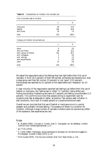| Characteristics of initiation into cannabis use<br>Table 3.4 |  |
|--------------------------------------------------------------|--|
|--------------------------------------------------------------|--|

| Form of cannabis used at initiation |                 |                     |  |  |  |
|-------------------------------------|-----------------|---------------------|--|--|--|
|                                     | n               | %                   |  |  |  |
| marijuana<br>hashish<br>don't know  | 60<br>140<br>16 | 27.8<br>64.8<br>7.4 |  |  |  |
| total                               | 216             | 100.0               |  |  |  |

*Form of cannabis used at initiation*

*Company at initiation into cannabis use*

|                         | n                | %     |
|-------------------------|------------------|-------|
| alone                   | 6                | 2.8   |
| with one friend         | 48               | 22.2  |
| with a group of friends | 142              | 65.7  |
| with colleagues         | 2                | 0.9   |
| with siblings           | 4                | 1.9   |
| with acquaintances      | $\boldsymbol{2}$ | 0.9   |
| other                   | 12               | 5.6   |
| total                   | 216              | 100.0 |

We asked the respondents about the feelings they had right before their first use of cannabis. A third (34.2 percent) of them felt excited, enchanted and adventurous. Also, a large group said they felt normal (13 percent) or just 'good' (13.0 percent). Nervousness was reported by 9.2 percent of the respondents and 'relaxation' by 4.5 percent.

A clear minority of the respondents reported bad feelings just before their first use of hashish or marijuana, like 'feeling bad or rotten' (1.7 percent), being afraid and finding the situation frightening and eerie (0.7 percent) and feeling uncomfortable (1.0 percent). This confirms once more that people willing to experiment wait for occasions they feel as adequate or better, as positive. Few persons seek initiation in bad conditions, like a lack of trusted persons or a positive emotional state.

Overall we can conclude that first use of hashish or marijuana occurs in a social, pleasant and probably intimate setting. The presence of others is a condition for initiation. Although a large number of cannabis initiators does not perceive any effect of the substance, bad experiences are rare.

#### *Notes*

- 1 N. Maalsté (1995), *Cannabis in Utrecht. Deel III. Stamgasten van de coffeeshop.* Utrecht: Centrum voor Verslavingsonderzoek. p 17.
- $\gamma$ 2 = 7,52, p<0,01.
- <sup>3</sup> H. Cohen (1969*), Psychologie, sociale psychologie en sociologie van het deviante druggebruik*. Mimeograph. Quoted in Baan (1972), p. 24.
- 4 Erich Goode (1970), *The marijuana smokers*. New York: Basic Books. p. 131.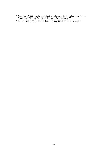- Peter Cohen (1989), *Cocaine use in Amsterdam in non deviant subcultures*. Amsterdam: [Department of Human Geography, University of Amsterdam. p 38](http://www.cedro-uva.org/lib/00.html)
- Becker (1963), p. 55, quoted in Grinspoon (1994), *Marihuana reconsidered*, p. 190.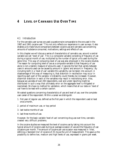# <span id="page-27-0"></span>**4 LEVEL OF CANNABIS USE OVER TIME**

#### *4.1 Introduction*

For the cannabis user survey we used a questionnaire comparable to the one used in the 1987 and 1991 cocaine user.<sup>1</sup> This not only reflects our experience in user surveys. It also enables us to make future comparisons between cocaine use and cannabis use concerning amounts of substance consumed, motivations, settings and effects of use.

In this chapter we will discuss a series of characteristics of cannabis use, around a central variable we call 'level of use'. This is a composite variable consisting of *frequency of use* during a typical month of use, multiplied by the *number of typical units* used during the same time. This way of computing level of use was also employed in the cocaine studies. The reason for computing level of use as a composite variable is that frequency of use alone is not a realistic measure of amounts used. It ignores the fact that variety between users in amounts used can be caused by amount in 'grams' and amount in 'frequency'. By including both in a 'level of use' variable this variability can be taken into account. A disadvantage of this way of measuring is, that distortion in recollection may occur in reporting each part of the variable. Unreliability could thereby be increased. However, dissimilar distortion in each of the variables may result in neutralising error. Also, because we use data of over 200 respondents, over and under reporting might be distributed in such a way that ultimately error on the aggregate level is mitigated or neutralised. We have no method for validation, which means that all our data on 'level of use' have to be read with a certain caution.

We asked questions concerning characteristics of use and level of use, over the complete user career of the respondent. Within a career we distinguish:

- 1. first year of regular use, defined as the first year in which the respondent used *at least* once a month,
- 2. period of maximum use, or top period
- 3. last twelve months of use
- 4. last three months of use.

However, for the basic variable 'level of use' concerning drug use over time, cannabis created very difficult problems.

In the cocaine studies we measured the level of cocaine use by taking into account the typical amount of cocaine used during an average occasion of use and the frequency of use occasions per month. The amount of cocaine per use occasion was measured in 'lines', defining a 'standard line' of cocaine of 25 mg as the unit of measurement. This gave us the possibility to define low, medium and high levels of use, expressed in grams per week.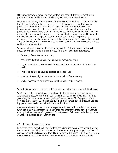Of course, this way of measuring does not take into account differences over time in purity of cocaine, problems with recollection, and over- or underestimation.

Defining a similar way of measurement for cannabis is not possible. A construction like the 'standard line' is on the edge of acceptability for cocaine users, and we saw no possibility to defend the construction of a 'standard joint' for our cannabis users. Researchers who study the effects of cannabis at one certain point in time have the possibility to measure the level of THC ingested (see for instance Robbe, 1994) but this is impossible for our study, mainly because we look back so long in time. Of course, it is not possible to obtain samples of hashish or marihuana from all the periods we distinguish. Then, unlike Robbe, we did not do experimental research about the effects of THC on behaviour, but we wanted to collect social scientific data on development of use and its functions over time.

We were not able to measure the levels of ingested THC, but we could find ways to measure other characteristics of use. For each of the four periods of use we asked

- frequency of cannabis use per month,
- parts of the day that cannabis was used on an average day of use,
- days of use during an average week (use mainly during weekends or all through the week),
- level of being high at a typical occasion of cannabis use,
- duration of being high in hours per typical occasion of cannabis use,
- level of cannabis use, or average amount of cannabis used per month.

We will discuss the results of each of these indicators in the next sections of this chapter.

We found that top period of use occurred early in the use career of our respondents. Average age of respondents was 34 years (median 33) at time of interview. Their first year of regular use occurred on average at age 19 (median age 18).Top period of use occurred average at age 21 (median age 20). This means that first year of regular use and top period were located very close in time, within 2 years.

Average duration of top period was three years and three months, median duration was two years. This means that for 50 percent of all respondents their top period of use was over by the time they were 22 years old. For 80 percent of all respondents the top period of use had a duration of four years or less.

#### *4.2 Pattern of use during career*

In order to get an overall picture of the total cannabis using career of the respondent, we showed a card describing in words plus an illustration of a graphic image six patterns of cannabis use we had also adopted from Morningstar and Chitwood (1983) for our cocaine user surveys. We asked respondents to choose from this card one of the (graphically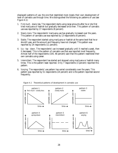displayed) patterns of use, the one that resembled most closely their own development of level of cannabis use through time. We distinguished the following six patterns of use (see Figure 4.1):

- 1. *First much slowly less*. The respondent starts using large amounts after he or she first tried marijuana or hashish but gradually decreased since then. This pattern of cannabis use was reported by 17 respondents (8 percent).
- 2. *Slowly more*. The respondents' marijuana use has gradually increased over the years. This pattern of cannabis use was reported by 13 respondents (6 percent).
- 3. *Stable*. The respondent started using marijuana or hashish at the same level that he or she still uses, and the amount and frequency have not changed. This pattern was reported by 24 respondents (11 percent).
- 4. *Up top down*. The respondents' use increased gradually until it reached a peak, then it decreased. This is the pattern of cannabis use that was reported most frequently. Almost half of the respondents (104, 48 percent) said that this pattern resembled their own cannabis using career.
- 5. *Intermittent*. The respondent has started and stopped using marijuana or hashish many times. This is the pattern least reported. Only 7 respondents (3 percent) reported this pattern.
- 6. *Varying*. The respondents' use pattern has varied considerably over the years. This pattern was reported by 51 respondents (24 percent) and is the pattern reported second frequently.



Figure 4.1 Theoretical patterns of development in cannabis use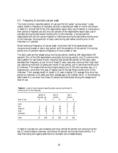#### <span id="page-30-0"></span>*4.3 Frequency of cannabis use per week*

The most common reported pattern of use over the full career 'up-top-down' is also clearly visible in frequency of cannabis use that is reported per week or month and shown in table 4.2. Almost half of the 216 respondents report daily use of hashish or marijuana in their period of heaviest use. But only ten percent of the respondents report daily use of cannabis during the last twelve months prior to the interview. If we exclude the respondents who did not use any hashish or marihuana during the last twelve months prior to the interview, the proportion of daily users during last twelve months prior to the interview is 17 percent.

When looking at frequency of use per week, more than half of all experienced users consume once a week or less in any period, with the exception of top period. During top period only 25 percent reports a frequency of once a week or less.

The daily users are the largest group during top period, totalling 106 respondents (49 percent). But, of the 106 respondents using daily during top period, only 22 continue this daily pattern till last twelve month, showing that almost 80 percent of the daily users decrease their frequency of use. Nine of these 22 daily users also continue their high level use, reporting more than 10 grams per month in top period, *and* in last three months prior to interview. This means that we found eight persons out of 216 who use every day, in a large amount, since their first year of regular use till the last three months prior to the interview. Their average length of career is 12 years (median 9.5) average time since top period to interview is 10 years and their average age is 30 (median 29.5). In the following table (table 4.1) we show how these 22 persons are distributed among the categories of level of use.

|              |                | period of<br>heaviest use |    | last 12<br>months |    | last 3<br>months |  |
|--------------|----------------|---------------------------|----|-------------------|----|------------------|--|
| level of use | n              | %                         | n  | %                 | n  | %                |  |
| none         |                |                           |    |                   | 2  | 9                |  |
| low          | 2              | 9                         | 3  | 14                | 3  | 14               |  |
| medium       | 8              | 36                        | 8  | 36                | 7  | 32               |  |
| high         | 10             | 45                        | 10 | 45                | 9  | 41               |  |
| unknown      | $\overline{2}$ | 9                         |    | 5                 |    | 5                |  |
| total        | 22             | 100                       | 22 | 100               | 22 | 100              |  |

**Table 4.1** Level of use of persons reporting daily use during the last 12 months prior to the interview.

In table 4.2 we see non use increasing over time, almost 40 percent not using during the last 12 months before interview, and almost 50 percent during last three months. It is clear that along with ageing abstinence of cannabis use increases sharply.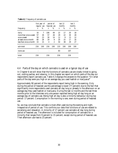|                        | first year of<br>regular use heaviest use |     | period of        |     | last 12<br>months |     | last 3<br>months |     |
|------------------------|-------------------------------------------|-----|------------------|-----|-------------------|-----|------------------|-----|
| frequency              | $\eta$                                    | %   | $\boldsymbol{n}$ | %   | $\boldsymbol{n}$  | %   | n                | %   |
| daily                  | 16                                        | 7   | 106              | 49  | 22                | 17  | 20               | 18  |
| more than once a week  | 57                                        | 26  | 57               | 26  | 29                | 22  | 30               | 28  |
| once a week            | 50                                        | 23  | 30               | 14  | 12                | 9   | 13               | 12  |
| at least once a month  | 60                                        | 28  | 19               | 9   | 20                | 15  | 17               | 16  |
| less than once a month | 33                                        | 15  | 4                | 2   | 50                | 38  | 29               | 27  |
| sub-total              | 216                                       | 100 | 216              | 100 | 133               | 100 | 109              | 100 |
| none-use               |                                           |     |                  |     | 83                |     | 107              |     |
| total                  | 216                                       |     | 216              |     | 216               |     | 216              |     |

<span id="page-31-0"></span>**Table 4.2** Frequency of cannabis use

#### *4.4 Parts of the day on which cannabis is used on a typical day of use*

In Chapter 6 we will show that the functions of cannabis use are closely linked to going out, visiting parties, and relaxing. In this chapter we report on which parts of the day our respondents report cannabis use. Table 4.3 displays the answers to the question "On what parts of the day were you high on an average day you used hashish or marijuana?"

Approximately 90 percent of the respondents report being high in the evening. Only during the period of heaviest use this percentage is lower (77 percent) due to the fact that significantly more respondents used cannabis all day long or already in the afternoon on an average day they used hashish or marijuana. During the last 12 months and the last three months prior to the interview only one person reported being high all day long on an average day of cannabis use. Being high all day is also a minority behaviour during top period: 17 percent. Consumption in the morning is rare, even during period of heaviest use.

So, we may conclude that cannabis is most often used during the evening and night, irrespective of period of use. This confirms our data that functions of use are related to socialising and relaxation. A minority of 17 percent use cannabis all day long during period of heaviest use. The afternoon is included for consumption of cannabis for a minority that ranges from 9 percent to 15 percent, except during period of heaviest use. Then afternoon use rises to 23 percent.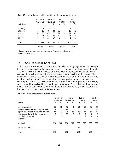|              | first year of<br>regular use |     | period of<br>heaviest use |     | last 12<br>months |     | $last\,3$<br>months |     |
|--------------|------------------------------|-----|---------------------------|-----|-------------------|-----|---------------------|-----|
| part of day* | n                            | %   | $\eta$                    | %   | $\boldsymbol{n}$  | %   | $\boldsymbol{n}$    | %   |
| morning      | 3                            | 1   | 7                         | 3   |                   |     |                     |     |
| afternoon    | 32                           | 15  | 49                        | 23  | 12                | 9   | 13                  | 12  |
| evening      | 185                          | 86  | 165                       | 77  | 122               | 92  | 97                  | 89  |
| night        | 45                           | 21  | 52                        | 24  | 30                | 23  | 26                  | 24  |
| all day      | 8                            | 4   | 37                        | 17  | 1                 | 1   | 1                   |     |
| total        | 273                          | 127 | 310                       | 144 | 165               | 124 | 138                 | 127 |
|              | $n = 215$                    |     | $n=215$                   |     | $n=133$           |     | $n=109$             |     |

<span id="page-32-0"></span>**Table 4.3** Parts of the day on which cannabis is used on an average day of use.

*\* Respondents could give more than one answer. Percentages are based on the number of respondents.*

#### *4.5 Days of use during a typical week*

As long as the use of hashish or marijuana is linked to an outgoing lifestyle one can expect to find that respondents will report more cannabis use on weekends than during the week. Table 4.4 shows that this is the case for the first year of the respondent's regular use of cannabis. During the period of heaviest cannabis use more than half of the respondents reports using cannabis equally on weekends as during the week but still for over one third of all respondents the weekend remains the dominant part of the week for cannabis consumption. For the last twelve months and the last three months prior to the interview, weekdays and the weekend have almost equal importance. We see that over time the use of hashish or marijuana becomes somewhat more integrated into daily life of about half of the cannabis users that remain active consumers.

|                                         | first year of<br>regular use |                |                          | period of<br>heaviest use |                  | last 12<br>months |                  | last 3<br>months |  |
|-----------------------------------------|------------------------------|----------------|--------------------------|---------------------------|------------------|-------------------|------------------|------------------|--|
| pattern                                 | $\boldsymbol{n}$             | %              | $\boldsymbol{n}$         | %                         | $\boldsymbol{n}$ | %                 | $\eta$           | %                |  |
| only on weekends                        | 82                           | 38             | 12                       | 6                         | 26               | 20                | 17               | 16               |  |
| more on weekends than during the week   | 70                           | 32             | 68                       | 31                        | 37               | 28                | 31               | 28               |  |
| equally on weekends and during the week | 50                           | 23             | 125                      | 58                        | 58               | 44                | 51               | 47               |  |
| more during the week than on weekends   | 9                            | $\overline{4}$ | 11                       | 5                         | 8                | 6                 | 7                | 6                |  |
| only during the week                    | 5                            | $\overline{2}$ | $\overline{\phantom{a}}$ |                           | 3                | $\overline{2}$    | $\boldsymbol{2}$ | 2                |  |
| unknown                                 |                              |                |                          |                           | 1                |                   |                  | 1                |  |
| sub-total                               | 216                          | 100            | 216                      | 100                       | 133              | 100               | 109              | 100              |  |
| did not use cannabis                    |                              |                |                          |                           | 83               |                   | 107              |                  |  |
| total                                   | 216                          |                | 216                      |                           | 216              |                   | 216              |                  |  |

**Table 4.4**Pattern of use during an average week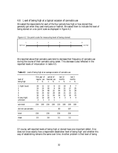#### <span id="page-33-0"></span>*4.6 Level of being high at a typical occasion of cannabis use*

We asked the respondents for each of the four periods how high or how stoned they generally got when they used marijuana or hashish. We asked them to indicate the level of being stoned on a six point scale as displayed in figure 4.2.





We reported above that cannabis users tend to decrease their frequency of cannabis use during the course of their cannabis using career. This decrease is also reflected in the reported levels of intoxication in table 4.5.

| level of             | first year of period of<br>regular use heaviest use |     |                  |     |                  | last 12<br>months |        | last 3<br>months |  |
|----------------------|-----------------------------------------------------|-----|------------------|-----|------------------|-------------------|--------|------------------|--|
| being high           | $\eta$                                              | %   | $\boldsymbol{n}$ | %   | $\boldsymbol{n}$ | %                 | $\eta$ | %                |  |
| (light buzz)<br>1    | 24                                                  | 11  | 12               | 6   | 13               | 10                | 8      | 7                |  |
| 2                    | 33                                                  | 15  | 20               | 9   | 28               | 21                | 27     | 25               |  |
| 3                    | 51                                                  | 24  | 48               | 22  | 44               | 33                | 31     | 28               |  |
| 4                    | 54                                                  | 25  | 62               | 29  | 28               | 21                | 23     | 21               |  |
| 5                    | 30                                                  | 14  | 51               | 24  | 16               | 12                | 16     | 15               |  |
| 6 (very high)        | 22                                                  | 10  | 20               | 9   | 4                | 3                 | 4      | 4                |  |
| unknown              | $\overline{2}$                                      | 1   | 3                | 1   |                  |                   |        |                  |  |
| sub-total            | 216                                                 | 100 | 216              | 100 | 133              | 100               | 109    | 100              |  |
| did not use cannabis |                                                     |     |                  |     | 83               |                   | 107    |                  |  |
| total                | 216                                                 |     | 216              |     | 216              |                   | 216    |                  |  |
| mean                 | 3.5                                                 |     | 3.8              |     | 3.1              |                   | 3.2    |                  |  |

**Table 4.5** Level of being high at an average occasion of cannabis use

Of course, self-reported levels of being high or stoned have one important defect. One does not know exactly how a respondent establishes 'level of being high' and whether this way of establishing remains the same over time. Another problem is that level of being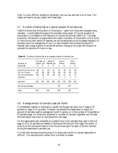<span id="page-34-0"></span>'high' is a very difficult variable to remember, and we may see here a lot of bias. This means we have to be very careful with these data.

#### *4.7 Duration of being high at a typical occasion of cannabis use*

Table 4.6 shows that the duration of intoxication – apart from those who stopped using cannabis – is quite stable throughout the cannabis using career. Of course, duration of intoxication is correlated to the frequency of use during the day (table 4.3). The large proportion (40 percent) of respondents who report a duration of intoxication of four hours or more during their period of heaviest use can be explained by the increased frequency of cannabis use on an average day of use. It is clear however that (outside the period of heaviest use) a large majority of almost 90 percent chooses to be under the influence of cannabis for periods of 4 hours or less.

| duration of                                                                  | first year of period of<br>regular use heaviest use |                     |                  |                | last 12<br>months   |                     | $last\,3$<br>months |                     |
|------------------------------------------------------------------------------|-----------------------------------------------------|---------------------|------------------|----------------|---------------------|---------------------|---------------------|---------------------|
| being high                                                                   | $\boldsymbol{n}$                                    | %                   | $\boldsymbol{n}$ | %              | $\boldsymbol{n}$    | %                   | $\eta$              | %                   |
| only for an hour or so<br>for 2 or 3 hours<br>for 4 or more hours<br>unknown | 45<br>122<br>48<br>1                                | 21<br>56<br>22<br>0 | 45<br>84<br>87   | 21<br>39<br>40 | 52<br>66<br>14<br>1 | 39<br>50<br>11<br>1 | 42<br>54<br>12<br>1 | 39<br>50<br>11<br>1 |
| sub-total                                                                    | 216                                                 | 100                 | 216              | 100            | 133                 | 100                 | 109                 | 100                 |
| did not use cannabis                                                         |                                                     |                     |                  |                | 83                  |                     | 107                 |                     |
| total                                                                        | 216                                                 |                     | 216              |                | 216                 |                     | 216                 |                     |

**Table 4.6** Duration of being high at an average occasion of cannabis use

#### *4.8 Average amount of cannabis used per month*

In Amsterdam hashish or marijuana is usually not bought per gram, but in bags of 10 guilders or bags of 25 guilders<sup>2</sup>. However, we allowed the respondent to report the amount of cannabis used on average per month in grams, or in the number of 10 guilders or 25 guilders bags. For those who answered in number of cannabis cigarettes, we included the interviewer instruction to recompute this into bags.

For the respondents who answered our question how much cannabis they used in terms of bags of 10 or 25 guilders we needed to recompute the amount from bags into grams. In order to do this we would have to know the price per gram for each of the four periods during the respondent's cannabis use.

It is clear that reconstructing the amount (in grams per month) of use per respondent is difficult. This reconstruction suffers from a number of biases: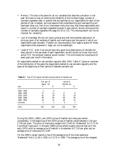- *Memory*. This bias is the same for all our variables that describe a situation in the past. We have no way of checking the reliability of the numbers (bags, number of cannabis cigarettes used, or grams) that are reported by our respondents for each of the periods of use. However, we must assume that underreporting and overreporting will level each other out. Part of our interviewer instruction was, that those respondents who report in number of cannabis cigarettes smoked in each period, should recompute this number of cannabis cigarettes into bags of ƒ10 or ƒ25. This recomputation can not be checked for reliability.
- *Lack of knowledge*. We do not have a precise and well documented description of price per gram of all varieties of hashish and marihuana over the period in which our respondents used cannabis. Therefor our recomputation from bags to grams for those respondents that answered in 'bags' can not be watertight.
- *Levels of THC*. Even if we would have very good price descriptions of cannabis for every period in the use career of each respondent, we still would not know how much active THC the smoked material would contain. This diminishes the importance of exact gram per month information.

All respondents started to use cannabis regularly after 1950. Table 4.7 gives an overview of the distribution of the years the respondents started to use cannabis regularly and the years at the beginning of their period of heaviest cannabis use.

|             | first year of<br>regular use |     | period of<br>heaviest use |     |  |  |
|-------------|------------------------------|-----|---------------------------|-----|--|--|
| year        | n                            | %   | n                         | %   |  |  |
| 1950 - 1959 |                              |     |                           |     |  |  |
| 1960 - 1969 | 27                           | 13  | 17                        | 8   |  |  |
| 1970 - 1979 | 62                           | 29  | 51                        | 24  |  |  |
| 1980 - 1989 | 99                           | 46  | 99                        | 46  |  |  |
| 1990 - 1995 | 25                           | 12  | 46                        | 21  |  |  |
| unknown     | 2                            |     | 3                         |     |  |  |
| total       | 216                          | 100 | 216                       | 100 |  |  |

**Table 4.7** Year of first regular cannabis use and period of heaviest use.

During the 1950's, 1960's, and 1970's prices of hashish and marijuana varied considerably. In the beginning of the 1970's prices of hashish varied between ƒ1.00 and ƒ7.00 per gram. The price of marijuana ranged from ƒ0.60 for 'Nederwiet' to ƒ2.75 for Columbian marijuana $^3$ . In the early 1980's prices where roughly twice as high as in the early 1970's with an average price of hashish in Amsterdam of ƒ7.50 per gram and an average price of marijuana of  $f5.00<sup>4</sup>$ .

For the 1990's, Jansen reports a rise of the average price of the most expensive 'Nederwiet' from ƒ11.40 in 1991 to ƒ13.70 in 1995. The average price of the cheapest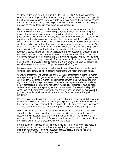'Nederwiet' decreased from  $f10.30$  in 1991 to  $f9.30$  in 1995<sup>5</sup>. Korf and Verbraeck established that a 25 guilders bag of hashish usually contains about 2.5 gram. A 25 guilder bag of marijuana on average contained a little more than 2 grams. The difference between the nominal weight of a 25 guilders bag of marijuana and the real weight (2.3 grams) was probably caused by drying out after weighing and packaging $^{\rm 6}$ .

One can observe that the prices of hashish and marijuana have risen over time since the fifties. However, this rise can largely be explained by inflation. Since 1960 the priceindex of the average year-consumption has quadrupled<sup>7</sup> which also can be said for the prices of hashish and marijuana. The only researcher in the Netherlands who has long term experience with studying economic characteristics of cannabis and the cannabis trade in the Netherlands, dr. A.C.M. Jansen at the University of Amsterdam, suggested to us that we would not make a big mistake if we would average cannabis prices over the years at f10 a gram. This runs parallel to findings of Korf and Verbraeck who state that a 25 guilder bag usually contains 2.5 grams of material. At first we doubted the usefulness of this suggestion. So, we decided to compare the respondents who report their amount of use in grams with those who report their use in bags. If the comparison would not show large differences between those who report grams and those who report 10 and 25 guilder bags (recomputed into grams by allowing ƒ10 per gram) we would accept the average price of ƒ10 per gram. This would then imply using as a rule of thumb that each 10 guilder bag contains one gram, and that each 25 guilder bag contains 2.5 grams.

Because we asked for amounts of cannabis used in four different periods, we decided to compare respondents who report bags and respondents who report grams per period.

We found that for the first year of regular use 98 respondents report in grams per month (average consumption 5.7 grams per month) and 104 respondents report in bags (average consumption 5.5 grams per month). The difference between these two categories is not significant.<sup>8</sup> For this analysis we rejected the data of one respondent who reported one kilo of cannabis per month during first year of regular use. This amount must be wrong and can be explained by a reporting error of the interviewer. For analysis we kept 215 cases. Because the difference between the two groups is not significant, we may accept the ƒ10 per gram rule for all computations of amount of use that relate to first period of regular use.

Comparing gram and bag reporters for the period of heaviest use we found that those who report grams average 20.2 grams per month (96 respondents), and that those who report bags average 17.7 grams per month (104 respondents). The difference is not significant.<sup>9</sup> This means that we may accept for this time period the rule that one gram equals ƒ10.

Doing this comparison for the period of the last twelve months prior to the interview shows that 58 respondents report in grams, averaging 6.6 grams per months, versus 71 respondents who report in bags, averaging 5.2 grams per month. The difference of 1.4 gram per month is not significant.<sup>10</sup> Again we conclude that the  $f10$  per gram rule does not lead to significant differences between the two groups.

For the period of the three months prior to interview – theoretically the most reliable report of the four time periods – those who report in grams average 6.2 grams per month(50 respondents). Those who report in bags average 5.8 grams per month (55 respondents). The difference is not significant.<sup>11</sup>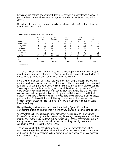Because we did not find any significant differences between respondents who reported in grams and respondents who reported in bags we decided to accept Jansen's suggestion after all.

Using the ƒ10 a gram rule allows us to make the following table (4.8) of level of use per month during four periods.

|                          | first year of<br>regular use |       | period of<br>heaviest use |       | last 12<br>months       |       | last3<br>months       |       | last<br>month           |       |
|--------------------------|------------------------------|-------|---------------------------|-------|-------------------------|-------|-----------------------|-------|-------------------------|-------|
| amount                   | n                            | %     | $\boldsymbol{n}$          | %     | $\boldsymbol{n}$        | %     | $\eta$                | %     | $\boldsymbol{n}$        | %     |
| less than 1 gram         | 64                           | 29.6  | 22                        | 10.2  | 49                      | 36.8  | 41                    | 37.6  | 19                      | 17.4  |
| $1$ to $2.5~{\rm grams}$ | 54                           | 25.0  | 30                        | 13.9  | 28                      | 21.1  | 22                    | 20.2  | 33                      | 30.3  |
| $2.5$ to $5$ grams       | 40                           | 18.5  | 37                        | 17.1  | 26                      | 19.5  | 18                    | 16.5  | 16                      | 14.7  |
| 5 to 10 grams            | 20                           | 9.3   | 42                        | 19.4  | 14                      | 10.5  | 14                    | 12.8  | 11                      | 10.1  |
| 10 to 25 grams           | 17                           | 7.9   | 34                        | 15.7  | 3                       | 2.3   | $\mathbf{2}$          | 1.8   | 18                      | 16.5  |
| more than 25 grams       |                              | 3.2   | 37                        | 17.1  | 11                      | 8.3   | 10                    | 9.2   | 10                      | 9.2   |
| unknown                  | 14                           | 6.5   | 14                        | 6.5   | 2                       | 1.5   | 2                     | 1.8   | 2                       | 1.8   |
| sub-total                | 216                          | 100.0 | 216                       | 100.0 | 133                     | 100.0 | 109                   | 100.0 | 109                     | 100.0 |
| none use                 | ٠                            |       | $\overline{\phantom{a}}$  |       | 83                      |       | 107                   |       | 107                     |       |
| total                    | 216                          |       | 216                       |       | 216                     |       | 216                   |       | 216                     |       |
| mean                     | $10.5$ gram                  |       | $19.2$ gram               |       | $6.0$ gram <sup>*</sup> |       | $6.2~\mathrm{gram}^*$ |       | $6.5$ gram <sup>*</sup> |       |

**Table 4.8** Amount of cannabis used per month in four periods.

*\* non users excluded*

The largest range of amounts of use was between 0.2 grams per month and 300 grams per month during the period of heaviest use. Sixty percent of all respondents report a level of use below 10 grams per month during the period of heaviest use.

For a division of amount of cannabis use over time into a simpler system, like low level, medium level and high level use, we decided to create the following categories: low level is all use up till 2.5 grams per month. Medium level is defined as all use between 2.5 and 10 grams per month. All use over ten grams a month is defined as high level use. This quite conservative division was created by asking a few very experienced and long term cannabis users – all non participants of our study – in the Netherlands and the United States of America to give their opinion. All these experienced users were fully employed persons in their forties and fifties, and this may have influenced their opinions. No objective criterion was used, and this division in low, medium and high level of use is therefor arbitrary.

Using this categorisation allows us to draw the following figure (4.3) to show development of level of use over time in a similar way as we did in our cocaine studies<sup>12</sup>.

We show that high level use occurs during first year of regular use with 11 percent, to increase 34 percent during period of heaviest use, decreasing to seven percent for last three months prior to the interview. If we exclude the almost 50 percent that shows no use at all during the last three months prior to interview, we could say that high level use is consistent at about 11 percent of current users.

The average length of the cannabis use career is 12 years for the whole sample of 216 respondents. Respondents who had quit cannabis use<sup>13</sup> had an average cannabis using career of 9.6 years. The respondents who had not quit cannabis use reported an average cannabis using career of  $13.8$  years.<sup>14</sup>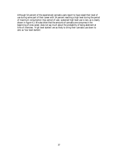Although 54 percent of the experienced cannabis users report to have raised their level of use during some part of their career with 34 percent reaching a high level during the period of maximum consumption (top period of use), sustained high level use is rare, as is clearly shown in figure 4.3. We also show that the amounts of cannabis one consumes in the beginning of ones career, does not say much about the probability of being abstinent at time of interview. 'High level starters' are as likely to bring their cannabis use down to zero as 'low level starters'.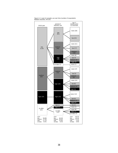

Figure 4.3. Level of cannabis use over time (number of respondents between brackets, N=216)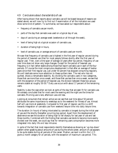## *4.9 Conclusions about characteristics of use*

After having shown that reports about cannabis use will be biased because of reasons we stated above, we will now try to find out if examination of all the indicators we used show some kind of pattern. To summarise, we have asked our respondents about:

- frequency of cannabis use per month,
- parts of the day that cannabis was used on a typical day of use,
- days of use during an average week (weekends or all through the week),
- level of being high at a typical occasion of cannabis use,
- duration of being high in hours,
- level of cannabis use, or average amount of cannabis used per month.

We saw that frequency of cannabis use is highest in the first year of regular use and during the period of heaviest use (that for most people follows shortly after the first year of regular use). Then, over a time span of average 10 years after top period, frequency of use over time does not show very large changes. Except for the period of heaviest use, frequency is in fact rather stable among those that report cannabis use in each of the four periods. Of course the most conspicuous development is that after an average of twelve years since their first regular use, just under 50 percent has stopped consuming regularly. We will dedicate some more attention to these quitters later. The rest who has not quitted, shows a remarkable stability. By dividing the cannabis users in two categories, those that use more than once a week, and those that use less than once a week, we see that with the exception of the period of heaviest use, the division between these two groups remains stable at roughly  $50-50$ .<sup>15</sup> Daily use occurs with about 17 percent of the remaining users.

Stability is also the case when we look at parts of the day that are seen fit for cannabis use. We already concluded that for most users the evening and the night are the times for cannabis. Morning use is rare, afternoon use a bit less.

Looking at consumers that remain active we can see that over time about 50 percent attributes the same importance to weekdays as to the weekend for fitness of use. Almost half will use more at weekends. Compared to first year of regular use this is a shift towards integration of cannabis use from weekend leisure time into daily leisure time.

The duration (in hours) of being intoxicated by cannabis is longest during the initial year of use and the shortly thereafter occurring top period. Apart from the development of abstinence we see the duration of being high to fall sharply for last year of use and last three months. Combined with the finding that cannabis use tends to become more evenly divided over the week, we could say that for remaining users consumption becomes more integrated into daily life *and* less intrusive.

In spite of the fact that most respondents identify themselves as showing an 'up-top-down' pattern when speaking about amounts of use during the whole career, amount of use appears to be quite stable during all periods of the career. *Median use level is within the 1-2.5 grams a month category for all periods*, with the exception of maximum use period. This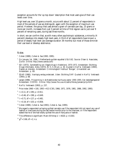exception accounts for the 'up top down' description that most users give of their use levels over time.

High level use, over 10 grams a month, occurs with about 11 percent of respondents in most of the periods of use we distinguish, again with the exception of maximum use period. However, the group that uses almost a gram of cannabis per day, 25 grams or more per month, increases from just 3 percent at time of first regular use to just over 9 percent of remaining users, during last three months.

In short, we can confirm that, as with many other psychotropic substances, a minority (4 percent) develops into steady high level users. A third of all respondents have known a period of steady high level use (average duration 39 months) but most of those diminish their use level or develop abstinence.

#### *Notes*

1 Cohen (1989), Cohen & Sas (1993, 1995).

- $2^2$  [On January 1st, 1996, 1 Netherlands guilder equalled US\\$ 0.62. Source: Olsen & Associates,](http://www.oanda.com/) Zürich. Online: http://www.oanda.com/
- 3 SDI (1973), *Samenstelling van illegale drugs in Nederland, 1970-1973*. Amsterdam: Stichting Drugs Informatie. *Aloha* (1973), Nr 5, 5-19 juli, p. 30. Quoted in Korf & Verbraeck (1993), *Dealers en dienders*. Amsterdam: Criminologisch Instituut 'Bonger', Universiteit van Amsterdam. p. 69.
- <sup>4</sup> SDAP (1980), *Voorlopig verslag onderzoek*. Uden: Stichting DAP. Quoted in Korf & Verbraeck (1993), p. 68.
- 5 Jansen (1996)*, Prijsvorming in de Nederlandse marihuana-sector 1990-1995; Een beleidsperspectief.* [Amsterdam: CEDRO. Online: http://www.frw.uva.nl/cedro/library/jansen/prijs.html.](http://www.cedro-uva.org/lib/jansen.prijsvorming.html)

6 Korf & Verbraeck (1993), p. 237.

<sup>7</sup> Price index 1960 = 100, 1993 = 413 (CBS, 1966, 1971, 1976, 1981, 1986, 1992, 1995).

 $t = 0.11$ ; df = 199; p = 0.911.

- $t = 0.46$ ; df = 198; p = 0.649.
- <sup>10</sup>  $t = 0.71$ ; df = 127; p = 0.481.
- <sup>11</sup>  $t = 0.18$ ; df = 103; p = 0.858.

12 Cohen (1989), Cohen & Sas (1993), Cohen & Sas, (1995).

 $^{\rm 13}$  We regard a respondent as having quitted cannabis use if the respondent did not report any use of hashish or marijuana during the last twelve months prior to the interview, or if the respondent stated that he or she had totally quitted the use of marijuana or hashish.

<sup>14</sup> This difference is significant: Mann-Whitney U = 4020;  $p = 0.003$ .

<sup>15</sup>  $\gamma^2$  = 3.66; df = 2; n.s.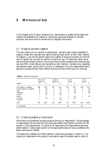# **5 METHODS OF USE**

In this chapter we will report answers of our respondents to questions that dealt with matters like preference for hashish or marihuana, perceived strength of cannabis products, and some control mechanisms to regulate intoxication.

#### *5.1 Modes of cannabis ingestion*

The vast majority of our sample of experienced cannabis users makes cigarettes of tobacco mixed with cannabis and report smoking these 'joints' as their main method of ingestion. Just over 90 percent report this method of smoking cannabis for the first year of regular use, and also for period of maximum use. Of those who report some use during last twelve months or during last three months preceding the interview also just over 90% mixed tobacco and cannabis as main method. Cannabis only cigarettes are reported rarely, as the use of a chillum or waterpipe. Only two respondents report eating of cannabis as their main method during the three months prior to interview.

|                              | first year of<br>regular use |                          | period of<br>heaviest use |       | last 12<br>months |       | last3<br>months |       |
|------------------------------|------------------------------|--------------------------|---------------------------|-------|-------------------|-------|-----------------|-------|
| method                       | $\boldsymbol{n}$             | %                        | $\eta$                    | %     | $\eta$            | %     | $\eta$          | %     |
| with tobacco in cigarette    | 196                          | 90.7                     | 197                       | 91.2  | 120               | 90.2  | 100             | 91.7  |
| without tobacco in cigarette | 6                            | 2.8                      | 5                         | 2.3   | 6                 | 4.5   | 3               | 2.8   |
| pipe                         | 8                            | 3.7                      | 5                         | 2.3   | 3                 | 2.3   | 3               | 2.8   |
| waterpipe                    | $\overline{2}$               | 0.9                      | 5                         | 2.3   |                   | 0.8   |                 | 0.9   |
| chillum                      | $\overline{2}$               | 0.9                      | $\overline{c}$            | 0.9   |                   |       |                 |       |
| eating                       |                              |                          |                           |       | $\overline{c}$    | 1.5   | $\overline{c}$  | 1.8   |
| drinking                     | $\overline{c}$               | 0.9                      |                           | 0.5   |                   | 0.8   |                 |       |
| unknown                      |                              | $\overline{\phantom{0}}$ |                           | 0.5   |                   |       |                 |       |
| total                        | 216                          | 100.0                    | 216                       | 100.0 | 133               | 100.0 | 109             | 100.0 |
| not applicable               |                              |                          |                           |       | 83                |       | 107             |       |

**Table 5.1** Methods of cannabis use

#### *5.2 Preferring hashish or marihuana?*

Marihuana is the preferred cannabis products among our respondents. The percentage of respondents who say that they like marihuana better than hashish is almost half (46 percent or 100 respondents). A quarter of all respondents (56 respondents) says they prefer hashish. Twenty-eight percent of the respondents does not have a preference for either marihuana or hashish.

The reasons for preference of either hashish or marihuana are shown in table 5.2. The majority of respondents who prefer to use hashish report the better taste or smell of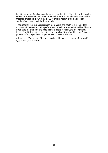hashish as a reason. Another proportion report that the effect of hashish is better than the effect of marihuana and that hashish is somewhat easier to use. The varieties of hashish that are preferred are shown in table  $5.3.^{\scriptscriptstyle 1}$  Moroccan hashish is the most popular variety, after Lebanon and the Asian varieties.

The perception that marihuana is purer, more natural and healthier is an important motivation for respondents who prefer to smoke marihuana instead of hashish. Also the better taste and smell and the more desirable effects of marihuana are important factors. The Dutch variety of marijuana (often called 'Skunk' or 'Nederwiet') is very popular. Of all respondents, 38 percent says to prefer Nederwiet.

A large part of 34 percent of the respondents said to have no preference for a specific type of hashish or marijuana.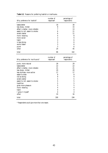| Why preference for hashish?     | number of<br>responses* | percentage of<br>respondents |
|---------------------------------|-------------------------|------------------------------|
| tastes better                   | 16                      | 30                           |
| less sharp, milder              | 8                       | 15                           |
| effect is better, more reliable |                         | 13                           |
| easier to roll, easier to smoke | 6                       | 11                           |
| smells better                   | 6                       | 11                           |
| more relaxing                   | 4                       | 8                            |
| more social                     | 3                       | 6                            |
| habit                           | 3                       | 6                            |
| is less strong                  | 3                       |                              |
| works faster                    | 3                       |                              |
| purer                           | 3                       |                              |
| other                           | 24                      | 45                           |
| total                           | 86                      | 162                          |

**Table 5.2** Reasons for preferring hashish or marihuana.

| Why preference for marihuana?   | number of<br>responses* | percentage of<br>respondents |
|---------------------------------|-------------------------|------------------------------|
| purer, more natural             | 28                      | 29                           |
| tastes better                   | 22                      | 22                           |
| effect is better, more reliable | 21                      | 21                           |
| less sharp, milder              | 20                      | 20                           |
| less dullness, more active      | 17                      | 17                           |
| easier to dose                  | 8                       | 8                            |
| not so strong                   | 9                       | 9                            |
| smells better                   | 5                       | 5                            |
| easier to roll, easier to smoke | 5                       | 5                            |
| healthier                       | 5                       | 5                            |
| gives more pleasure             | 5                       | 5                            |
| more relaxing                   | 4                       | 4                            |
| habit                           | 4                       | 4                            |
| I grow it myself                | 4                       |                              |
| other                           | 33                      | 34                           |
| total                           | 190                     | 194                          |

*\* Respondents could give more than one reason.*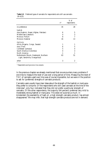|                                                                           | $n^*$ | $%$ of<br>respondents |
|---------------------------------------------------------------------------|-------|-----------------------|
| no preference                                                             | 35    | 28                    |
| hashish                                                                   |       |                       |
| Asia (Kashmir, Nepal, Afghan, Pakistan)                                   | 6     | 5                     |
| Middle East (Lebanon)                                                     | 4     | 3                     |
| Morocco Pollum                                                            | 8     |                       |
| Morocco Katamar                                                           | 16    | 13                    |
| marijuna                                                                  |       |                       |
| Africa (Nigeria, Congo, Swasie)                                           | 1     |                       |
| Asia (Thai)                                                               | 6     | 5                     |
| Caribbean (Jamaica)                                                       | 5     | 4                     |
| South America (Colombia)                                                  | 4     | 3                     |
| North America                                                             | 1     |                       |
| Netherlands (Skunk, Nederwiet, Northern<br>Light, Sensimilia, Orange Bud) | 63    | 51                    |
| other                                                                     | 3     | 2                     |

**Table 5.3** Preferred types of cannabis for respondents who still use cannabis (N=123).

*\* Respondents could give one or two answers.*

In the previous chapter we already mentioned that one encounters many problems if one tries to measure the level of use over a long period of time. Measuring the level of THC of cannabis used over time was of course impossible, but we were in the position to ask for (preferred) *strengths* of cannabis products.

Cannabis users usually have clear ideas about the strength of the hashish or marijuana they prefer to consume. Of the respondents who still used cannabis at the time of the interview ${\mathring{\text{\emph{\i}}} }$ , only four indicated that they did not prefer a particular strength of cannabis. Of the other respondents, the majority (64 percent) preferred very mild to moderately strong hashish or marijuana. This does not surprise us much. In Amsterdam the availability of hash oil, a high strength cannabis product, has almost disappeared.3 We may infer, that high strength cannabis products are not in demand.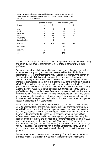|                 | preferred strength |     | strength actually used |     |
|-----------------|--------------------|-----|------------------------|-----|
| strength        | n                  | %   | n                      | %   |
| very mild       | 5                  | 4   | 4                      | 4   |
| mild            | 32                 | 27  | 27                     | 25  |
| moderate        | 39                 | 33  | 31                     | 28  |
| strong          | 36                 | 30  | 41                     | 37  |
| very strong     | 4                  | 3   | 7                      | 6   |
| does not matter | 4                  | 3   |                        |     |
| sub-total       | 120                | 100 | 110                    | 100 |
| did not use     |                    |     | 10                     |     |
| unknown         | 3                  |     | 3                      |     |
| total           | 123                |     | 123                    |     |

**Table 5.4** Preferred strength of cannabis for respondents who had not quitted cannabis use, and the strength of the cannabis actually consumed during the last thirty days prior to the interview.

The *experienced* strength of the cannabis that the respondents actually consumed during the last thirty days prior to the interview is more or less in agreement with their preference.

We asked respondents what they would do on occasions when they are – unexpectedly – using a particularly strong or potent marijuana or hashish. Two-thirds of the respondents (N=144) answered that they would use less than normal. One quarter, or 56 respondents said that they would use about the same amount. Only six persons answered that they would use more on such an occasion. The most important reasons mentioned to smoke less cannabis in such a case was the wish to prevent too much of an effect (35.2 percent of all responses), to reach a certain level of intoxication (20 percent of all responses), and because one needs less for the desired effect (16 percent). Apparently many respondents have a particular level of intoxication they regard as preferable, and they titrate the dosage of consumed cannabis to reach just that level. In other words, for a large proportion of cannabis users consumption is only functional at a particular level of intoxication, not less, not more. This means that both level of intoxication, and the ways to reach and maintain that level, could be seen as important aspects of the competence to use cannabis.

When asked if one would prefer a stronger variety over a milder variety of cannabis, only 23 respondents said that they would prefer a stronger or more potent variety of cannabis if that was available. The most important reasons they mentioned were the fact that you need less marijuana or hashish (eight respondents). The large majority however (190 respondents, 90 percent) would not prefer a stronger variety. Many different reasons were mentioned for not wanting a stronger variety, but clearly the reasons 'strong enough now' and 'no need for it' (together mentioned 94 times or 30.6 percent of all answers) are the most important. 'Too much effect/too stoned' is mentioned 60 times (25.3 percent of all answers) as the reason not to opt for a stronger variety of cannabis. This means that even if stronger varieties would show up on the market in Amsterdam, we have good reasons to doubt that such varieties would gain popularity.

We see here a certain conservatism with the majority of cannabis users in relation to preferred strength. Explanation may be that in the relatively long time that the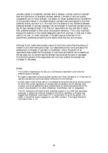cannabis market in Amsterdam has been able to develop, a certain optimum strength level and distribution of strengths has been reached. Cannabis of very low quality, unpleasantly low (or high) strength, is probably no longer available due to competition on the cannabis market. In this stable situation cannabis users have learned to buy their preferred brands, and stick to it. We infer from the absence of any difference between preferred strength of cannabis (average 3.28) and strength of consumed cannabis during last 30 days (average strength 3.22) that our respondents are very well able to adjust their preferred strength to their actual consumption behaviour. This is very important because this stability on the market safeguards users from surprises. In that way it helps users to not over- or under intoxicate, in the same way as consumers of licit psychotropic substances are able to know exactly what they buy and consume.

Although Dutch media have quoted a report by the Dutch police that the potency of modern Dutch bred marihuana is high $^4$ , our respondents are not conclusive about the development of strength of cannabis in Amsterdam. About 36 percent of all respondents state indeed that the strength of marihuana and hashish has increased over the last years, but 31 percent says the strength has remained the same or decreased. One-third(33 percent) of the respondents did not know whether the strength had increased or decreased.

#### *Notes*

- 1 The number of responses do not add up to 216 because a respondent could name two preferred types of cannabis.
- $^{\text{2}}\,$  We regard a respondent as having quitted cannabis use if they indicated so, or if they had not used any cannabis during the last twelve months prior to the interview.
- <sup>3</sup> Another reason might be that hash oil is considered by the authorities as too strong a product, for which the normal regulations of cannabis decriminalisation are not officially valid. However, during the eighties and early nineties almost no checks were performed on the product range available in so called coffeeshops. Nevertheless, hash oil disappeared.
- <sup>4</sup> The CRI, Recherche Informatie Dienst, published a report in july 1992 that was widely publicised. It stated that chemical analyses by the Police Laboratory in Rijswijk had revealed that 'Nederwiet' could have a THC concentration of up till 40 percent. CRI (1992), *Confidentieel Raport* Jaargang 13, July 1992, number 2. The Hague: Recherche Informatie Dienst. p. 10.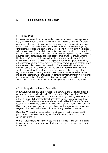# **6 RULES A ROUND CANNABIS**

#### *6.1 Introduction*

In chapter four we concluded from data about amounts of cannabis consumption that many cannabis users regulate the amount of material they ingest according to pre-set criteria about the level of intoxication that they want to reach at a certain occasion of use. In chapter 5 we noted that users adjust their intake via the type of (strength of) cannabis they purchase. We assumed that we would find more regulating mechanisms with cannabis users. Such regulating mechanisms can more generally be seen as 'rules of use'. According to Schneider rules of use "co-ordinate and regulate drug use behaviour, prevent negative consequences and boost positive drug effects"<sup>1</sup>. Although Zinberg, Harding and Winkelier use the concept of 'ritual' where we would use 'rule' they understand that rituals and sanctions among drug users have multiple functions: they define moderate use and prevent excessive use, define physical or social contexts where use is less safe or less pleasant, aid prevention of dependence, aid mutual control between users, and regulate non drug use relations with the wider social context in which users live ${\rm ^2}$ . Basic to most present day drug policies is the idea that a strong regulatory structure in the drug use arena has to come from external and repressive institutions like the law, and the judicial. We show here that users report many internal regulatory mechanisms. Therefor, the reliance on external institutional mechanisms and the absence of attention for user's internal regulatory potential is not justified.

## *6.2 Rules applied to the use of cannabis*

In our survey we explicitly asked if respondents have rules, and we gave an example of an exclusionary rule relating to coffee.<sup>3</sup> Of our sample of 216 respondents, 151 (70 percent) confirmed to apply rules to their use of cannabis; in all they mentioned 245 rules. This means that respondents apply more than one rule (on average 1.6 rule per respondent) .The rules that were reported are shown in table 6.1. The most frequently reported rule is an exclusionary one: not to use cannabis during work or while studying. Many other exclusionary rules were given. This creates the suspicion that the example we gave in the questionnaire (an exclusionary rule) may have been suggestive.

More than 60 percent of the respondents report types of rules that are designed to prevent conflicts with work or study, and rules that limit the use of cannabis to a certain part of the day.

Of the 151 respondents who report to apply rules to their use of hashish or marihuana, 64 percents says to stick to these rules strictly. Another 34 percent says to usually stick to these rules.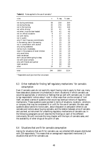| rules                                   | n              | % resp. | % cases |
|-----------------------------------------|----------------|---------|---------|
| not during work/study                   | 58             | 23.8    | 26.9    |
| not during the day                      | 43             | 17.6    | 19.9    |
| not in the morning                      | 32             | 13.1    | 14.8    |
| not while driving                       | 10             | 4.1     | 4.6     |
| not when I must be clear-headed         | 10             | 4.1     | 4.6     |
| not on official occasions               | 9              | 3.7     | 4.2.    |
| not with family                         | 9              | 3.7     | 4.2     |
| not in public                           | 7              | 2.9     | 3.2     |
| only if I don't have any commitments    | 7              | 2.9     | 3.2     |
| in the evening, late in the evening     | 6              | 2.5     | 2.8     |
| not in combination with alcohol         | 5              | 2.0     | 2.3     |
| only during weekends                    | 4              | 1.6     | 1.9     |
| not too much, moderately                | 4              | 1.6     | 1.9     |
| never in the presence of small children | 4              | 1.6     | 1.9     |
| only use at home                        | 4              | 16      | 1.9     |
| never use abroad                        | 4              | 1.6     | 1.9     |
| don't use just before going to sleep    | 4              | 1.6     | 1.9     |
| not with social contacts                | 4              | 1.6     | 1.9     |
| only with friends and partner           | 4              | 1.6     | 1.9     |
| never use alone                         | $\overline{2}$ | 0.8     | 0.9     |
| other                                   | 14             | 5.7     | 6.5     |
| total                                   | 244            | 100.0   | 112.4   |

**Table 6.1** Rules applied to the use of cannabis.\*

*\* Respondents could give more than one answer.* 

## *6.3 Other methods for finding 'self regulatory mechanisms ' for cannabis consumption*

Even if cannabis users do not explicitly report having rules to apply to their use, many have ideas about places and circumstances (in short: situations) in which cannabis use would be appropriate, or emotions or feelings that go well with cannabis use. In order to tap respondents' notions about 'rules' in other ways than via the concept of 'rule' itself, we asked a series of questions that would tap eventual notions of regulatory mechanisms. These questions were worded in terms of situations, locations , emotions or company that may be considered fit or unfit for the use of cannabis. We also used questions about advice to novice users , about dissuasion or persuasion others to use cannabis and notions about buying cannabis, and the relation between price of cannabis and use level, as instrument for unearthing regulatory mechanisms of cannabis use. In the following paragraphs we will describe the findings on each of the different instruments. We will conclude this long chapter with the topic of cannabis sales, and the availability of other drugs at the point of sale.

#### *6.4 Situations that are fit for cannabis consumption*

Asking for situations that are fit for cannabis use, we collected 628 answers distributed with 216 respondents. This means that on average each respondent mentioned 2.9 situations that are fit for cannabis use.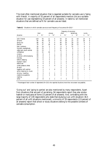The most often mentioned situation that is regarded suitable for cannabis use is 'being with friends'. A majority of 55 percent of all respondents mention this as a suitable situation for use (representing 19 percent of all answers). In table 6.2 all mentioned situations that are defined as fit for cannabis use are listed.

|                            |                  |                |                          |                |                |                | frequency of occurence |                |                  |                |
|----------------------------|------------------|----------------|--------------------------|----------------|----------------|----------------|------------------------|----------------|------------------|----------------|
|                            | total            |                | always                   |                | often          |                | sometimes              |                | rarely           |                |
| situation                  | $\boldsymbol{n}$ | $\%^{*}$       | $\eta$                   | $\%^{*}$       | $\eta$         | $\%^{*}$       | $\eta$                 | $\%^*$         | $\boldsymbol{n}$ | $\%^*$         |
| with friends               | 119              | 55             | 11                       | 5              | 53             | 25             | 41                     | 19             | 14               | 6              |
| at home                    | 94               | 44             | 10                       | 5              | 43             | 20             | 23                     | 11             | 18               | 8              |
| going out                  | 88               | 41             | 9                        | 4              | 44             | 20             | 29                     | 13             | 6                | 3              |
| parties                    | 79               | 37             | 18                       | 8              | 28             | 13             | 28                     | 13             | 5                | $\overline{c}$ |
| park, outdoors             | 30               | 14             | 5                        | $\overline{c}$ | 6              | 3              | 15                     | 7              | 4                | $\overline{c}$ |
| concerts, popfestivals     | 29               | 13             | 7                        | 3              | 13             | 6              | 6                      | 3              | 3                | 1              |
| cafés, bars, youth centres | 29               | 13             | 7                        | 3              | 11             | 5              | 7                      | 3              | 4                | 2              |
| coffeeshop                 | 23               | 11             | 16                       | 7              | 2              | 1              | 4                      | $\overline{2}$ |                  | 0              |
| cinema                     | 20               | 9              | 3                        |                | 8              | 4              | 8                      | 4              |                  | 0              |
| at school, while studying  | 18               | 8              | 1                        | 0              | 8              | 4              | 5                      | $\overline{c}$ | 4                | 2              |
| holiday                    | 13               | 6              | 3                        | 1              | 2              | 1              | 5                      | $\overline{c}$ | 3                | 1              |
| before sleeping            | 10               | 5              | 5                        | $\overline{c}$ | $\overline{2}$ |                | $\overline{2}$         |                | 1                | 0              |
| football match             | 8                | 4              | 4                        | $\overline{c}$ | 1              | 0              | 3                      |                |                  |                |
| before sex                 | 8                | 4              | $\overline{c}$           | 1              | $\overline{2}$ |                | 4                      | $\overline{c}$ |                  |                |
| under pressure, stress     | 8                | 4              | 1                        | 0              | 3              |                | 3                      | 1              | 1                | $_{0}$         |
| at work                    | 8                | 4              |                          |                | 4              | $\overline{c}$ | 3                      |                |                  | 0              |
| together with partner      |                  | 3              | 1                        | 0              | $\overline{2}$ |                | 3                      |                | 1                | 0              |
| while listening to music   |                  | 3              |                          |                | $\overline{2}$ |                | 5                      | 2              |                  |                |
| driving, traveling         | 6                | 3              | $\overline{c}$           | 1              | 2              | 1              | 2                      |                |                  |                |
| creative occupations       | 4                | $\overline{c}$ | 1                        | 0              | $\overline{2}$ | 1              | 1                      | 0              |                  |                |
| reading                    | 3                |                | $\overline{\phantom{a}}$ |                | $\sim$         |                | 3                      |                |                  |                |
| other                      | 17               | 8              | 3                        | 1              | 7              | 3              | 7                      | 3              |                  |                |

Table 6.2 Situations in which cannabis use occurs and frequency of occurence (N=216).<sup>\*</sup>

*\* Percentages of total number of respondents (N=216) who reported situations (more than one answer was possible).*

'Going out' and 'going to parties' are also mentioned by many respondents. Apart from situations that are part of socialising, 94 respondents report they also smoke hashish or marijuana at home (15 percent of all answers). And, contrasting with the large majority of 139 respondents who state that studying is an unfit situation( 36.5 percent of all unfit situations mentioned), a minority of 18 respondents (2,9 percent of all answers) report that school or study situations belong to the possible contexts of cannabis consumption.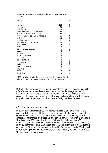| setting                                 | $\eta$         | $\%^{*}$         |
|-----------------------------------------|----------------|------------------|
| work, study                             | 138            | 69               |
| with parents                            | 33             | 17               |
| with family                             | 30             | 15               |
| public buildings, official occasions    | 23             | 12               |
| with achievements, concentration        | 22             | 11               |
| with non-users, people who would object | 16             | 8                |
| in traffic                              | 16             | 8                |
| traveling abroad                        | 11             | 6                |
| going out, with other people            | 10             | $\overline{5}$   |
| with children                           | 9              | 5                |
| sports                                  | 8              | 4                |
| daily life, social contacts             | 6              | 3                |
| outdoors                                | 6              | 3                |
| at home                                 | 6              | 3                |
| if it is not allowed                    | 6              | 3                |
| restaurants                             | 4              | $\boldsymbol{2}$ |
| public transport                        | 4              | $\boldsymbol{2}$ |
| with partner                            | 4              | $\boldsymbol{2}$ |
| parties                                 | 3              | $\overline{c}$   |
| never during the day                    | 3              | $\overline{c}$   |
| pregnancy                               | $\overline{2}$ | 1                |
| other                                   | 19             | 10               |
| don't know                              | 1              | 1                |

**Table 6.3**Situations that are not regarded suitable for cannabis use  $(N=200)^{*}$ 

*\* 200 respondents reported that there are situations that they regarded not suitable for cannabis use. Respondents could give more than one answer.* 

Only 200 of 216 respondents mention situations that are unfit for cannabis use (table 6.3). We asked to name at least two unfit situations, but the average number of mentioned unfit situations is only 1.9. Studies and work (or achievement situations in general) is the most often mentioned unfit situation, closely followed by the company of specific persons (non-users, children, parents, family members, partners).

#### *6.5 Emotions and cannabis use*

In our questionnaire we distinguished between situations, emotions, locations and company that are fit, or unfit, for cannabis consumption. In the case of emotions that go well with the use of cannabis, only 168 respondents affirm they recognise such emotions. They mention on average 1.8 emotion per person. Most often mentioned is "joy, happiness" (59 respondents) closely followed by "feeling relaxed"(38 respondents), "feeling good" (37 respondents) and "sexual feelings" (23 respondents). It is very clear that positive emotions related to joy are fit for cannabis use. Negative emotions are fit as well, but they are mentioned by far less respondents. "Feeling bad, or depressive" goes well with cannabis use for 16 respondents, "tension" for seven and "feeling bored" for four respondents.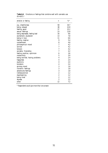| emotion or feeling             | $\boldsymbol{n}$         | $\%^{*}$ |
|--------------------------------|--------------------------|----------|
| joy, cheerfulness              | 58                       | 34.7     |
| being relaxed                  | 38                       | 22.8     |
| feeling good                   | 37                       | 22.2     |
| sexual feelings                | 23                       | 13.8     |
| being depressed, feeling bad   | 16                       | 9.6      |
| excitement, exuberant          | 13                       | 7.8      |
| being in love                  | 11                       | 6.6      |
| feeling creative               | 9                        | 5.4      |
| contentment                    | 8                        | 4.8      |
| philosophical mood             | 7                        | 4.2      |
| sorrow                         | $\overline{\mathcal{U}}$ | 4.2      |
| tension                        | 7                        | 4.2      |
| sociable, friendship           | 7                        | 4.2      |
| feeling positive, optimism     | 6                        | 3.6      |
| melancholy                     | $\overline{5}$           | 3.0      |
| being worried, having problems | 4                        | 2.4      |
| happyness                      | 4                        | 2.4      |
| euphoria                       | 4                        | 2.4      |
| boredom                        | 4                        | 2.4      |
| grumpy mood                    | 3                        | 1.8      |
| romantic feelings              | 3                        | 1.8      |
| adventures feelings            | 3                        | 1.8      |
| liefdesverdriet                | $\boldsymbol{2}$         | 1.2      |
| daydreaming                    | $\overline{c}$           | 1.2      |
| being tired                    | $\boldsymbol{2}$         | 1.2      |
| shyness                        | $\overline{c}$           | 1.2      |
| other                          | 12                       | 7.2      |

Emotions or feelings that combine well with cannabis use Table 6.4<br>(N=167).\*

*\* Respondents could give more than one answer.*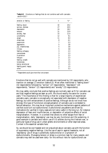| emotion or feeling  | n                | $\% *$ |
|---------------------|------------------|--------|
| feeling down        | 32               | 24.2   |
| sorrow, distress    | 27               | 20.5   |
| depression          | 24               | 18.2   |
| tension             | 21               | 15.9   |
| anxiety, fear       | 15               | 11.4   |
| uncertainty         | 12               | 9.1    |
| anger               | 11               | 8.3    |
| dreariness          | 8                | 6.1    |
| pessimism           | 7                | 5.3    |
| aggression          | $\overline{5}$   | 3.8    |
| joy, cheerfulness   | $\overline{5}$   | 3.8    |
| illness             | $\overline{5}$   | 3.8    |
| feeling unhappy     | 3                | 2.3    |
| nervousness         | 3                | 2.3    |
| frustration         | 3                | 2.3    |
| fatigue             | 3                | 2.3    |
| feeling unsafe      | $\boldsymbol{2}$ | 1.5    |
| lonelyness          | $\overline{c}$   | 1.5    |
| being emotional     | $\overline{c}$   | 1.5    |
| feeling good, happy | $\boldsymbol{2}$ | 1.5    |
| other               | 7                | 5.3    |

**Table 6.5**Emotions or feelings that do not combine well with cannabis use (N=132).\*

*\* Respondents could give more than one answer.* 

Emotions that do not go well with cannabis are mentioned by 132 respondents, who mention on average 1.5 emotion (table 6.5). Most often mentioned is "feeling down" (32 respondents) followed by "sorrow" (27 respondents), "depression" (24 respondents), "tension" (21 respondents) and "anxiety" (15 respondents).

We may safely conclude that positive feelings are normally seen as fit for cannabis use and that negative feelings are seen as unfit. We found exactly the same for cocaine users.<sup>4</sup> The importance of this finding is that for a large majority of experienced cannabis users, cannabis is conceptually not associated with depression of negative feelings, but with enhancement of positive feelings. Although we do not know how strongly this type of functional conceptualisation of cannabis use is correlated to factual behaviour, this may be an important protective mechanisms against patterns of use that could turn out dysfunctional. Dysfunctional use patterns are driven by motivations for use that in many cases are not (very) useful in the long run, for instance depression of fears and insufficiencies, or depression of subjective effects of social marginalisation. However, in a context that allows no other escape from fear or marginalisation, daily 'depressing' use may be very functional and life sustaining. A good example is cannabis and heroin use of US soldiers during the Vietnam war, or particular types of drug use in urban ghetto environments or other deprived areas. Context is the essential variable here.

So, we should be cool headed and not prejudiced about cannabis use with the function of suppressing negative feelings. Like the use of aspirin against headache, not all 'depressing' use of drugs is potentially dysfunctional or a symptom of dysfunctionality. Managing tension or stress is a common task for many people, and cannabis may well be used-even daily- for this without risks for dysfunctional use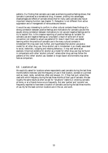patterns. Our finding that cannabis use is seen as enhancing positive feelings shows, that cannabis is perceived as a recreational drug. However, probing into advantages, disadvantages and effects of cannabis shows that for many users cannabis also has an important relaxing function (see chapter 7). Relaxation is not different from active suppression and or management of nervousness and tension.

It would be very interesting to confirm in other cultural contexts these findings of a strong correlation between positive feelings and motivations for cannabis use and the equally strong correlation between motivations to *not* use and negative feelings and to try to explain this. Is this massive reporting of positive feelings as 'suitable' for cannabis use and negative feelings as 'unsuitable' a result of some sort of social convention not related to actual use patterns? Or does it result from use related learning within the practice of cannabis use in the many cultural contexts in Amsterdam? We may even look further, and hypothesise that alcohol use gives a model for all other drug use. Since alcohol use in Amsterdam is so closely associated to social, hedonistic, outgoing and relaxing behaviour, it may well serve as an example. Empirical evidence for alcohol as a model for other drug use may be found in comparisons with other 'alcohol cultures'5 , where other drug use may follow the patterns of this 'other' alcohol use. Sweden or Anglo-Saxon environments may serve here as comparison.

#### *6.6 Locations of use*

We explicitly asked for locations where respondents used cannabis during the last three months before interview (and the frequency of use in that location, worded on a printed card as: never, rarely, sometimes, often and always). Or, if they had quit, where they used with which frequency during the last three months of their use of cannabis. We see roughly the same results as when we ask for "situations" (table 6.2): smoking cannabis at home, or at a friends home occurs frequently. But also 'parties' and 'concerts' are frequently reported to have been a location of cannabis use during the last three months of use. By far the least common locations are in the car, and work.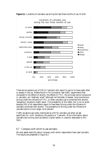

**Figure 6.1.** Locations of cannabis use during the last three months of use. N=216

There are six persons out of 216 (2.7 percent) who report to use (or to have used) often or always in the car. Robbe found in his innovative 'real traffic' experiments that compared to the effects of alcohol, the effects of THC, the principal active compound in cannabis, are 'relatively small'<sup>6</sup> although not harmless. However, long monotonous driving under the influence of THC, or when cannabis use is combined with alcohol, 'dangerous' situations might result. The probability of this latter risk is not so small, because 24% of all respondents report to have been driving under the influence of cannabis combined with alcohol. The prevalence of driving under the influence of cannabis alone is much larger, at 42 percent.

Traffic situations are rarely mentioned as unfit for cannabis use when we ask specifically for 'unfit' situations (16 persons or 7 percent). More information about cannabis and driving (and accidents) is given below in a section dedicated to this topic.

#### *6.7 Company with which to use cannabis*

We also asked explicitly about company with whom respondents have used cannabis. The results are presented in figure 6.2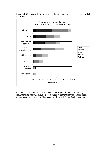

**Figure 6.2**. Company with whom respondents have been using cannabis during the last three months of use.

Combining the data from figure 6.2 and table 6.6 (persons in whose company respondents do not want to use cannabis) makes it clear that cannabis use is mostly done alone or in company of friends and not done with (close) family members.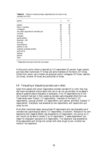| persons                              | $\boldsymbol{n}$ | $\%^{*}$ |
|--------------------------------------|------------------|----------|
| parents                              | 95               | 55       |
| family members                       | 52               | 30       |
| colleagues                           | 34               | 20       |
| non-users, opponents of cannabis use | 21               | 12       |
| children                             | 17               | 10       |
| strangers                            | 15               | 9        |
| grand-parents                        | 10               | 6        |
| employer, chef                       | 10               | 6        |
| siblings                             | 9                | 5        |
| acquaintances                        | 6                | 3        |
| parents-in-law                       | 5                | 3        |
| customer, business contacts          | 5                | 3        |
| authorities                          | 4                | 2        |
| teachers                             | 3                | 2        |
| partner                              | 3                | 2        |
| other                                | 9                | 5        |

**Table 6.6**Persons in whose company respondents do not want to use cannabis (N=174).\*

*\* Respondents could give more than one answer.* 

Hiding one's use for others is reported by 113 respondents 52 percent. Again parents are most often mentioned (77 times) and some members of the family (57 times). Others from whom use is hidden are employer and/or colleagues (32 times), teachers (14 times), children (9 times) and authorities (4 times).

#### *6.8 Persuading or dissuading cannabis use in others*

Apart from people with whom respondents consider cannabis fit or unfit, they may also have more general notions about who can or can not use cannabis. So we asked a series of questions about dissuasion or persuasion. Only 74 respondents out of 216 (34.3 percent) had ever in their careers as cannabis users dissuaded others from use. These others were 'friends' ( 37 respondents), 'members of the family' (21 respondents), '(young) children' (11 respondents ) and 'partner, girlfriend, husband' (7 respondents). 'Everybody' was answered by two respondents, and 'people who quit using' by one.

Most often mentioned reason among these 74 respondents who had dissuaded use of cannabis was 'psychological lability' (17 respondents, 24 percent). 'Because of my own experience with negative effects' was answered by 15 respondents, 'too young' by 11 and 'would not be able to handle it' by 10 respondents. 'Creates dependence' as a reason for dissuasion was given by 6 respondents. 'Too expensive' was answered by three respondents and 'brings into contact with other drugs' by two. Another two mention 'too expensive'.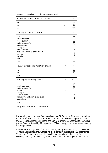| Have you ever disuaded someone to try cannabis?  | $\boldsymbol{n}$ | %                |
|--------------------------------------------------|------------------|------------------|
| yes                                              | 74               | 34               |
| no                                               | 142              | 66               |
| total                                            | 216              | 100              |
| Who did you disuade to try cannabis?             | n                | $\%$             |
| friends                                          | 37               | 51               |
| family members                                   | 21               | 29               |
| young children                                   | 11               | 15               |
| partner/husband/wife                             | 7                | 10               |
| acquaintances                                    | 6                | 8                |
| colleagues                                       | 4                | 6                |
| pupils, students                                 | $\boldsymbol{2}$ | 3                |
| persons who said they cannot stand it            | $\overline{c}$   | 3                |
| everyone                                         | $\overline{c}$   | 3                |
| patients                                         | $\boldsymbol{2}$ | 3                |
| other                                            | $\overline{2}$   | 3                |
| total                                            | 96               | 133              |
| Have you ever persuaded someone to try cannabis? | n                | %                |
| yes                                              | 64               | 30               |
| no                                               | 152              | 70               |
| total                                            | 216              | 100              |
| Who did you persuade to try cannabis?            | $\boldsymbol{n}$ | $\%^*$           |
| friends                                          | 41               | 64               |
| family members                                   | 18               | 28               |
| partner/husband/wife                             | 12               | 19               |
| strangers                                        | 4                | $\boldsymbol{6}$ |
| colleagues                                       | 3                | $\overline{5}$   |
| fellow students                                  | 3                | $\overline{5}$   |
| someone who underwent chemo-therapy              | 3                | $\overline{5}$   |
| acquaintances                                    | 3                | 5                |
| total                                            | 87               | 136              |

**Table 6.7**Persuading or disuading others to use cannabis

*\* Respondents could give more than one answer.* 

Encouraging use occurs less often than dissuasion: 64 (30 percent) had ever during their career encouraged others to use cannabis. Most often this encouraging goes towards friends (41 respondents, 64 percent) and family members (18 respondents). 'Lovers or partners' are mentioned by 12 respondents. 'Chemotherapy clients' were mentioned by three respondents.

Reasons for encouragement of cannabis use are given by 60 respondents, who mention 78 reasons. Most often they want to make others 'enjoy the pleasure' (16 respondents, 27 percent). 'In order not to use by myself alone' was given as the reason for encouragement by 8 respondents, and to 'draw him/her into the group' by six. 'As a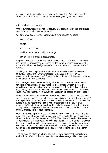replacement of sleeping pills' was a reason for 3 respondents, 'as an alternative for alcohol or cocaine' for four. 'Medical reasons' were given by two respondents.

## *6.9 Advice to novice users*

One of our instruments to tap notions about rules and regulations around cannabis use was a series of questions concerning advice.

We asked what advice the respondent would give novice users regarding

- method of use;
- dosage:
- where and when to use:
- combinations of cannabis with other drugs;
- how to deal with possible disadvantages.

Regarding methods of use 199 respondents gave some advice. We found that a clear majority of 121 respondents (61 percent) tell the novice to use cannabis in a joint, mixed with tobacco. Only eight respondents tell the novice to *not* use cannabis with tobacco.

Smoking cannabis in a pipe was the next most mentioned method for novices to follow  $(20 \text{ respondents})$ . Other advice is to use cannabis in a pure form  $(13 \text{_eq})$ respondents), to use a waterpipe (12 respondents) not to use at all (ten respondents), or to eat cannabis (nine respondents)

About dosages the answers are very straightforward. Do not use too much, use with temperance was suggested by 151 respondents (75 percent). Use mild types of cannabis was given as an advice here by 19 respondents. Use a limited amount was suggested by 16 respondents, and only use more after you know the first effects, was given by 13 respondents. Most answers emphasise limited dosages or careful dosing.

Many different answers were given on the question of what advice to give concerning where or when to use. The most often mentioned advice was: 'in a trusted environment' (59 respondents, 29 percent). Next was 'with friends' (48 respondents). 'At home' was suggested by 33 respondents. 'Not at work or at school' was the advice of 15 respondents 'A coffeeshop' was mentioned by only five respondents, and 'parties' by 13 respondents. The general indication of these answers is that novices should use in friendly, trusted, quiet or feastly contexts.

Quite surprisingly experienced users tell novices to *not* combine cannabis with other drugs (138 respondents out of 201 who answered, 69 percent). 'Do not combine with alcohol' is the advice of 40 respondents (20%) 'Combine with alcohol' is answered by 16 respondents. 'Use with ecstasy' or 'with amphetamine' or 'with coffee' is answered by one respondent for each of these substances. Five respondents say 'be careful with combinations'. So, combinations are suggested, but by only a small minority. Over two thirds of all respondents opt for the advice to not combine cannabis and other substances.

The last topic on which we solicited advice from these experienced users is how to deal with bad effects or disadvantages. No clear advice emerged. Most often given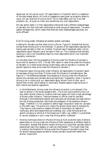advise was 'do not use too much' (25 respondents or 13 percent) which is a repetition of the dose related advice. All kinds of suggestions were given as situations where to use or not use, what sort of juice to drink, not to make debts, pull out if you feel problems, etc., all given by a few (and sometimes only one) respondents.

We saw earlier (table 7.2) that respondents mentioned many different disadvantages of cannabis, but that most were mentioned by small groups of respondents. The same pattern emerges here, which means that there are many disadvantages perceived, but quite diffused .

## *6.10 Driving under influence of alcohol and/or cannabis*

A setting for cannabis use that rarely occurs is the car. Figure 6.1 showed that during the last three months prior to the interview, 71 percent of the respondents reported not having used cannabis in their car. Another 13 percent says it happened rarely. Just six respondents report frequent use of cannabis in their car. This is evidence that cannabis smoking in cars is not considered proper by most respondents which is an important regulatory mechanism.

On the other hand, life time prevalence of driving under the influence of cannabis is found with 91 persons or 42%. The rest, 58% report to never drive under the influence of cannabis. (In a recent study among current heavy users of cannabis in Australia, 38 percent reports to never drive under the influence of cannabis.<sup>7</sup>)

Of those who report driving when under influence, 28 respondents (13 percent) report to have been driving more than 15 times under the influence of cannabis alone. See figure 6.3. The differences between the prevalence of driving under the influence of alcohol plus cannabis and cannabis alone are significant.<sup>8</sup> Apparently, when it comes to driving a car or motorcycle, our respondents apply stricter limits to their use of alcohol than to their use of hashish or marihuana. Possible reasons might be found in both internal and external regulations:

- In the Netherlands, driving under the influence of alcohol is not allowed if the level of alcohol in the blood exceeds 0.8‰. The Dutch police performs (but not very often) alcohol checks on locations that they expect will show a high percentage of drivers under influence. There are however no official rules for cannabis. Although in the Netherlands hashish and marihuana can be bought and used without the risk of being prosecuted, technically the possession of the substance remains illegal. Therefore it is not possible to define legal intoxication levels for cannabis in the traffic laws. The police only checks the alcohol blood level at checkpoints. They have no instruments to measure the level of intoxication by hashish or marihuana, altho some experiments are underway. But, under the wide and non specific phrasing of article 8 of the Roads and Traffic Law (1994) it is prohibited to use any substance in such a way that driving ability is affected.<sup>9</sup>
- Smoking marihuana does not influence driving as much as alcohol does. Extensive experiments on driving under the influence of both substances, at different levels of intoxication, showed that alcohol impairs driving much more than cannabis does in experienced users (the category of users we interviewed).<sup>10</sup> This might mean that, in practice, the threshold for driving under the influence of cannabis is lower than for alcohol because people are able to handle cannabis impairment better than alcohol impairment.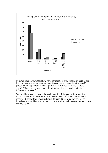

In our questionnaire we asked how many traffic accidents the respondent had had that involved the use of both alcohol and cannabis and cannabis alone. In either case 95 percent of our respondents did not report any traffic accidents. In the Australian  $\frac{1}{2}$  study<sup>11</sup> 23% of their sample report LTP of motor vehicle accidents under the influence of cannabis.<sup>12</sup>

We asked how many accidents the small minority of five percent in Amsterdam reports (table 6.8). We questioned the interviewer who interviewed the person that reported 30 accidents due to cannabis use if this could be interviewer error. The interviewer told us this was not an error, but that she had the impression this respondent was exaggerating.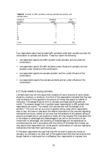| number of<br>accidents | cannabis &<br>alcohol | only<br>cannabis |
|------------------------|-----------------------|------------------|
| none                   | 204                   | 206              |
|                        | 6                     | 6                |
| 2                      |                       | 2                |
| 3                      |                       |                  |
| 4                      |                       |                  |
| 5                      | 2                     |                  |
| 10                     | 2                     |                  |
| $30\,$                 |                       |                  |
| Total                  | 216                   | 216              |

**Table 6.8** Number of traffic accidents involving cannabis and alcohol, and cannabis alone.

Four respondents report having made traffic accidents under both cannabis as under the combination of cannabis and alcohol. These four report the following:

- one respondent reports one traffic accident under cannabis, and one under the combination;
- one respondent reports 30 traffic accidents under influence of cannabis, and one accident under influence of the combination;
- one respondent reports one cannabis accident, and four under influence of the combination;
- one respondents reports five cannabis accidents and ten under influence of the combination.

# *6.11 Rules related to buying cannabis*

Cannabis users may not only adjust their occasions of use or amounts of use to certain situations, locations, or emotions. One third of the respondents indicated that they had rules consisting of limits applied to the amount of money they spend on hashish or marijuana. The average financial limit to cannabis purchases was 94 guilders per month. The answers ranged from 0 guilders (seven respondents) to 600 guilders (two respondents) per month. The median limit was less than half the average, at 40 guilders.13 This limit will act as a kind of general ceiling under which respondents want to stay .We have no idea about the relative importance of the rules and regulating mechanisms we found, neither do we know how the existence of this general ceiling of amount purchased acts on use occasions or levels. We may however find clues about this in the chapter on advantages and disadvantages of use, and on the functions of use. Impairment of advantages, and boosting of disadvantages will be experienced as counterproductive, and in accordance with the notions of Schneider and Zinberg, we may assume that respondents will utilise specific combinations of rules and regulating mechanisms that help them optimise drug use.

Of the seven respondents who said that they did not want to spend any money on cannabis, six indicated in an other part of the questionnaire that they had at some time bought hashish or marihuana from a coffeeshop (four respondents) or a grower (one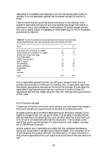respondent) or housedealer (one respondent), and thus had actually spent money on cannabis. Only one respondent reported that he received cannabis for free from a friend.

Table 6.9 shows that during the last twelve months prior to the interview, three quarters of respondents that have not quit using reported have bought their hashish or marihuana in one or more coffeeshops. Twenty persons (16 percent) bought cannabis from one or several friends. Housedealers or street dealers play no role in Amsterdam, as evidenced by table 6.9.

| n   | %   |
|-----|-----|
| 2   |     |
| 14  |     |
| 4   | 3   |
|     |     |
| 6   | 5   |
| 3   | 2   |
| 53  | 43  |
| 39  | 32  |
|     |     |
| 2   | 2   |
|     |     |
| 123 | 100 |
|     |     |

**Table 6.9** Source of cannabis during the last twelve months prior to the interview among respondents who still used cannabis at time of the interview (N=123).

Only 3 respondents reported that their own self grown cannabis is their source of cannabis during the last 12 months prior to interview. But, 13 respondents report that they actually were growing marijuana at the time of the interview. We also asked the respondents if they had ever grown their own marihuana. One-third of them (71 respondents) said that they indeed had grown their own marihuana during some period of their career.

## *6.12 Price and use level*

If people put a financial limit to their use of cannabis, one could expect that changes in the price of cannabis will cause the limits on the level of cannabis use to shift.

We asked questions about the effects respondents would attribute to changes in price regarding changes of their own use, and of others. First we asked if cannabis had ever been too expensive in the sense that they could not afford what they would like to use. Only 38 out of 216 respondents affirmed this (18 percent). Then we asked current users if they would use more cannabis if it were to become 'much cheaper'. Just seven out of 138 affirmed (5 percent).

Another question was if respondents who stated that they considered themselves as having quit, would restart if cannabis were to become cheaper. Only one person out of 76 who answered this question affirmed. The others said no. Of equal importance is what influence respondents think much higher prices would have on their own amount of  $use.<sup>14</sup>$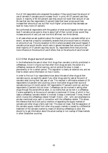Out of 134 respondents who answered the question if they would lower the amount of use of cannabis if cannabis would increase 'much' in price, 49 (37 percent) said they would. A majority of 85 (63 percent) said they would not lower their amount of use. We see that very few respondents (5 percent) state that lower prices would help increase their amounts of use, but that 'much higher' prices would help decrease use level for many more (37 percent).

We confronted all respondents with the question of what would happen to their own use level if cannabis prices were to drop to about half of their current prices: would they increase amounts of use? Just over one third affirmed, two thirds denied.

In all cases where we ask questions about the impact of price on use levels (either up or down), we see that a majority consistently answers that price would have no influence on amounts of use. The only exception to this is where we asked what would happen if cannabis prices would double: would users in general decrease their amounts of use? A small majority of 57 percent says they would. So, respondents think that price has more influence on the amounts of use of others, than on the amounts of use of one self.

## *6.13 Other drugs at source of cannabis*

In the Netherlands the sale of other illicit drugs than cannabis is strictly prohibited in coffeeshops. Once it is found out that other illicit drugs are sold, the owner of a coffeeshop receives an official warning, and at recidive the shop is closed permanently or for a certain period. This regulation is clearly an external one, and we tried to obtain some information on how it works.

In order to find out if our respondents know about the sale of other drugs at their cannabis source, we explicitly asked if any other drugs were for sale at the point of cannabis retail during their last year of use. This resulted in affirmative answers of 29 respondents (14 percent) who could buy one or more other drugs at their source of cannabis during a 12 month period; 167 respondents (77 percent) could not, and four respondents (2 percent) did not know. Coffeeshops can be involved in selling other drugs through the owner/official seller, or via clients that can be met in a coffeeshop. Cocaine availability at the source of cannabis is mentioned 13 times, of which in four cases a coffeeshop cannabis retailer is involved. Ecstasy is mentioned 7 times, three of which involve the coffeeshops retailer himself. Heroin, LSD, 'pills' and amphetamine are also mentioned once, each in connection with the coffeeshop retailer. This allows the inference that the Dutch policy intention of separating the supply markets of cannabis and other drugs is fairly well met. This does not mean, that the separation of the cannabis supply market from other drug supply markets is caused by a differential treatment of the cannabis market by means of allowing coffeeshops to exist. We should try to get information about the actual overlap or non overlap of these markets in other cities/other countries.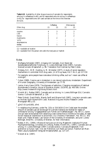|             | Table 6.10 Availability of other drugs at source of cannabis for respondents        |
|-------------|-------------------------------------------------------------------------------------|
|             | who buy in coffeeshops $(n=92)$ , and for respondents who do not buy in coffeeshops |
|             | $(n=31)$ for respondents who still used cannabis at the time ot the interview       |
| $(N=123)$ . |                                                                                     |

|             | Coffeeshop |    | Other sources |     |  |
|-------------|------------|----|---------------|-----|--|
| Other drug  |            | (2 |               | (2) |  |
| cocaine     |            | 3  | 3             |     |  |
| <b>LSD</b>  |            |    |               |     |  |
| heroin      |            |    |               | 2   |  |
| mushrooms   | 3          | 2  |               |     |  |
| 'pills'     |            |    |               |     |  |
| amphetamine |            |    |               |     |  |
| ecstasy     | 3          |    |               |     |  |

(1) = available at location

 $(2)$  = available from the person who sells the marijuana or hashish

#### *Notes*

- 1 Wolfgang Schneider (1997), Umgang mit Cannabis. Zum Stand der Sozialwissenschaftlichen Forschung. In: Lorenz Böllinger (Eds) (1997), *Cannabis Science/Cannabis Wissenschaft*. p. 96. Translation from German by Peter Cohen.
- <sup>2</sup> Zinberg, N.E., W.M. Harding, & M. Winkelier (1977), A study of social regulatory mechanisms in controlled illicit drug users. *Jnl of Drug Issues*, Vol.7, No 2, pp 117-132.
- 3 For example, some people have rules about drinking coffee, such as 'I never use coffee at midnight'.
- 4 Cohen (1989), *Cocaine use in Amsterdam in non deviant subcultures*. Amsterdam: Department [of Human Geography, University of Amsterdam. pp 77-78.](http://www.frw.uva.nl/cedro/library/dis/0.html)
- 5  [Levine, Harry Gene \(1979\), The discovery of addiction: Changing conceptions of habitual](http://www.lindesmith.org/library/tlclevin.html) drunkenness in America. *Journal of Studies on Alcohol*, 15(1979), pp. 493-506. Online: http://www.lindesmith.org/library/tlclevin.html
- <sup>6</sup> Hindrik W.J. Robbe (1997), Cannabis and car driving. In: Lorenz Böllinger (Ed.) *Cannabis Science / Cannabis Wissenschaft*, p. 136.
- <sup>7</sup> Peter Didcott, David Reilly, Wendy Swift and Wayne Hall (1997), *Long term cannabis users on the New South Wales North Coast*. National Drug and Alcohol Research Center Monograph #30. p 33.
- $\gamma$ 2=17.43 (p<0.005), df=4.
- <sup>9</sup> In neighbouring Germany, under Par. 315c or 316 StGB (Crim Code) even the smallest amount of cannabis use can be enough for a drivers license to be revoked for reason of unfitness for driving "Ungeeignetheit zum Führen von Kraftfahrzeugen", Par. 69 CC). Some one can even be be barred from obtaining a new license from 6 months to five years. At least he will receive an interdiction to drive from 1 to 3 months ("Fahrverbot", Par. 44 CC). We thank prof. Pieter Wiewel, Law School of the University of Amsterdam, and prof. Lorenz Böllinger, BISDRO, University of Bremen, for their information.
- 10 Robbe, H.W.J. (1994), *Influence of marijuana on driving*. Maastricht: Institute of Human Psychopharmacology, University of Limburg. Robbe, Hindrik W.J. (1997), Cannabis and car driving. In: Lorenz Böllinger (1997) *Cannabis science / Cannabis Wissenschaft. From prohibition to human right / Von der Prohibition zum Recht auf Genuß*. Frankfurt am Main: Peter Lang Europäischer Verlag der Wissenschaften. pp. 127-137.

 $11$  Didcott et al. (1997).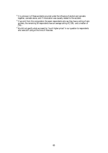- $12$  It is unknown is if these accidents occurred under the influence of alcohol and cannabis together, cannabis alone, and if intoxication was causally related to the accident.
- $^{13}$  If we omit from this computation the seven respondents who say they have a ceiling of zero guilders, the remaining 56 respondents have an average ceiling of ƒ106,- and a median of ƒ50,-.
- $14$  We did not specify what we meant by "much higher prices" in our question to respondents who were still using at the time of interview.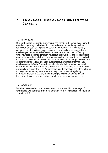# **7 A D VANTAGES, DISADVANTAGES, AND EFFECTS OF CANNABIS**

## *7.1 Introduction*

Our questionnaire contained a series of open and closed questions that should provide data about regulatory mechanisms, functions and consequences of drug use.The sociological concepts of 'regulatory mechanism' or 'function' may not be easily accessible or understandable to our respondents, so we spoke of rules, advantages, disadvantages, reasons for and effects of cannabis use. Another means of finding out what knowledge and perceptions users have about rules, functions and consequences of drug use is to ask about what advice users would want to give to novice users.In chapter 6 we supplied a whealth of the latter type of information. In this chapter we will focus on the answers respondents gave us on questions about advantages of cannabis use, disadvantages and effects. These data are interesting in their own right, but as with other data, we consider them as having relevance for understanding which instruments users apply to regulate their use. Advantages of use, disadvantages and effects all relate to recognition of sensory parameters in a complicated system of regulatory information managment. At the end of this chapter we will try to describe the theoretical relevance and interpretations we attach to the data we present here.

## *7.2 Advantages*

We asked the respondents in an open question to name up till four advantages of cannabis use. We also asked them to rank them in order of importance. The results are shown in table 7.1.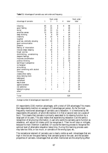|                               | Rank order                |                  |                  |                          |                | Rank order       |
|-------------------------------|---------------------------|------------------|------------------|--------------------------|----------------|------------------|
| Advantage of cannabis         | $\boldsymbol{\mathit{1}}$ | 2                | 3                | $\boldsymbol{4}$         | total          | total            |
| relaxing                      | 65                        | 21               | 8                | 4                        | 98             | 1                |
| good feeling                  | 27                        | 15               | 6                | $\overline{\phantom{a}}$ | 48             | $\boldsymbol{2}$ |
| social                        | 20                        | 13               | 11               | $\mathbf{1}$             | 45             | 3                |
| amplifies senses              | 12                        | 19               | 13               | $\overline{a}$           | 44             | 4                |
| deep thinking                 | $\boldsymbol{6}$          | 8                | 10               | $\overline{\phantom{a}}$ | 2.4            | $\overline{5}$   |
| creativity                    | 6                         | 10               | 4                | 4                        | 24             | 6                |
| laughter                      | 9                         | 6                | 4                | 1                        | 20             | $\boldsymbol{7}$ |
| good sex, erotically arousing | 1                         | 10               | 5                | 3                        | 19             | 8                |
| good communication            | 5                         | 3                | 7                | 3                        | 18             | 9                |
| pleasure                      | 9                         | $\boldsymbol{6}$ | 1                | $\boldsymbol{2}$         | 18             | 10               |
| feeling of intoxication       | 7                         | 6                | $\boldsymbol{2}$ | 1                        | 16             | 11               |
| induces (deep) sleeping       | 1                         | 10               | 3                | 1                        | 15             | 12               |
| forget worries                | 1                         | 8                | 5                | L,                       | 14             | 13               |
| disinhibiting, unrestraining  | 3                         | $\boldsymbol{6}$ | 3                | ۰                        | 12             | 14               |
| deepens feelings              | 5                         | 4                | $\boldsymbol{2}$ | ۰                        | 11             | 15               |
| improves concentration        | 3                         | 3                | $\overline{c}$   | $\overline{c}$           | 10             | 16               |
| positive thinking             | 4                         | $\overline{4}$   | $\mathbf{1}$     | $\mathbf{1}$             | 10             | 17               |
| see things in perspective     | 3                         | $\overline{c}$   | $\overline{c}$   | $\overline{c}$           | 9              | 18               |
| no hangover                   | 1                         | $\overline{a}$   | 3                | $\boldsymbol{2}$         | 6              | 19               |
| stimulating                   | $\overline{c}$            | $\mathbf{1}$     | 1                | 1                        | 5              | 20               |
| good combining with alcohol   | $\overline{c}$            | $\mathbf{1}$     | 1                |                          | 4              | 21               |
| intimacy                      | $\overline{c}$            |                  | $\overline{c}$   |                          | 4              | 22               |
| creates other reality         | 3                         | 1                |                  |                          | 4              | 23               |
| enjoy dancing more            |                           | $\overline{c}$   |                  |                          | $\overline{c}$ | 24               |
| tastes good                   | 1                         | $\mathbf{1}$     |                  | 1                        | 3              | 25               |
| excitement                    | $\overline{c}$            | 1                | ۳                |                          | 3              | 26               |
| easy to dose                  |                           | 1                | ۰                | 1                        | $\overline{c}$ | 27               |
| against boredom               |                           | 1                | $\mathbf{1}$     |                          | $\overline{c}$ | 28               |
| not addictive                 |                           |                  | $\overline{c}$   |                          | $\overline{c}$ | 29               |
| belong to a group             | 1                         | $\mathbf{1}$     | $\overline{a}$   |                          | $\overline{c}$ | 30               |
| other                         |                           |                  |                  |                          | 35             |                  |
| Total                         |                           |                  |                  |                          | 529            |                  |

**Table 7.1** Advantages of cannabis use, rank order and frequency.

Average number of advantages per respondent: 2.5

All respondents (216) mention advantages, with a total of 529 advantages.This means that respondents mention on average is  $\tilde{z}$ .5 advantage per person. By far the most frequently mentioned advantage of cannabis use is relaxation. It is mentioned by 98 respondents (45 percent), of which 86 mention it in first or second rank (on a scale of four). This means that cannabis is primarily associated to its relaxing function by a large part of its users. This also means that experiencing relaxation is at the same a recognition of structuring information. A user who wants his cannabis use to function as relaxation, will adjust his intake untill he recognises it. Then he will stop or mitigate, because his main intention is satisfied. Of course the learning process to recognise the optimal level of attainable relaxation takes time. During this learning process users may take too little, or too much, or cannabis of the wrong type, etc.

The recreational element of cannabis use is clearly visible as well. Advantages that are high in the list are 'the good feeling' that cannabis gives to the user, and the sociable properties of cannabis. Advantages that are often mentioned are the amplifying effect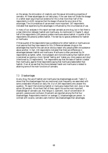on the senses, the stimulation of creativity and the sexual stimulating properties of cannabis. All these advantages do not take place, if the user does not titrate the dosage in a rather exact way.Empirical evidence for this is that more than half of the respondents (n=120) recognise that *the dosage influences the occurrence of the advantages*. The circumstances of use are even more important: 167 respondents indicated that experiencing the advantages is influenced by the circumstances of use.

In many of our analyses in this report we treat cannabis as one drug, but in fact there is a clear distinction between hashish and marihuana. As mentioned in Chapter 5, about half of the respondents (100 persons) prefers marihuana above hashish. A quarter of the respondents (56 persons) prefers hashish. The rest has no special preference for hashish or marihuana.

If three quarter of the respondents have a preference for either hashish or marihuana we must assume that they have reasons for this. Differences between drugs on the advantages they have for the user are an obvious reason why people prefer one substance above another. In fact, 134 respondents indicated that there are differences in advantages between hashish and marihuana. Marihuana is often perceived (by 54 respondents) as lighter, softer, more pleasant and more stimulating than hashish which is perceived as causing a more 'stoned' feeling and 'makes you more passive and dozy' (mentioned by 23 respondents). Ten respondents say that the taste of hashish is better than marihuana, against three respondents saying that marihuana tastes better than hashish. Over all we see that the choice between hasish and marihuana is related to attaining some of the main functions of cannabis.

## *7.3 Disadvantages*

As any drug, the use of hashish and marihuana has disadvantages as well. Table 7.2 shows that the disadvantages that are mentioned most frequently are associated with some undesirable influence on daily life. Out of 204 respondents who answer this question, 76 report that smoking hashish or marijuana makes them dull, dozy or less active (38 percent). More thant half of them report this as the most important disadvantage of cannabis use. Also fatigue (1 2percent), loss of concentration (9 percent), paranoia and confusion (9 percent) are reported among the first four disadvantages. Respondents mention on average 2.2 disadvantages per person. In contrast with cocaine, cannabis users mention less disadvantages than advantages.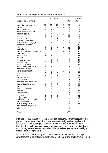|                                  | Rank order              |                         |                          |                          |                  | Rank order              |
|----------------------------------|-------------------------|-------------------------|--------------------------|--------------------------|------------------|-------------------------|
| Disadvantage of cannabis         | 1                       | $\mathcal Z$            | 3                        | $\overline{4}$           | total            | total                   |
| makes dull, less active, lazy    | 37                      | 16                      | 20                       | 3                        | 76               | 1                       |
| fatigue                          | 6                       | 10                      | $\overline{4}$           | $\overline{\mathbf{4}}$  | 24               | $\boldsymbol{2}$        |
| loss of concentration            | 6                       | 9                       | $\boldsymbol{2}$         | $\mathbf{1}$             | 18               | 3                       |
| makes paranoid, confused         | 11                      | $6\phantom{1}6$         | 1                        | $\overline{\phantom{a}}$ | 18               | $\overline{\mathbf{4}}$ |
| smoking tobacco                  | 8                       | $\overline{\mathbf{4}}$ | 1                        | 3                        | 16               | $\overline{5}$          |
| introvert                        | $\overline{5}$          | 7                       | $\overline{4}$           | $\overline{a}$           | 16               | 6                       |
| forgetfulness                    | 7                       | $6\phantom{1}$          | $\boldsymbol{2}$         | $\overline{\phantom{a}}$ | 15               | 7                       |
| financial consequences           | 1                       | $\boldsymbol{7}$        | $\overline{\mathbf{4}}$  | $\boldsymbol{2}$         | 14               | 8                       |
| makes easy-going, negligent      | $\overline{5}$          | $6\phantom{1}6$         | $\mathbf{1}$             | $\mathbf{1}$             | 13               | 9                       |
| sore throat, coughing            | 7                       | 3                       | 3                        | $\overline{\phantom{a}}$ | 13               | 10                      |
| fear                             | 8                       | $\overline{c}$          | $\overline{c}$           | $\mathbf{1}$             | 13               | 11                      |
| unsteadiness                     | 6                       | $\overline{c}$          | $\overline{4}$           | $\overline{\phantom{a}}$ | 12               | 12                      |
| bad communication, talk too much | 3                       | $6\phantom{1}6$         | 1                        | $\boldsymbol{2}$         | 12               | 13                      |
| sleepiness                       | $6\phantom{1}$          | 3                       | $\overline{\phantom{a}}$ | $\overline{2}$           | 11               | 14                      |
| bad for health                   | 4                       | $\overline{\mathbf{4}}$ | $\boldsymbol{2}$         | $\overline{a}$           | 10               | 15                      |
| hangover                         | 7                       | $\overline{c}$          | 1                        | $\overline{a}$           | 10               | 16                      |
| thinking less clear              | 4                       | $\overline{c}$          | 3                        | $\overline{a}$           | 9                | 17                      |
| unpredictable                    | $\overline{5}$          | $\overline{c}$          | $\mathbf{1}$             | $\overline{a}$           | 8                | 18                      |
| dry mouth or throat              | $\overline{c}$          | $\overline{5}$          | $\mathbf{1}$             | $\overline{a}$           | 8                | 19                      |
| loss of control over oneself     | 3                       | 3                       | $\overline{c}$           | $\overline{a}$           | 8                | 20                      |
| amplifies feelings               | 3                       | 3                       | $\mathbf{1}$             | $\overline{a}$           | 7                | 21                      |
| loss of sense of reality         | $\overline{\mathbf{4}}$ | $\overline{c}$          | $\overline{\phantom{a}}$ | $\mathbf{1}$             | 7                | 22                      |
| headaches                        | 3                       | $\overline{c}$          | $\mathbf{1}$             | $\overline{a}$           | $\boldsymbol{6}$ | 23                      |
| addiction                        | $\overline{c}$          | 1                       | $\boldsymbol{2}$         | $\mathbf{1}$             | $\boldsymbol{6}$ | 24                      |
| bad with alcohol                 | $\overline{c}$          | 3                       | $\mathbf{1}$             | $\overline{a}$           | $\boldsymbol{6}$ | 25                      |
| red or dry eyes                  | $\overline{c}$          | $\mathbf{1}$            | $\overline{2}$           | $\mathbf{1}$             | $\boldsymbol{6}$ | 26                      |
| it's not accepted everywhere     | $\overline{c}$          | 3                       | $\mathbf{1}$             | $\overline{a}$           | $\boldsymbol{6}$ | 27                      |
| long lasting after-effects       | $\overline{2}$          | $\overline{c}$          | $\mathbf{1}$             | $\overline{a}$           | $\overline{5}$   | 28                      |
| nausea                           | 1                       | $\overline{4}$          | ÷.                       | $\overline{a}$           | 5                | 29                      |
| dejection, depression            | $\mathbf{1}$            | $\overline{c}$          | 1                        | $\overline{a}$           | $\overline{4}$   | 30                      |
| loneliness                       | $\overline{2}$          | 1                       | $\overline{a}$           | $\mathbf{1}$             | 4                | 31                      |
| raises appetite                  | 1                       | 3                       | $\overline{a}$           | $\overline{a}$           | 4                | 32                      |
| indifference                     | 1                       | $\overline{c}$          | 1                        | $\overline{a}$           | 4                | 33                      |
| restless, nervous                | 1                       | $\overline{2}$          | 1                        | $\overline{a}$           | $\overline{4}$   | 34                      |
| problems w. parents, school      | $\boldsymbol{2}$        |                         | 1                        |                          | 3                | 35                      |
| dirty taste in mouth             | $\overline{c}$          | 1                       |                          |                          | 3                | 36                      |
| leads to eating sweets           | $\overline{c}$          |                         | 1                        |                          | 3                | 37                      |
| disrupts rhytm of your life      | $\mathbf{1}$            | $\overline{c}$          |                          |                          | 3                | 38                      |
| other                            |                         |                         |                          |                          | 43               |                         |
| Total                            |                         |                         |                          |                          | 453              |                         |

**Table 7.2** Disdvantages of cannabis use, rank order and frequency.

Interesting is that the use of tobacco is seen as a disadvantage of cannabis use by eight percent. In Amsterdam, hashish and marihuana are usually smoked together with tobacco in a 'joint'(see chapter 3**)**. Some respondents regard tobacco as more hazardous than hashish or marihuana. Many disadvantages are mentioned, but there is not much agreement between respondents. Most disadvantages are mentioned by a small number of respondents

We asked the repondents to grade on a ten point scale several drugs, weighing their advantages and disadvantages. In the Dutch educational system grades are also in a ten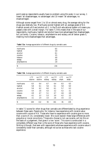point scale so respondents usually have no problem using this scale. In our survey, 1 meant 'all disadvantages, no advantages' and 10 meant 'all advantages, no disadvantages'.

Although scores ranged from 1 to 10 on almost every drug, the average rating for the drugs was relatively low. Marihuana scored highest with an average grade of 6.5. Hashish scored a 6.0 and alcohol a 6.1. In the Dutch educational system a 6 means you passed a test with a small margin. For table 7.3 this means that in the eyes of our respondents, marihuana, hashish and alcohol have more advantages than disadvantages*, but just barely*. Cocaine, tobacco, amphetamine and ecstacy are all below grade 5, meaning more disadvantages than advantages.

| marihuana   | 6.5 |  |
|-------------|-----|--|
| hashish     | 5.9 |  |
| alcohol     | 6.1 |  |
| cocaïne     | 3.5 |  |
| tobacco     | 4.8 |  |
| ecstasy     | 3.6 |  |
| amphetamine | 2.8 |  |
| N           | 216 |  |

**Table 7.3a** Average appreciation of different drugs by cannabis users

| LTP<br>cocaine | no LTP<br>cocaine | LTP<br>ecstasy | no LTP<br>ecstasy | L <sub>TP</sub><br>amph. | no LTP<br>amph. |
|----------------|-------------------|----------------|-------------------|--------------------------|-----------------|
| 6.5            | 6.4               | 6.7            | 6.4               | 6.5                      | 6.5             |
| 5.8            | 6.1               | 5.6            | 6.1               | 5.8                      | 6.0             |
| 5.9            | 6.2               | 6.0            | 6.1               | 5.7                      | 6.3             |
| 4.4            | 2.6               | 4.3            | 3.2               | 4.2                      | 3.1             |
| 4.9            | 4.7               | 5.1            | 4.7               | 4.6                      | 4.9             |
| 4.1            | 3.2               | 5.3            | 3.0               | 4.2                      | 3.3             |
| 3.1            | 2.4               | 3.3            | 2.6               | 3.5                      | 2.2             |
| 104            | 112               | 55             | 161               | 81                       | 135             |
|                |                   |                |                   |                          |                 |

**Table 7.3b** Average appreciation of different drugs by cannabis users

In table 7.3 scores for other drugs than cannabis are differentiated by drug experience between these users. People who, for instance, have experience with cocaine value cocaine with a score of 4.4. Those who have no experience with cocaine give no more than a score of 2.6, considerably lower. We could explain these large differences with prejudice or moral convictions. Those who choose to not use cocaine, will do this on the basis of a judgement, that gives it a low 'score'. This score is constructed in a completely different way than is the score of those who have experience with cocaine. Striking is though, that even with respondents whohave experience with cocaine value it consistently lower than cannabis, although not as low as those who lack cocaine experience.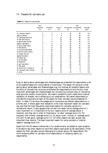## *7.4 Reasons for cannabis use*

|  | <b>Table 7.4</b> Reasons to use cannabis |  |
|--|------------------------------------------|--|
|--|------------------------------------------|--|

|                            | very<br>important<br>$\left( \frac{\eta}{\eta} \right)$ | important<br>(2) | neutral<br>(3) | unimportant unimportant<br>(4) | very<br>(5)    | average<br>score |
|----------------------------|---------------------------------------------------------|------------------|----------------|--------------------------------|----------------|------------------|
| for medical reasons        | 2                                                       | 3                | 4              | 32                             | 59             | 4.4              |
| against fatigue            | 0                                                       | 7                | 9              | 41                             | 44             | 4.2              |
| to challenge authority     | $\boldsymbol{2}$                                        | 7                | 12             | 32                             | 46             | 4.1              |
| to feel less anxious       | $\boldsymbol{2}$                                        | 7                | 12             | 38                             | 42             | 4.1              |
| to get through the day     | $\overline{c}$                                          | 9                | 13             | 34                             | 42             | 4.1              |
| against depression         | 4                                                       | 11               | 12             | 33                             | 41             | 4.0              |
| to slow myself down        | $\overline{c}$                                          | 9                | 14             | 44                             | 31             | 3.9              |
| to feel less shy           | $\sqrt{3}$                                              | 8                | 19             | 35                             | 35             | 3.9              |
| to communicate better      | 3                                                       | 16               | 22             | 36                             | 23             | 3.6              |
| to see the world clearly   | 3                                                       | 17               | 24             | 34                             | 22             | 3.6              |
| to forget worries          | 7                                                       | 15               | 22             | 35                             | 21             | 3.5              |
| against boredom            | 6                                                       | 20               | 23             | 28                             | 23             | 3.4              |
| for better sex             | 4                                                       | 22               | 22             | 34                             | 18             | 3.4              |
| to let off steam           | 3                                                       | 27               | 21             | 37                             | 12             | 3.3              |
| as a hypnotic              | 8                                                       | 27               | 16             | 29                             | 20             | 3.3              |
| to get inspiration         | 6                                                       | 32               | 22             | 26                             | 14             | 3.1              |
| to feel good               | 7                                                       | 41               | 30             | 18                             | 4              | 2.7              |
| to enjoy mucic, movies, tv | 10                                                      | 49               | 21             | 14                             | 6              | 2.6              |
| for company with friends   | 17                                                      | 42               | 27             | 9                              | 5              | 2.4              |
| to relax                   | 17                                                      | 43               | 25             | 14                             | $\overline{c}$ | 2.4              |

Next to asking about advantages and disadvantages we presented the respondents a list of 20 possible reasons for using hashish or marihuana. The reason for doing so is that asking about advantages and disadvantages may not disclose all possible reasons and functions of cannabis use, since we constrained the respondents to only the four most important advantages and disadvantages. By introducing multiple ways of indicating what grounds underly consumption, we made it possible to both create some internal validation of answers, and a widening of our observations. We asked respondents to indicate the importance of each of the reason for their cannabis use we presented to them. In table 7.4 we show the categories of importance we offered respondents on a printed card. It shows again that relaxation is the most important reason for cannabis use, and that the most frequently mentioned reasons for cannabis use are of a recreational nature. It also appears that *not even one reason* has an average score of 1 (very important) or 2 (important).Only four reasons score on average below 3 (neutral), and they are in order of importance,' to relax' (average score 2.4) 'for company with friends' (average score 2.4 )'to enjoy music, movies, tv' (average score 2.6) and 'to feel good' (average score 2.7). All other reasons are seen as even less important than neutral. The least important reason for using cannabis is 'medical reasons' (average score 4.4)

Apart from the 20 reasons mentioned in our questionnaire, we added an open question to be able to tap other reasons of use.Other reasons were given by 66 repondents. Other reasons for their cannabis use are: belonging to a certain group (16 respondents), the mind-widening effect of cannabis (nine respondents), or escaping reality (six respondents).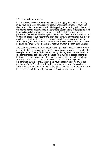### *7.5 Effects of cannabis use*

In the previous chapter we learned that cannabis users apply rules to their use. They might have experienced some disadvantages or unpleasurable effects, or have heard about it, and take precautions to avoid this happening or happening again. Ideas about the balance between disadvantages and advantages determine the average appreciation for cannabis, and other drugs, as shown in table 7.3. For better insight into the prevalence of effects and disadvantages of cannabis we offered extensive standard lists of potential effects to our respondents, as an alternative way to trace the prevalence of negative and positive effects of cannabis in our sample.The reason we offered this alternative way of tracing effects is, that we do not know to which degree respondents underestimate or under report positive or negative effects in the open question set up.

Altogether we presented 4 lists of effects to our repondents.Three of these lists were identical to the lists we used in our survey of experienced cocaine users. The other list we copied from a German/Swiss cannabis survey.<sup>1</sup> To begin with we mentioned 28 effects that are often associated with the use of drugs. We asked the respondents to indicate if they experienced this effect never, seldom, sometimes, often or always after they use cannabis. The results are shown in table 7.5. An average score of 1.0 (=experienced always) or of 5,0 (experienced never) does not occur for any of the mentioned effects. The effects with the highest scores of occurred frequencies are 'relaxed' (2.1),'comfortable'(2.2) and 'merry' (2.4). The lowest frequency is reported for 'agressive'  $(4.7)$ , followed by 'serious'  $(4.1)$  and 'mentally weak'  $(4.0)$ .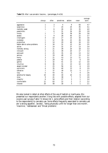|                               | always           | often            | sometimes      | seldom     | never            | average<br>score |
|-------------------------------|------------------|------------------|----------------|------------|------------------|------------------|
| aggressive                    | 1                | 3                | $\overline{4}$ | 9          | 83               | 4.7              |
| suspicious                    | 1                | 7                | 24             | 24         | 45               | 4.1              |
| mentally weak                 | 1                | $\boldsymbol{6}$ | 26             | 33         | 35               | 4.0              |
| pessimistic                   |                  | $6\phantom{1}6$  | 31             | 34         | 29               | 3.9              |
| lonely                        | 1                | 7                | 30             | 38         | 26               | 3.8              |
| awake                         | 1                | 9                | 28             | 40         | 22               | 3.7              |
| intelligent                   | 4                | 14               | 27             | 25         | 30               | 3.6              |
| nostalgic                     | 1                | 12               | 39             | 22         | 26               | 3.6              |
| productive                    | $\boldsymbol{2}$ | 14               | 29             | 40         | 16               | 3.5              |
| better able to solve problems | 3                | 18               | 32             | 23         | 24               | 3.5              |
| active                        | 3                | 14               | 32             | 37         | 13               | 3.4              |
| mentally strong               | $\boldsymbol{2}$ | 21               | 39             | 20         | 18               | 3.3              |
| introvert                     | 3                | 21               | 39             | 20         | 17               | 3.3              |
| extrovert                     | $\boldsymbol{2}$ | 25               | 35             | 24         | 13               | 3.2              |
| serious                       | 3                | 19               | 48             | 17         | 13               | 3.2              |
| horny                         | 3                | 21               | 53             | 13         | 11               | 3.1              |
| passive                       | $\overline{c}$   | 29               | 42             | 21         | $\boldsymbol{6}$ | 3.0              |
| gentle                        | 3                | 32               | 41             | 13         | 12               | 3.0              |
| intuitive                     | $\boldsymbol{6}$ | 36               | 31             | 13         | 14               | 2.9              |
| absent minded                 | $\overline{c}$   | 25               | 56             | 12         | $\boldsymbol{6}$ | 2.9              |
| optimistic                    | $\boldsymbol{4}$ | 35               | 40             | 13         | 8                | 2.9              |
| talkative                     | 7                | 37               | 39             | 13         | $\overline{5}$   | 2.7              |
| lazy                          | $\overline{5}$   | 43               | 41             | 7          | 4                | 2.6              |
| sensitive for beauty          | 10               | 44               | 30             | 10         | $\boldsymbol{6}$ | 2.6              |
| slow                          | 9                | 41               | 38             | 7          | $\overline{5}$   | 2.6              |
| cheerful                      | $\boldsymbol{6}$ | 54               | 37             | 3          | $\mathbf{1}$     | 2.4              |
| comfortable                   | 11               | 63               | 22             | $\sqrt{2}$ | $\boldsymbol{2}$ | 2.2              |
| relaxed                       | 20               | 58               | 18             | 3          | 1                | 2.1              |

|  |  |  |  | Table 7.5 After I use cannabis I become (percentages, N=216) |  |
|--|--|--|--|--------------------------------------------------------------|--|
|--|--|--|--|--------------------------------------------------------------|--|

We also looked in detail at other effects of the use of hashish or marihuana. We presented our respondents another 3 long lists with possible effects, adapted from our cocaine user surveys.Table 7.4 shows list 1, some effects and their relation (according to the respondents) to cannabis use. Some effects frequently associated to cannabis use are 'a strong appetite', 'anxiety', 'being physically unfit for longer than one month', 'insomnia', 'restlessness' and 'throat problems'.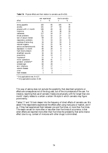|                          |     |    | due to cannabis<br>ever experienced |    |
|--------------------------|-----|----|-------------------------------------|----|
| effect                   | n   | %  | n                                   | %  |
| strong appetite          | 183 | 85 | 165                                 | 76 |
| anxiety                  | 101 | 47 | 64                                  | 30 |
| physical unfit > 1 month | 106 | 49 | 40                                  | 19 |
| insomnia                 | 91  | 42 | 38                                  | 18 |
| restlesness              | 117 | 54 | 37                                  | 17 |
| throat problems          | 112 | 52 | 27                                  | 13 |
| lack of sexual interest  | 69  | 32 | 23                                  | 11 |
| resporatory problems     | 72  | 33 | 19                                  | 9  |
| overdose of some drug    | 34  | 16 | 19                                  | 9  |
| reduced orgasms          | 53  | 25 | 18                                  | 8  |
| serious accidents/wounds | 82  | 38 | 9                                   | 4  |
| $depression > 1$ month   | 60  | 28 | 9                                   | 4  |
| high blood pressure      | 29  | 13 | 6                                   | 3  |
| streetfight wounds       | 34  | 16 | 2                                   | 1  |
| pneumonia                | 28  | 13 | 2                                   | 1  |
| impotence*               | 11  | 9  | 1                                   | 1  |
| minor operations         | 89  | 41 | 1                                   | 0  |
| gynaecol. problems**     | 26  | 29 |                                     |    |
| ontstekingen             | 60  | 28 |                                     |    |
| skin infections          | 37  | 17 |                                     |    |
| veneral diseases         | 27  | 13 |                                     |    |
| ulcer                    |     | 3  |                                     |    |
| heart diseases           | 1   | 0  |                                     |    |

Table 7.6 Physical effects and their relation to cannabis use (N=216).

*\* Only applicable to men, N=127.*

*\*\* Only applicable to women, N=89.*

This way of asking does not exclude the possibility that described symptoms or effects are consequences not of the drug used, but of the circumstances of the user. For instance, reporting that use of cannabis 'makes one physically unfit for longer than one month' clearly relates to a certain a certain life style in which cannabis may figure prominently.

Tables 7.7 and 7.8 look deeper into the frequency of direct effects of cannabis use. We asked if the respondents experienced the effects after using marijuana or hashish, and if so, if they had experienced them between one and five times, or more than five times. The reason we ask for more often or less often than five times of occurrence, is that when effects are reported more often than five times the probability that some chance effect (due to e.g. context of mixtures with other drugs) is diminished.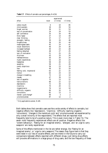|                          |       | experienced |                         |
|--------------------------|-------|-------------|-------------------------|
| effect                   | never | $1-5$ times | $> 5$ times             |
| cotton mouth             | 6     | 10          | 85                      |
| mind wanders             | 18    | 29          | 54                      |
| forget worries           | 36    | 11          | 53                      |
| lack of concentration    | 24    | 24          | 53                      |
| self confidence          | 35    | 16          | 49                      |
| think faster             | 37    | 14          | 49                      |
| clear thinking           | 37    | 17          | 47                      |
| energetic feeling        | 30    | 24          | 46                      |
| forgetfulness            | 36    | 20          | 44                      |
| meaningless tasks        | 45    | 14          | 41                      |
| visual distortions       | 46    | 24          | 30                      |
| increased hartbeat       | 49    | 23          | 28                      |
| feeling detached         | 48    | 27          | 25                      |
| lack of motivation       | 51    | 2.5         | 2.5                     |
| dizziness                | 43    | 33          | 24                      |
| restless/nervous         | 50    | 26          | 24                      |
| mystic experiences       | 53    | 24          | 23                      |
| headaches                | 58    | 20          | 22                      |
| sweating                 | 58    | 21          | 20                      |
| overly suspicious        | 58    | 23          | 19                      |
| fear                     | 49    | 32          | 19                      |
| feeling cold, impersonal | 63    | 22          | 15                      |
| tremor                   | 63    | 24          | 14                      |
| change in breathing      | 72    | 14          | 14                      |
| nausea                   | 47    | 39          | 13                      |
| lack of appetite         | 75    | 13          | 12                      |
| hallucinations           | 66    | 22          | 12                      |
| depressions              | 72    | 16          | 12                      |
| insomnia                 | 70    | 20          | 11                      |
| megalomania              | 76    | 14          | 10                      |
| difficulty orgasms       | 84    | 10          | 6                       |
| convulsions              | 82    | 13          | $\overline{5}$          |
| menstr. cycle change*    | 94    | 3           | $\overline{\mathbf{c}}$ |
| unconsciousness          | 87    | 12          | $\overline{2}$          |

**Table 7.7** Effects of cannabis use (percentages, N=216)

*\* Only applicable to women, N=89.*

Both tables show that cannabis users ascribe a wide variety of effects to cannabis, but negative effects like 'depressions', 'insomnia', 'difficulty reaching orgasms', 'convulsions', 'changes in the menstrual cycle' and 'unconsciousness' are experienced by only a small minority of the respondents. The effects that are reported most frequently tend to be of a positive nature. This is even more clear in Table 7.6. The seven most frequently experienced effects are all positive. Negative effects like 'violent behaviour', 'fleeing for an imagined enemy', 'allergies', and 'an urge to carry weapons' are rarely experienced.

Some of the effects mentioned in the list are rather strange, like 'fleeing for an imagined enemy', or 'urge to carry weapons'.The reason they figure here is that they were listed in our lists of cocaine effects, and we intend in the future to carry out comparisons between effects reported with different drugs. Just listing drug effects will provoke affirmations in a large group of drug users, and the low frequency of these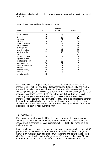effects is an indication of either the low prevalence, or some sort of imaginative causal attribution.

| effect                | never | experienced<br>1-5 times | $> 5$ times      |
|-----------------------|-------|--------------------------|------------------|
| fits of laughter      | 5     | 15                       | 81               |
| euphoria              | 16    | 17                       | 67               |
| no worries            | 17    | 17                       | 67               |
| talkative             | 14    | 23                       | 63               |
| sense of perfection   | 24    | 22                       | 54               |
| sexual stimulation    | 31    | 21                       | 48               |
| prolonged sex         | 44    | 18                       | 39               |
| lack of ambition      | 47    | 21                       | 32               |
| sensiteve to light    | 51    | 20                       | 29               |
| panic                 | 55    | 33                       | 12               |
| urinate more often    | 85    | 6                        | 9                |
| tightness in chest    | 73    | 19                       | 8                |
| indiffernce to pain   | 78    | 13                       | 9                |
| local numbness        | 76    | 17                       | 7                |
| urge to carry weapons | 96    | 1                        | 3                |
| allergies             | 98    | 1                        | $\boldsymbol{2}$ |
| imagined enemy        | 86    | 13                       | $\boldsymbol{2}$ |
| violence              | 94    | 5                        |                  |
| epileptic attacks     | 100   |                          |                  |

**Table 7.8** Effects of cannabis use (in percentages, N=216).

We gave respondents the possibility to list effects of cannabis use that were not mentioned in any of our lists. Only 48 respondents used this possibility, and most of the mentioned effects were very idiosyncratic (like alternation between feeling warm and cold (1 person),feeling psychotic (1 person), sensing ones own organs (2 persons) or reasoning in circles (2 persons). But 5 respondents said that for them a feeling of 'belonging to a group' was associated to using cannabis,and the same number mentioned 'being sensitive to colours/music.' In fact, using these multiple instruments to probe for cannabis effects shows how incredibly wide the range of effects is, and also how some effects ( like occurrence of sexual stimulation) are relevant for a certain proportion, but seem to not occur for another.

#### *7.6 Conclusion.*

If measured in several ways with different instruments, one of the most important advantages and functions of cannabis use as mentioned by our random representative sample of 216 experienced cannabis users is *relaxation*. This finding runs parallel to findings elsewhere.

Kleiber et al. found relaxation ranking first as reason for use. An ample majority of 67 percent mention this reason for use in their recent snow ball sample of 1,458 german users. <sup>2</sup> In an Australian snow ball sample of 268 long term and current users Didcott et al. found that relaxation and relief of stress were 'the most popular reasons' to use cannabis for 61 percent of their sample.<sup>3</sup> In his New York snowball sample of 204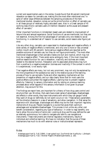current and experimental users in the sixties, Goode found that 46 percent mentioned relaxation as reason for cannabis use, making this the most often mentioned one. $^4$  In spite of rather large differences between the sampling procedures of the here mentioned studies, relaxation comes out as the prime function or effect of cannabis use in all these groups of relatively highly educated users. Also in a Greek sample of 45 working class chronic cannabis users 23 mention relaxation as the ususal and pleasant effect of cannabis.<sup>5</sup>

Other important functions in Amsterdam based users are related to improvement of leisure time and sensual experience. Social functions of use are mentioned, but they are not essential. Among the first five advantages of cannabis only one relates to social functioning. In a standard set of 'reasons' to use cannabis, social reasons also figure just once.

Like any other drug, cannabis use is associated to disadvantages and negative effects. A wide variety of negative effects is mentioned, and only one is more or less universal (cotton mouth with 85 percent). Some serious negative effects are reported as the possible outcome of cannabis use, but they do not figure prominently. The most often mentioned disadvantage is that cannabis makes one dull and inactive, which may not truly be a negative effect. There exists some ambiguity here. If the most important positive reason/function for use is relaxation, inactivity and dullness are closely related to the desired function. Relaxation and its associated phenomena may turn from a positive to a negative evaluation (dulness and inactivity) if the context in which it is experienced, *is not exactly right*.

That negative effects are many, but not very prominent, may not only be explained by the mild properties of the substance but also to the relative succes of the learning process of how to use cannabis. Rules and other regulatory mechanisms act like prevention of negative effects, and our data clearly show that for most users the positive effects outnumber the negative effects. Learning how to prevent negative effects by 'listening' to sensory information and by relying on previous learning processes about what happens if this sensory information is not given its proper attention, may account for this.

The findings we report here, are important for a theory of how drug users control and structure their use. We show, that users have a keen sense of advantages, disadvantages and effects.In other words, they have instruments with which they can gauge if what they want of drugs (or definitely do not want) occurs or not. These sensory parameters act like directory beacons in a sea of sensations, and allow navigation. In that sense *the experience with advantages, disadvatages and effects may be the most important regulatory mechanisms of drug use.* People navigate to a course that gives them optimum advantages and acceptable disadvantages. This process is not unlike any other cost benefit consideration, regarding any type of behaviour. In order to reap benefits, one has to allow the occurrence of some cost. Looking at drug use this way defines the user as relatively autonomous; he is able to navigate and able to use navigational instruments. These instruments are internal regulatory mechanisms, results of individual and collective learning. We have no indication that the succes of these mechanisms has much to do with external rules or institutionalised repression.

#### *Notes*

<sup>&</sup>lt;sup>1</sup> Arbeitsgruppe Hanf & Fuß (1994), *Unser gutes Kraut. Das Porträt der Hanfkultur.* Löhrbach: Arbeitsgruppe Hanf & Fuß / Werner Pieper's MedienXperimente. p. 183.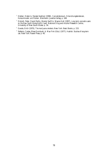- <sup>2</sup> Kleiber, Dieter & Renate Soellner (1998)*, Cannabiskonsum. Entwicklungstendenzen, Konsummuster und Risiken*. Weinheim: Juventa Verlag. p. 168.
- <sup>3</sup> Didcott, Peter, David Reilly, Wendy Swift & Wayne Hall (1997), *Long term cannabis users on the New South Wales North Coast*. National Drug and Alcohol Research Centre, University of New South Wales. p. 34.
- <sup>4</sup> Goode, Erich (1970), *The marijuana smokers*. New York: Basic Books. p. 153.
- <sup>5</sup> Stefanis, Costas, Rhea Dornbush, & Max Fink (Eds.) (1977), *Hashish. Studies of long-term use*. New York: Raven Press. p. 40.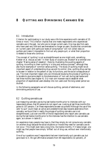# **8 QUITTING AND DIMINISHING CANNABIS USE**

#### *8.1 Introduction*

Criterion for participating in our study was a life time experience with cannabis of 25 times or more. This criterion implies that one meets respondents who experienced cannabis use in the past , but who are no longer current users. One may also find users who have used very little and see themselves no longer as users. Studies that concentrate on 'current users' with particular levels of consumption<sup>1</sup> will not collect data on quitters and make it impossible to find out why people quit, or what their proportion is related to those who continue.

The concept of 'quitting' is not as straightforward as one might wish, something Kleiber et al. discuss as well. $^{\rm 2}$  In their study of cocaine use, Waldorf et al entitled one chapter 'Making sense of cessation', there by illustrating the puzzling aspects of quitting. According to them quitting is 'a long and arduous process'3 , although they also found examples of 'common sense quitting.' The study of quitting might be an important aspect of understanding drug use and its control. Also, quitting drug use has to be seen in relation to the pattern of use, its functions, and the social consequences of use. The most important reason why we introduced studying the process of quitting is to be able to give some depth to the phenomenon of 'non use' during last twelve and last three months (see chapter 4). Our main aim however was to establish what proportion of experienced users develop into non users over the long career period we studied.

In the following paragraphs we will discuss quitting, periods of abstinence, and diminishing amounts of use.

#### *8.2 Quitting cannabis use*

Just measuring cannabis use during last twelve months prior to interview with our respondents shows, that 83 persons do not report use. Looking at last three months this grows to 107 persons. Can these respondents be seen as quitters? Although the use of the verb 'to quit' could mean an active and predetermined step towards abstinence from cannabis, we found that in reality the process of quitting cannabis use is not straightforward. Just over one fifth of the 83 respondents who report zero cannabis use during the last twelve months prior to the interview has the intention to use cannabis again, as is shown in table 8.1.

An experience many people may have is, that they simply do not consume any cannabis (or another drug) because the social situations or moods they need for cannabis use do not occur. This might even take a long time, like twelve months. If it takes longer, one might say that people have simply 'drifted' out of drug use, without ever intentionally quitting.

One of our questions was if respondents had ever intentionally quit cannabis use, but gone back to it. We got affirmative answers from 69 respondents (32 percent), of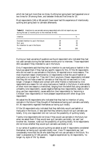which ten had quit more than six times. Quitting but going back had happened one or two times for 39 among them, and between three and five times for 20.

Most respondents (146 or 68 percent) have never had this experience of intentionally quitting and going back to cannabis afterwards.

| <i>Intention</i>                                   | n        | %        |
|----------------------------------------------------|----------|----------|
| Decided intention to use in the future<br>Not sure | 18<br>29 | 22<br>35 |
| No intention to use in the future                  | 36       | 43       |
| Total                                              | 83       | 100      |

**Table 8.1** Intentions to use cannabis among respondents who did not report any use during the last 12 months prior to the interview (N=83).

During our level use series of questions we found respondent who indicated they had not used cannabis during the last twelve months prior to interview. Those respondent (83) was asked if they intended to use in the future.

Only if respondents said that they had no intention to use marijuana or hashish in the future we asked them if they had any specific reasons for this. Of the 36 respondents who did not want to use cannabis in the future, 34 reported one or more reasons. The most important reason (mentioned by 13 respondents) is that the use of hashish or marijuana is no longer fun. They don't like it anymore. Eleven respondents indicated that they did not have a need for cannabis or that they did not see merit in it any longer. Changes in lifestyle and contact with other friends is mentioned by nine respondents as a reason for not using marijuana or hashish in the future. A wide variety of other more rare reasons is mentioned, ranging from the belief that using cannabis is unhealthy (one respondent), causes negative feelings (two respondents), leads to other drug use (two respondents), causes addiction (two respondents) to 'becoming a Christian' (two respondents) or more pleasant experiences with other drugs (one respondent).

We asked the 36 respondents who indicated that they had no intention of using cannabis in the future if they thought of themselves as having quit cannabis use totally. All 36 respondents regarded themselves as having quit totally.

Of the 18 respondents who indicated that they definitely would use hashish or marijuana in the future, 17 also said that they certainly would not quit cannabis use totally. Only one respondent did not rule out the possibility of quitting totally

Twenty-nine respondents did not know if they would use cannabis in the future, but when we asked them if they would ever quit cannabis use totally, ten said 'yes'. Another ten, however, ruled out the possibility of quitting totally. Nine respondents did not know whether they would quit cannabis use totally or not.

In our series of questions around quitting we asked as well if respondents considered themselves 'as having quit cannabis totally now'. Here 73 respondents say 'yes', considerably more than the 36 who state they will not use cannabis in the future. 'No need' is answered by 47 (66 percent), 'negative experiences' by 16 respondents, 'no longer my style of life' by eleven.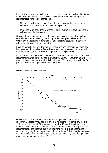For practical purposes we combine a subjective aspect of quitting and an objective one in our definition of respondents who can be considered as quitters; we regard a respondent as having quitted cannabis use:

- if the respondent reports no use of hashish or marijuana during the last twelve months prior to the interview (the objective aspect), or
- if the respondent stated that he or she had totally quitted the use of marijuana or hashish (the subjective aspect).

Of course this is a compromise in order to reach a usable definition. But 'quitting cannabis use' is not an unambiguous concept and for our quantitative analysis we wanted to define quitting in a way that we could take into account both actual use pattern and the opinion of the respondent.

Based on our definition we identified 93 respondents who either did not report any last twelve months prevalence of cannabis use (reported by 83 respondents), or had indicated having quitted cannabis use (reported by 73 respondents).

Figure 8.1 shows the age at which the 93 respondents used cannabis the last time. Two respondents reported having quitted their use at the age of 14. About ten percent of the respondents reported having quitted before the age of 19. A very large majority (90 percent) reports having quitted before the age of 38.

Figure 8.1 Age of last cannabis use by sex.



Only if a respondent indicated that he or she had quitted the use of cannabis altogether, we asked if they had used any specific actions or followed any specific strategies in order to quit. Eleven respondents out of 73 reported such strategies. Reported three times was 'avoiding friends who still use hashish or marijuana.' Two respondents said they received addiction treatment. Another three respondents reported that going abroad helped them quit cannabis use. Other strategies that were mentioned only once were 'moving to a different environment', 'progressing to hard drugs', and 'drinking more alcohol.'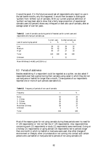It would be good, if in the future we would ask all respondents who report no use in the last twelve months, why this happened. It would then be easier to distinguish 'quitters' from 'drifters' out of cannabis. With our current practical definition of 'quitters' we have been able to show that a fairly large proportion of experienced cannabis users (43 percent) shows very infrequent or even zero use of cannabis, after an average career of over ten years.

| Level of use during top period | Current users<br>$\boldsymbol{n}$ | %              | Quitted cannabis use<br>n | %              |
|--------------------------------|-----------------------------------|----------------|---------------------------|----------------|
| Low<br>Medium<br>High          | 26<br>50<br>44                    | 22<br>42<br>37 | 26<br>29<br>27            | 32<br>35<br>33 |
| Total                          | 120                               | 100            | 82                        | 100            |
| Unknown                        | 3                                 |                | 11                        |                |

**Table 8.2** Level of cannabis use during period of heaviest use for current users and respondents who had quit cannabis use.

Mann-Whithney U=4,463; p=0.2324 (n.s.)

#### *8.3 Periods of abstinence*

Besides establishing if a respondent could be regarded as a quitter, we also asked if respondents ever had a period during their cannabis-using career in which they did not use marijuana or hashish for longer than a month. Three-quarters of our respondents reported one or more of such periods (see table 8.3).

| Frequency          | $\boldsymbol{n}$ | %        |
|--------------------|------------------|----------|
| None               | 53               | 25       |
| $1 - 2$ times      | 34               | 16       |
| 3 - 5 times        | 44               | 20       |
| 6 - 10 times       | 25               | 12       |
| More than 10 times | 59               | 27       |
| Unknown            |                  | $\theta$ |
| Total              | 216              | 100      |

**Table 8.3** Frequency of periods of non-use of cannabis

Most of the reasons given for not using cannabis during these periods were 'no need for it' (29 respondents) or 'did not feel like it' (29 respondents). Also responsibilities concerning work (21 respondents) or study (11 respondents) were mentioned. Going on a holiday (21 respondents) or going abroad (16 respondents) led to periods longer than one month in which no hashish or marijuana were used. Also other changes of environment or lifestyle, other circumstances or not coming into contact with certain persons who use hashish or marijuana led to periods of not using cannabis (25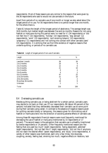respondents). Most of these reasons are very similar to the reasons that were given by the 36 respondents who said to would not use cannabis in the future.

Apart from periods of no cannabis use of one month or longer we also asked about the *longest* period of no use. For 56 respondents there is no period longer than one month, for the others there is.

Table 8.3 shows the length of the longest period of abstinence. The average length was 18.8 months, but median length was between five and six months. Reasons for not using hashish or marijuana during this period were 'no need for it' (34 respondents) or 'did not feel like it' (16 respondents), 'holiday' (10 respondents), 'stay abroad' (12 respondents), 'work' (10 respondents), 'quit smoking tobacco' (10 respondents), 'pregnancy' (11 respondents) and 'not coming into contact with other cannabis users' (15 respondents). It is striking that we find little evidence of negative reasons that underlie quitting, or periods of no cannabis use.

| Length              | n                | %   |
|---------------------|------------------|-----|
| Less than 1 month   | 56               | 26  |
| 1 to 2 months       | 20               | 9   |
| 2 to 3 months       | 12               | R   |
| 3 to 4 months       | 21               | 10  |
| 4 to 5 months       | 9                | 4   |
| 5 to 6 months       | 4                | 2   |
| 6 to 12 months      | 47               | 22  |
| 12 to 24 months     | 21               | 10  |
| 24 to 36 months     | 5                | 2   |
| More than 36 months | 19               | 9   |
| Unknown             | $\boldsymbol{2}$ |     |
| Total               | 216              | 100 |

**Table 8.4** Length of longest period of non-use of cannabis

#### *8.4 Decreasing cannabis use*

Besides quitting cannabis use, or being abstinent for a certain period, cannabis users may decide to cut back on their use. Of our respondents, 86 (about 40 percent of the sample) indicated that they deliberately decreased their cannabis use at some point during their cannabis using career. In contrast to the absence of negative reasons given for quitting cannabis totally or temporary, the reasons given for diminishing use of hashish or marihuana tend into the direction of avoiding adverse effects of cannabis use.

Among these 86 respondents financial reasons were most frequently mentioned for decreasing the use of hashish or marijuana (mentioned by 15 respondents or 17 percent). The second reason is the perception that cannabis use is unhealthy (mentioned by twelve respondents or 14 percent). Other frequently mentioned reasons are 'the feeling that one used too much' (eight respondents), 'being dependent, addicted' (eight respondents), 'did not feel like it' (eight respondents), 'did not like it anymore, did not reach the desired effect' (seven respondents), and 'study' (nine respondents). A variety of other reasons was mentioned, each only a few times, like dozyness, coughing, anxiety, feeling bad, smoking too much, negative effects on relations, lack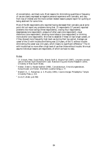of concentration, and black outs. Most reasons for diminishing quantities or frequency of use are clearly expressed as negative personal experience with cannabis, and vary from loss of interest and the more context related reasons people report for quitting or being abstinent for some time.

Most of the 86 respondents who reported having decreased their cannabis use at some point did not report any problems doing that. 15 respondents (17 percent) reported problems like mood swings (three respondents), craving (four respondents), sleeplessness (one respondent), pressure of other users (one respondent), visual distortions (one respondent), smoking more tobacco (one respondent) or drinking more alcohol (one respondent). We tried to establish if these 15 had longer careers, or if they showed more frequently high level use during their top period. Average use career of the 15 with trouble diminishing was 12.9 years, of the 71 without trouble diminishing the career was 13.6 years, which means no significant difference. $^4$  The 15  $\,$ with trouble had no more often a high level of use than those without trouble. We must assume individual reasons are responsible, of which we have no data.

#### *Notes*

- <sup>1</sup> Cf. Didcott, Peter, David Reilly, Wendy Swift & Wayne Hall (1997), *Long term cannabis* users on the New South Wales North Coast. National Drug and Alcohol Research Centre, University of New South Wales.
- 2 Kleiber, Dieter & Renate Soellner (1998)*, Cannabiskonsum. Entwicklungstendenzen, Konsummuster und Risiken*. Weinheim: Juventa Verlag. p. 77.
- 3 Waldorf, D., C. Reinarman, & S. Murphy (1991), *Cocaine changes*. Philadelphia: Temple University Press. p. 213.
- $4$  (t=-0.27; df=82; p=0.789)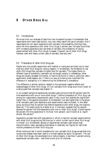# **9 OTHER DRUG USE**

#### *9.1 Introduction*

We know from our analyses of data from two household surveys in Amsterdam that respondents who never used alcohol, only very rarely report the use of cannabis. And if respondents do not report experience with cannabis, the probability that they have some life time experience with other illicit drugs is almost zero. We also found that with increasing experience and use levels of cannabis, the probability of having experimented with other illicit drugs increases. Frequent use of other illicit drugs however, even with heavy current users of cannabis, was very rare.<sup>2</sup>

#### *9.2 Prevalence of other illicit drug use*

People who only briefly experiment with hashish or marijuana are likely not to have tried any other illicit drugs for various reasons. In Amsterdam, the threshold to use other illicit drugs than cannabis is higher than for cannabis. This means there is a different type of availability (cannabis can be bought openly in coffeeshops, other drugs are usually accessed via friends, or have to be found in disco's, particular cafe's, apartments, street dealers, etc.) There is no way of knowing how important the difference in availability is in determining the differences in prevalence.

The difference is almost certainly related to the perceived negative effects and disadvantages of other illicit drugs. All non cannabis illicit drugs score much lower on a rating scale than cannabis (see chapter 7).

In our present sample of experienced cannabis users we found that 65 percent have life time experience with one or more other drugs. $^3$  Lifetime prevalence of illicit drug use among our respondents (experienced users) is very much and (statistically significant) higher than in the general population of Amsterdam<sup>4</sup>, but also higher than in the group of all cannabis users (low experience and experimental users included). In the latter group we found that 25 percent has lifetime experience with other drugs, the majority does not.<sup>5</sup> The recent study by Kleiber et al. in Germany revealed that his sample showed 64 percent life time experience with one or other illicit drugs $^{\rm 6}$ , Goode reports 68 percent life time experience in his New York sample<sup>7</sup>, and Didcott et al. report almost 100 percent.<sup>8</sup>

Apparently we deal here with populations in which a majority has been experimenting with other illicit drugs during life time but in which current use of other illicit drugs is limited. Our Amsterdam sample of experienced cannabis users shows high discontinuation rates, expressing themselves in relatively low figures for last three months prevalence of other illicit drug use

When looking at last 3 month prevalence for non cannabis illicit drugs we see that only cocaine and ecstasy have been used to a limited degree (by about 10 percent). The use of other illicit drugs, like amphetamine or hallucinogens, is less than 5 percent among experienced cannabis users – last three month prior to interview.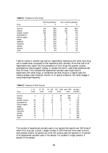|                | life time prevalence |     | last 3 months prevalence |     |
|----------------|----------------------|-----|--------------------------|-----|
| drug           | n                    | %   | n                        | %   |
| alcohol        | 214                  | 99% | 194                      | 90% |
| tobacco        | 203                  | 94% | 163                      | 76% |
| powder cocaine | 104                  | 48% | 20                       | 9%  |
| amphetamine    | 81                   | 38% | 4                        | 2%  |
| hallucinogens  | 79                   | 37% | 8                        | 4%  |
| ecstasy        | 55                   | 26% | 20                       | 9%  |
| sedatives      | 54                   | 25% | 11                       | 5%  |
| hypnotics      | 53                   | 25% | 11                       | 5%  |
| opiates        | 47                   | 22% |                          | 1%  |
| solvents       | 17                   | 8%  | $\overline{2}$           | 1%  |
| crack          | 8                    | 4%  |                          | 1%  |

**Table 9.1** Prevalence of other drugs.

Table 9.2 shows in another way that our respondents' experience with other illicit drug use is modest when compared to their experience with cannabis. More than half of all respondents who report life time prevalence of illicit drugs like powder cocaine, amphetamine, hallucinogens<sup>9</sup>, ecstasy, or opiates like heroin, used these substances less than 50 times. This indicates that experienced cannabis users might tend to experiment with other drugs, or sometimes use other drugs on a regular basis (for instance ecstasy a few times per months, or on special occasions), but rarely engage in using these drugs frequently.

| drug           | 1 - 10<br>times | $11 - 50$<br>times | times | 51 - 100 101 - 1.000 over 1.000<br>times | <i>times</i> | not appl./<br>unknown |
|----------------|-----------------|--------------------|-------|------------------------------------------|--------------|-----------------------|
| alcohol        | 5               | 2                  | 5     | 38                                       | 164          | 2                     |
| tobacco        |                 |                    | 2     | 11                                       | 188          | 13                    |
| powder cocaine | 49              | 22                 | 14    | 10                                       | 8            | 113                   |
| amphetamine    | 51              | 15                 | 12    | 3                                        |              | 135                   |
| hallucinogens  | 57              | 12                 |       | 2                                        |              | 137                   |
| ecstasy        | 40              | 11                 |       | 2                                        |              | 161                   |
| sedatives      | 23              | 14                 | ĥ     | 8                                        | 3            | 162                   |
| hypnotics      | 23              | 16                 | 5     |                                          | 2            | 163                   |
| opiates        | 33              | 5                  |       | 2                                        | 6            | 169                   |
| solvents       | 14              |                    |       |                                          |              | 199                   |
| crack          | 3               |                    |       |                                          | 3            | 208                   |

**Table 9.2** Frequency of other drug use.

The number of experienced cannabis users in our sample that reports over 100 times of other illicit drug use, is small. Largest number of 100 times and more users is found with powder cocaine, 32 persons out of all 103 cocaine users (32 percent) or 15 percent of all experienced cannabis users in the sample. For opiates it is eight persons, 4 percent of the sample.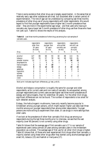There is some evidence that other drug use is largely experimental , in the sense that at relatively early age other substances are tried, but discarded after a certain period of experimentation. The role of age can be understood by comparing last three months prevalence of other drug use of young respondents with older respondents. We would expect to find that younger respondents have a higher last 3 month prevalence than older – they are more in the experimental age range – and that users who have quit cannabis use, have a lower last 3 month prevalence of other drug use than those who have not (yet) quit. Table 9.3 shows the results of this analysis.

|                | respondents<br>older than<br>30 years<br>$(N=144)$ |    | respondents<br>younger than<br>30 years<br>$(N=73)$ |    | respondents<br>who quitted<br>cannabis use<br>$(N=93)$ |                  | respondents<br>who still use<br>cannabis<br>$(N=124)$ |                |
|----------------|----------------------------------------------------|----|-----------------------------------------------------|----|--------------------------------------------------------|------------------|-------------------------------------------------------|----------------|
| drug           | $\eta$                                             | %  | $\eta$                                              | %  | $\eta$                                                 | %                | $\eta$                                                | %              |
| alcohol        | 127                                                | 88 | 68                                                  | 93 | 82                                                     | 88               | 113                                                   | 91             |
| tobacco        | 107                                                | 74 | 57                                                  | 78 | 64                                                     | 69               | 100                                                   | 81             |
| powder cocaine | 10                                                 |    | 10                                                  | 14 | 2                                                      | $\boldsymbol{2}$ | 18                                                    | 15             |
| amphetamine    | 1                                                  |    | 4                                                   | 5  | 1                                                      | 1                | 4                                                     | 3              |
| hallucinogens  |                                                    |    | 7                                                   | 10 |                                                        |                  | 8                                                     | 6              |
| ecstasy        | 8                                                  | 6  | 13                                                  | 18 | 2                                                      | $\boldsymbol{2}$ | 19                                                    | 15             |
| sedatives      | 7                                                  | 5  | 4                                                   | 5  | 3                                                      | 3                | 8                                                     | 6              |
| hypnotics      | 8                                                  | 6  | 3                                                   | 4  | 4                                                      | 4                | 7                                                     | 6              |
| opiates        | 1                                                  |    |                                                     |    | 1                                                      |                  |                                                       |                |
| solvents       | 2                                                  |    |                                                     |    | 4                                                      | 4                | $\overline{2}$                                        | $\overline{2}$ |
| crack          |                                                    |    |                                                     |    |                                                        |                  |                                                       |                |

**Table 9.3** Last three months prevalence of other drug use among four sub-samples of cannabis users.

Bold print indicates significant differences,  $\chi$ 2 test, p<0.01.

Alcohol and tobacco consumption is roughly the same for younger and older respondents, as for current users and non-users of cannabis. As we expected, among younger respondents and current users we see higher last three month prevalences of ecstasy and hallucinogens, than for older(than 30 years). For the other illicit drugs, significant differences can not be found. The number of respondents is too small for such detailed analysis.

Ecstasy, like hallucinogenic mushrooms, have only recently become popular in Amsterdam among younger persons, which might explain higher use rates (last three months) among our younger respondents than among older respondents. Younger persons are more willing to experiment than older, or use drugs in more settings than older users.

If we look at the prevalence of other than cannabis illicit drug use among our respondents during the last three months prior to interview, we see that the vast majority (over 90 percent) is not currently using other drugs.

Table 9.4 shows that the average age of first cannabis use is 17 in our sample of experienced users (versus almost 20 years among cannabis users in the Amsterdam population as a whole). The average age of first use for all other illicit drugs is higher. Table 9.5 shows that, of those who ever experienced illicit drugs other than cannabis, a majority started using these other drugs after they started using alcohol(average age of onset 14), tobacco (15) and hashish or marijuana (17).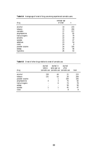| drug           | average age<br>of onset | $\eta$ |
|----------------|-------------------------|--------|
| alcohol        | 14                      | 215    |
| tobacco        | 15                      | 204    |
| cannabis       | 17                      | 217    |
| amphetamine    | 21                      | 82     |
| hallucinogens  | 22                      | 79     |
| solvents       | 22                      | 18     |
| opiates        | 23                      | 47     |
| sedatives      | 23                      | 54     |
| crack          | 24                      | 8      |
| powder cocaine | 24                      | 105    |
| ecstasy        | 25                      | 56     |
| hypnotics      | 26                      | 53     |

**Table 9.4** Average age of onset of drug use among experienced cannabis users.

**Table 9.5** Onset of other drugs relative to onset of cannabis use.

| drug           | <i>started</i><br>before | started in<br>same year as after<br>cannabis use cannabis use cannabis use | started | total |
|----------------|--------------------------|----------------------------------------------------------------------------|---------|-------|
| alcohol        | 150                      | 44                                                                         | 21      | 215   |
| tobacco        | 131                      | 53                                                                         | 20      | 204   |
| powder cocaine |                          |                                                                            | 104     | 105   |
| amphetamine    | 4                        | 3                                                                          | 75      | 82    |
| hallucinogens  |                          | 6                                                                          | 73      | 79    |
| ecstasy        |                          |                                                                            | 56      | 56    |
| opiates        |                          |                                                                            | 45      | 47    |
| crack          |                          |                                                                            | 8       | 8     |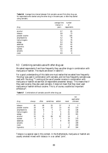| drug           | average time<br>interval in<br>years | number<br>of<br>respondents |
|----------------|--------------------------------------|-----------------------------|
| alcohol        | 0.7                                  | 65                          |
| tobacco        | 0.8                                  | 73                          |
| powder cocaine | 7.6                                  | 105                         |
| amphetamine    | 5.2                                  | 78                          |
| hallucinogens  | 5.0                                  | 79                          |
| ecstasy        | 9.3                                  | 56                          |
| sedatives      | 8.0                                  | 43                          |
| hypnotics      | 10.1                                 | 46                          |
| opiates        | 5.5                                  | 46                          |
| solvents       | 7.5                                  | 15                          |
| crack          | 6.9                                  | 8                           |

**Table 9.6** Average time interval between first cannabis use and first other drug use for respondents who started using the other drug in the same year, or after they started using cannabis.

#### *9.3 Combining cannabis use with other drug use*

We asked respondents if and how frequently they use other drugs in combination with marijuana or hashish. The results are shown in table 9.7.

For a good understanding of this table one must realise that we asked how frequently 'the drug' was used in combination with cannabis, and not how frequently cannabis was used with 'the drug.'<sup>10</sup> Looking at the use of powder cocaine in combination with marijuana or hashish we see that 18 respondents answered 'always.' This means that if they used cocaine, they also used cannabis. It does not mean that they never used marijuana or hashish without cocaine. This is, of course, a subtle but important  $difference<sup>11</sup>$ .

| drug           | always           | often | sometimes      | seldom         | never          | not<br>applicable/<br>unknown |
|----------------|------------------|-------|----------------|----------------|----------------|-------------------------------|
| tobacco        | 45               | 48    | 55             | 57             | 9              | 3                             |
| powder cocaine | 18               | 14    | 15             | 13             | 43             | 114                           |
| amphetamine    | 16               | 8     | 7              | 17             | 33             | 136                           |
| hallucinogens  | 16               | 7     | 9              | 5              | 41             | 139                           |
| ecstasy        | 15               | 3     | 5              | 8              | 25             | 161                           |
| alcohol        | 10               | 35    | 69             | 87             | 14             | 2                             |
| opiates        | 6                | 6     | 5              | 7              | 23             | 170                           |
| sedatives      | $\boldsymbol{2}$ | 2     | 2              | 8              | 40             | 163                           |
| solvents       | $\overline{2}$   |       | $\overline{2}$ |                | 13             | 199                           |
| crack          |                  |       | $\overline{2}$ |                | $\overline{2}$ | 209                           |
| hypnotics      |                  | 3     |                | $\overline{2}$ | 47             | 164                           |

**Table 9.7** Combinations of cannabis use with other drug use

Tobacco is a special case in this context. In the Netherlands, marijuana or hashish are usually smoked mixed with tobacco in a so called 'joint'.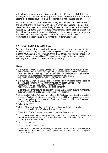After alcohol, powder cocaine is listed second in table 9.7 as a drug that-if it is takenis always or often combined with marijuana or hashish. However, it is also listed as the second most reported drug that is *never* combined with marijuana or hashish.

Hallucinogens and ecstasy are reported relatively often on each of the two extremes of the scale of being fit 'to combine' with cannabis. When used, hallucinogens are taken 'always' or 'often' together with cannabis by 23 persons, but on the other hand 'never' together by 41 persons. Such counterpositions are intriguing and their explanation may be hidden in the specific functions both hallucinogens and cannabis have for their users. For some the combination may be functional, for others not at all or even dysfunctional. The same substance, completely different types of use.

#### *9.4 Experience with iv use of drugs*

We explicitly asked if respondent had ever given herself or had received an injection of a drug .A list of drugs was read aloud. Altogether we found that 38 persons (18 percent) have experience with iv drugs, of which 21 persons with multiple drugs. Most often mentioned are tranquillisers (11 respondents), morphine (ten respondents), cocaine (six respondents) and heroin (three respondents).

#### *Notes*

- <sup>1</sup> [Cohen, Peter & Arjan Sas \(1996\), Cannabis use as a stepping stone to other drug use: The](http://www.cedro-uva.org/lib/cohen.cannabis.html) case of Amsterdam. In: Lorenz Böllinger (1997) *Cannabis science / Cannabis Wissenschaft. From prohibition to human right / Von der Prohibition zum Recht auf Genuß*. Frankfurt am Main: Peter Lang Europäischer Verlag der Wissenschaften. pp. 49-82. Online: http://www.frw.uva.nl/cedro/library/ASC95/ASC95.html
- <sup>2</sup> Cohen, Peter, & Arjan Sas (1997), *Patterns of cannabis use in Amsterdam among experienced [cannabis users. Some preliminary data from the 1995 Amsterdam Cannabis Survey.](http://www.cedro-uva.org/lib/sas.patterns.html)* Amsterdam: CEDRO, University of Amsterdam. Online: http://www.frw.uva.nl/cedro/library/cannabis/florence.html.
- 3 Experience with either cocaine, all opiates (morphine, heroin, opium, codeine, methadone), ecstasy, amphetamine, and hallucinogens (including mushrooms).
- <sup>4</sup> Cf. Sandwijk, J.P., P.D.A. Cohen, S. Musterd & M.P.S. Langemeijer (1995*), Licit and illicit drug use in Amsterdam II: Report of a household survey in 1994 on the prevalence of drug use among the population of 12 years and over*. Amsterdam: Department of Human Geography, University of Amsterdam. p. 17.
- 5 Cohen & Sas (1997).
- 6 Kleiber, Dieter & Renate Soellner (1998)*, Cannabiskonsum. Entwicklungstendenzen, Konsummuster und Risiken*. Weinheim: Juventa Verlag.
- <sup>7</sup> Goode, Erich (1970), *The marijuana smokers*. New York: Basic Books.
- <sup>8</sup> Didcott, Peter, David Reilly, Wendy Swift & Wayne Hall (1997), *Long term cannabis users on the New South Wales North Coast*. National Drug and Alcohol Research Centre, University of New South Wales.
- <sup>9</sup> Including mushrooms.
- $10$  Cf. question 23a-k in the appendix.
- $11$  We instructed our interviewers extensively on the exact interpretation of this question and we checked the answers on this question regularly when the interviewers returned the completed questionnaires to us.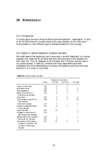## **10 DEPENDENCE**

#### *10.1 Introduction*

In a study about the use of drugs we should give some attention ' dependence'. In spite of all the difficulties this concept entails since many decades, we will offer some finding based on a few different types of operationalisations of this concept.

#### *10.2 Special or deviant behaviour to obtain cannabis*

We might assume that people who are in some way or another 'dependent' on a certain substance will reveal this by activities that show the importance of the substance for their daily life. This list, designed by Morningstar and Chitwood<sup>1</sup> was also used in our cocaine studies.<sup>2</sup> In table 10.1 we show how many respondents have never undertaken any of the listed behaviours to acquire the substance, and how many have done this 1 or 2 times, or more often.

|                                                                                                 | Frequency of occurrence |                |                          |             |  |  |
|-------------------------------------------------------------------------------------------------|-------------------------|----------------|--------------------------|-------------|--|--|
|                                                                                                 | <b>Never</b>            |                | $1-2$ times $3-10$ times | $>10$ times |  |  |
| Taken on extra work                                                                             | 210                     | 3              | 3                        |             |  |  |
| Borrowed money                                                                                  | 210                     | 2              | 2                        | 2           |  |  |
| Sold possessions                                                                                | 206                     | 7              | 2                        |             |  |  |
| Stolen from family or<br>friends to buy cannabis                                                | 212                     | 3              |                          |             |  |  |
| Shoplifted                                                                                      | 207                     | 3              | 3                        | 3           |  |  |
| Sold cannabis to pay for my<br>own cannabis                                                     | 188                     | 3              |                          | 18          |  |  |
| Commited burglary                                                                               | 211                     | 3              |                          |             |  |  |
| Forged or passed bad checks<br>to buy cannabis                                                  | 213                     | $\overline{2}$ |                          |             |  |  |
| Stolen cannabis                                                                                 | 205                     | 10             |                          |             |  |  |
| Engaged in prostitution to<br>get money to buy cannabis                                         | 214                     |                |                          |             |  |  |
| Stealing cars to buy cannabis                                                                   | 214                     | 1              |                          |             |  |  |
| Trading sex for cannabis                                                                        | 213                     | 3              |                          |             |  |  |
| Hung around with people<br>or been in a situation I did<br>not like in order to get<br>cannabis | 181                     | 22             | 9                        |             |  |  |

#### **Table 10.1** Ways to obtain cannabis.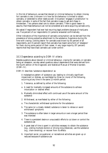In this list of behaviours, we see that deviant or criminal behaviour to obtain (money for) cannabis is rare. Unknown is in how far this behaviour is limited to obtain cannabis, or extended to other needs as well. One person 'engages in prostitution' to obtain cannabis, in spite of the fact that cannabis is easy to get and cheap in Amsterdam. Two persons steal cars to obtain cannabis. There is good reason to assume, that these behaviours can not be considered as to serve acquiring cannabis only.

We asked if respondent had ever had recurring legal problems because of marijuana use. Five percent of our respondents (11 persons) answered confirmatively.

Other indications of the importance of cannabis consumption can be derived from the prevalence of strong subjective attachment to the substance. Experience during life time with craving- a strong desire- for cannabis was known by 65 percent of all respondents, and 15 percent report that cannabis has meant some form of 'obsession' for them during some period of their career. A very large majority (97 percent) reports that they have (had) cannabis use 'under control'.

#### *10.3 Dependence according to DSM-IV criteria*

Besides questions about deviant or criminal behaviour, craving for cannabis, or cannabis being an obsession, we also asked questions about dependence that were derived form the fourth edition of the Diagnostic and Statistical Manual of Mental Disorders (DSM-IV).

DSM-IV describes 'substance dependence' as:

A maladaptive pattern of substance use, leading to clinically significant impairment or distress, as manifested by three (or more) of the following, occurring at any time in the same 12-month period:

- 1. Tolerance, as defined by either of the following:
- a. A need for markedly increased amounts of the substance to achieve intoxication or desired effect
- b. Markedly diminished effect with continued use of the same amount of the substance
- 2. Withdrawal, as manifested by either of the following:
- a. The characteristic withdrawal syndrome for the substance
- b. The same (or a closely related) substance is taken to relieve or avoid withdrawal symptoms
- 3. The substance is often taken in larger amounts or over a longer period than was intended
- 4. There is a persistent desire or unsuccessful efforts to cut down or control the substance use
- 5. A great deal of time is spent in activities necessary to obtain the substance (e.g., visiting multiple doctors or driving long distances), use the substance (e.g., chain-smoking), or recover from its effects
- 6. Important social, occupational, or recreational activities are given up or reduced because of substance use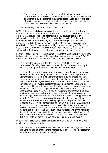7. The substance use is continued despite knowledge of having a persistent or recurrent physical or psychological problem that is likely to have been caused or exacerbated by the substance (e.g., current cocaine use despite recognition of cocaine-induced depression, or continued drinking, despite recognition that an ulcer was made worse by alcohol consumption).

(American Psychiatric Association (1994), p. 181)

DSM-IV distinguishes between substance dependence with physiological dependence (evidence of tolerance or withdrawal, i.e., either item 1 or 2 is present) and substance dependence without physiological dependence (no evidence of tolerance or withdrawal, i.e., neither item 1 nor 2 is present). According to DSM-IV, neither tolerance nor withdrawal is necessary or sufficient for a diagnosis of substance dependence (p. 178). In fact, withdrawal is not a criterion that is associated with cannabis in DSM-IV. Tolerance has an ambiguous status according to DSM-IV , it may or it may not develop in cannabis users  $(p.178)$ , reasons why we left both withdrawal and tolerance out from the list of criteria we derived from it.

Further, instead of asking for the prevalence of the criteria mentioned above during any twelve month period, we asked if the respondents ever experienced certain DSM-IV items during their entire use career. We did this for two important reasons:

- To increase the sensitivity of the items for signs of DSM-IV defined 'dependence'. Coupling these signs to a period of 12 months seems arbitrary. In our way of asking any occurrence of an item could be mentioned.
- To diminish artificial differences between respondents in this area. If we would have attached the items to any 12 month period one respondent might answer for 12 months long ago, another for 12 months before interview, another will have experience with these items but uncertain if this was during twelve months or less (and we risk that she negates these items). Moreover, we had to keep in mind that our inclusion criteria made it possible that experienced cannabis users who quit long ago would take part in our survey. By asking for any occurrence of these items during all of the cannabis using career we discard these differences between respondents and get a more reliable view on the general prevalence of these items. Multiple occurrence of the items will give an indication of the seriousness of problems respondents ever had during their entire use career, and an approximation of the DSM-IV concept of dependence. Of course the disadvantage of this procedure is, that we are not able to give proportions of dependence strictly according to DSM-IV and compare our data to e.g. Kleiber et al, 1998. However, we feel that this is not a serious problem because DSM-IV is a way of thinking – applied in a treatment setting. It is not a strict community standardised and validated test (like e.g. the SF 36 Health Status Questionnaire, or the Addiction Severity Index, with standardised item selection, translation, validation etc.). So, there is no way at all of using the DSM-IV items as if it were a standardised test that is valid within a survey like ours done among a quite special sample.<sup>3</sup>

In our questionnaire we included six questions based on the DSM-IV criteria, that resulted in the following results:

• Half of the respondents (97) had ever found him or herself using larger amounts of marijuana (or hashish) than he or she intended to, or used it for longer periods than he or she intended to, for more than a week.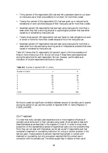- Thirty percent of the respondents (65) had ever felt a persistent desire to cut down on marijuana use or tried unsuccessfully to cut down, for more than a week.
- Twenty-four percent of the respondents (51) had ever given up or reduced social, recreational or work activities because of their marijuana use for more than a week.
- Seventeen percent (36 respondents) had ever kept using marijuana for more than a week when they had a recurring physical or psychological problem that was either caused by or worsened by marijuana use.
- Twenty-three percent (49 respondents) had ever failed to meet obligations at work or school or home for more than a week because of his or her marijuana use.
- Seventeen percent (37 respondents) had ever kept using marijuana for more than a week when he or she was having recurring social or interpersonal problems that were caused or worsened by marijuana use.

Table 10.2 shows that 51 respondents (24 percent) report a life time prevalence of three or more criteria (out of 6). We do not know if these items were experienced during the same time for each respondent. We can, however, use this table as an indication of trouble respondents attribute to cannabis.

| $\boldsymbol{n}$ | %   |
|------------------|-----|
| 85               | 39  |
| 37               | 17  |
| 43               | 20  |
| 19               | 9   |
| 15               |     |
| 9                |     |
| 8                |     |
| 216              | 100 |
|                  |     |

**Table 10.2** Number of reported DSM-IV criteria.

We found a weak but significant correlation between amount of cannabis use (in grams) during top period of use, and the number of reported DSM-IV items (Pearsons *r*= 0.1830, p=0.009).

#### *10.4 Treatment*

It is clear that many cannabis users experience one or more negative influences of cannabis use at some point in their cannabis using career. Most are able to deal with these themselves as we described in the chapters  $\overline{4}$ , 6 and 8. In order to know what proportion of this representative sample of experienced users runs into problems they think they can not deal with themselves, we did ask as well if respondents ever had contacted a treatment or counselling institution for a drug or alcohol problem in the last two years. Twelve persons (6 percent) reported having been in contact with treatment or counselling, but only one person reported that this contact was in connection with his cannabis use. The others sought help in relation to their use of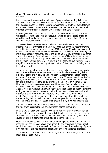alcohol (4) , cocaine (2) , or heroin/other opiates (5) or they sought help for family members (2).

For our purpose it was relevant as well to ask if people had ever during their career 'considered' going into treatment or to ask for professional assistance in relation to their cannabis use. On top of the one person who indeed had treatment contacts for use of cannabis, nineteen respondents (9 percent) reported that they ever had considered treatment or other help in connection with their use of marijuana or hashish.

Reasons given were 'difficulty to quit on my own' (mentioned 9 times), 'sense that I was addicted' (mentioned 4 times), 'negative physical or psychological effects of cannabis' (mentioned 4 times), 'other unpleasant experiences' (mentioned 2 times), and 'the influence of parents' (2 times).

Thirteen of these nineteen respondents who had considered treatment reported lifetime prevalence of three or more DSM-IV items. But, of the 51 respondents who report life time prevalence of three or more DSM-IV items, 38 had never considered some form of assistance. This shows very clearly that in individual cases reporting 3 or more items does not necessarily lead to the subjective appraisal of 'needing' assistance .In fact, the majority of users who report three or more DSM-IV items, feel no need for assistance. And of the 19 respondents who did feel this need at one point in their life, six report less than three DSM-IV items. On the aggregate level however there is a significant correlation between reporting more than 3 items and 'considering' some form of treatment.<sup>4</sup>

The nineteen respondents who report to have considered asking assistance in connection with their cannabis use were almost never low or medium level users during their top period (3 respondents) Most were high level users (15 respondents, one respondent unknown). Their average amount of top period use was 63 grams a month (median 34 grams), considerably higher than top level use of those who never considered treatment for cannabis (average top level use 15 grams per month – median 7 grams,  $N=184$ ). However, the nineteen persons who ever considered some form of assistance for themselves report much lower use during last 12 months before interview. They have dropped from an average of 63 grams a month during top period, to 8 grams a months during last twelve months. Respondents who did not report to have ever considered treatment show a drop as well, but less spectacular, from 15 grams to 6 grams a month. So, in respect to amount of use these nineteen respondents differ greatly from the rest during their top period of use, but they are quite similar to the rest during their last twelve months. This datum is of great relevance, as we will illustrate later.

Another area where these nineteen respondents differ conspicuously from all others is in the type of cannabis related problems they report as most prominent.

In table 10.3 we show some data on 'ever having had problems' in a certain field of life associated to use of cannabis. It shows, that if problems occur, they occur mostly at school, or in personal relations. We do not know if the problems they refer to are caused by cannabis, aggravated or just associated (attributed) to it.

Out of the nineteen persons that ever considered asking for some kind of assistance 13 report to have had cannabis related problems in the area of personal relationships of which 6 say these problems were serious. Over two thirds of this small group of people have had cannabis related personal problems, and one third had school problems.

The others report life time prevalence of this type of problems as well, but to a much lesser degree (table 10.3b).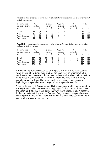| Did cannabis use<br>ever cause problems | No. no<br>problems |    | Yes, serious<br>problems |    | Yes, minor<br>problems   |                          | Not<br>Applicable |                          | <b>Total</b> |     |
|-----------------------------------------|--------------------|----|--------------------------|----|--------------------------|--------------------------|-------------------|--------------------------|--------------|-----|
| at                                      | n                  | %  | $\eta$                   | %  | $\eta$                   | %                        | $\eta$            | %                        | n            | %   |
| School                                  | 12                 | 63 | 4                        | 21 | 3                        | 16                       |                   |                          | 19           | 100 |
| Work                                    | 16                 | 84 | 2                        | 11 | -                        | $\overline{\phantom{a}}$ |                   | 5                        | 19           | 100 |
| Personal relations                      | 6                  | 32 | 6                        | 32 |                          | 37                       |                   | $\overline{\phantom{a}}$ | 19           | 100 |
| Public places                           | 18                 | 95 |                          | 5  | $\overline{\phantom{0}}$ |                          |                   |                          | 19           | 100 |

**Table 10.3a** Problems caused by cannabis use in certain situations for respondents who considered treatment for their cannabis use.

**Table 10.3b** Problems caused by cannabis use in certain situations for respondents who did not considered treatment for their cannabis use.

| Did cannabis use<br>ever cause problems | No. no<br>problems |    | Yes, serious<br>problems |                          | Yes, minor<br>problems |    | Not<br><i>Applicable</i> |                          |     | Total |
|-----------------------------------------|--------------------|----|--------------------------|--------------------------|------------------------|----|--------------------------|--------------------------|-----|-------|
| at                                      | n                  | %  | n                        | %                        | $\eta$                 | %  | $\eta$                   | %                        | n   | %     |
| School                                  | 137                | 70 | 19                       | 10                       | 39                     | 20 |                          |                          | 197 | 100   |
| Work                                    | 174                | 88 |                          |                          | 6                      | 3  | 16                       | 8                        | 197 | 100   |
| Personal relations                      | 145                | 74 | 12                       | 6                        | 40                     | 20 |                          | $\overline{\phantom{0}}$ | 197 | 100   |
| Public places                           | 179                | 91 | $\overline{\phantom{0}}$ | $\overline{\phantom{a}}$ | 18                     | 9  | з.                       | $\overline{\phantom{0}}$ | 197 | 100   |

Because the 19 persons who report considering assistance for their cannabis use have a very high level of use during top period, we compared them on a number of other variables with respondents who do not report to have considered asking for some form of assistance. We compared the 19 on age at time of interview, country of birth, educational level, nett monthly income, length of cannabis using career, age at beginning of top period of use and length of this top period (table 10.4).

The most interesting difference we found is the average age at which top period of use has begun. The nineteen are older on average, 26 years versus 21 for the others.Could the reason for this be that the 19 started later with their first regular use? We reported in the introduction of chapter 4 that first year of regular use and top period are very close together in time, within 2 years. We did not find any difference between the 19 and the others in age of first regular use.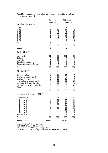|                                          | <b>Considered</b> |      | Did not consider |                  |  |
|------------------------------------------|-------------------|------|------------------|------------------|--|
|                                          | treatment         |      | treatment        |                  |  |
| Age at time of the interview*            | n                 | $\%$ | $\eta$           | $\%$             |  |
| 16-19                                    |                   |      | 9                | 5                |  |
| 20-24                                    | $\boldsymbol{2}$  | 11   | 15               | 8                |  |
| 25-29                                    | $\mathbf{1}$      | 5    | 45               | 23               |  |
| 30-34                                    | 6                 | 32   | 39               | 20               |  |
| 35-39                                    | 1                 | 5    | 35               | 18               |  |
| 40-49                                    | 8                 | 42   | 47               | 24               |  |
| 50-59                                    |                   |      | 6                | 3                |  |
| $60+$                                    | 1                 | 5    | 1                | 1                |  |
| Total                                    | 19                | 100  | 197              | 100              |  |
| Average age                              | 37                |      | 34               |                  |  |
| Country of birth**                       | $\boldsymbol{n}$  | %    | $\boldsymbol{n}$ | $\%$             |  |
| Netherlands                              | 11                | 58   | 174              | 88               |  |
| Surinam                                  | 4                 | 21   | 7                | 4                |  |
| Indonesia                                | $\boldsymbol{2}$  | 11   | $\boldsymbol{2}$ | 1                |  |
| Other European countries                 | 1                 | 5    | 9                | 5                |  |
| Other countries outside Europe           | 1                 | 5    | 5                | 3                |  |
| Total                                    | 19                | 100  | 197              | 100              |  |
| Educational level***                     | n                 | $\%$ | $\boldsymbol{n}$ | $\%$             |  |
| Elementary school                        | 3                 | 16   | 14               | 7                |  |
| Low level vocational school              | $\boldsymbol{2}$  | 11   | 6                | 3                |  |
| Low level high school                    | 3                 | 16   | 18               | 9                |  |
| Medium level vocational school           | $\overline{4}$    | 21   | 25               | 13               |  |
| Medium & high level high school          | 4                 | 21   | 40               | 20               |  |
| High level voc. school & university      | 3                 | 16   | 93               | 47               |  |
| Other                                    |                   |      | 1                | 1                |  |
| Total                                    | 19                | 100  | 197              | 100              |  |
| Average nett monthly income in 1995 **** | n                 | $\%$ | $\boldsymbol{n}$ | %                |  |
| Less than $f1,000$                       | $\boldsymbol{2}$  | 11   | 27               | 14               |  |
| $f1,000 - f1,500$                        | 4                 | 21   | 37               | 19               |  |
| $f1.500 - f2,000$                        | 7                 | 37   | $27\,$           | 14               |  |
| $f2,000 - f2,500$                        | 4                 | 21   | 27               | 14               |  |
| $f2,500 - f3,000$                        |                   |      | 32               | 16               |  |
| $f3,000 - f4,000$                        | $\boldsymbol{2}$  | 11   | 29               | 15               |  |
| $f4,000 - f5,000$                        |                   |      | 10               | $\mathbf 5$      |  |
| $f5,000 - f6,000$                        |                   |      | 3                | $\boldsymbol{2}$ |  |
| More than f6,000                         |                   |      | 5                | 3                |  |
| Total                                    | 19                | 100  | 197              | 100              |  |
|                                          |                   |      |                  |                  |  |
| Average income                           | f1,829            |      | f2,325           |                  |  |

**Table 10.4** Characteristics of respondents who considered treatment for cannabis use vs. respondents who did not.

\*Students *t* = 1.41, df = 214, p = 0.159 (n.s.)

 $** \chi2 = 21.24$ , df=4, p=0.00028 (significant)

\*\*\* Mann-Whitney U = 1,098.5, p = 0.0026 (significant)

\*\*\*\* Students  $t = -2.55$ , df  $= 29.79$ ,  $p = 0.016$  (significant, test for unequal variances)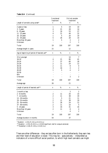|                                              | Considered<br>treatment                          |                              | Did not consider<br>treatment |                  |  |
|----------------------------------------------|--------------------------------------------------|------------------------------|-------------------------------|------------------|--|
| Length of cannabis using career*             | $\boldsymbol{n}$                                 | $\%$                         | n                             | $\%$             |  |
| 2 years or less                              | 1                                                | $\overline{5}$               | 19                            | 10               |  |
| $3 - 5$ years                                | 4                                                | 21                           | 28                            | 14               |  |
| 6 - 10 years                                 | 3                                                | 16                           | 53                            | 27               |  |
| 11 - 15 years                                | 4                                                | 21                           | 44                            | 22               |  |
| 16 - 20 years                                | 1                                                | $\overline{5}$               | 20                            | 10               |  |
| 21 - 30 years                                | 5                                                | 26                           | 28                            | 14               |  |
| More than 30 years                           | $\mathbf{1}$                                     | $\overline{5}$               | $\boldsymbol{3}$              | $\boldsymbol{2}$ |  |
| Unknown                                      |                                                  |                              | $\boldsymbol{2}$              | $\mathbf{1}$     |  |
| Total                                        | 19                                               | 100                          | 197                           | 100              |  |
| Average length in years                      | 15                                               |                              | 12                            |                  |  |
| Age at beginning of period of heaviest use** | $\boldsymbol{n}$                                 | $\%$                         | n                             | $\%$             |  |
| 15 or younger                                |                                                  |                              | 14                            | 7                |  |
| $16-19$                                      | 4                                                | 21                           | 80                            | 41               |  |
| $20 - 24$                                    | 7                                                | 37                           | 60                            | 30               |  |
| 25-29                                        | $\boldsymbol{2}$                                 | 11                           | 24                            | 12               |  |
| 30-34                                        | $\overline{c}$                                   | 11                           | 8                             | 4                |  |
| 35-39                                        | 3                                                | 16                           | 4                             | $\boldsymbol{2}$ |  |
| 40-49                                        | $\mathbf{1}$                                     | $\bf 5$                      | 4                             | $\overline{c}$   |  |
| 50-59                                        |                                                  |                              |                               |                  |  |
| $60+$                                        |                                                  |                              |                               |                  |  |
| Unknown                                      |                                                  |                              | 3                             | 2                |  |
| Total                                        | 19                                               | 100                          | 197                           | 100              |  |
| Average age                                  | 26                                               |                              | 21                            |                  |  |
| Length of period of heaviest use***          | n                                                | $% \mathcal{A}_{\mathrm{d}}$ | $\boldsymbol{n}$              | $\%$             |  |
| 1 month or less                              |                                                  |                              | 3                             | $\boldsymbol{2}$ |  |
| $2 - 6$ months                               | $\boldsymbol{2}$                                 | 11                           | 20                            | 10               |  |
| 7 - 12 months                                | $\overline{c}$                                   | 11                           | 38                            | 19               |  |
| 13 - 18 months                               | $\mathbf{1}% _{T}\left  \mathbf{1}\right\rangle$ | $\overline{5}$               | 21                            | 11               |  |
| 19 - 24 months                               | $\boldsymbol{2}$                                 | 11                           | 38                            | 19               |  |
| 25 - 36 months                               | $\overline{5}$                                   | 26                           | 24                            | 12               |  |
| 37 - 48 months                               | $\boldsymbol{2}$                                 | 11                           | 10                            | $\mathbf 5$      |  |
| 5 - 10 years                                 | 3                                                | 16                           | 31                            | 16               |  |
| More than 10 years                           | $\overline{c}$                                   | 11                           | 8                             | $\boldsymbol{4}$ |  |
| Unknown                                      | $\overline{a}$                                   |                              | $\overline{4}$                | $\boldsymbol{2}$ |  |
|                                              |                                                  |                              |                               |                  |  |
| Total                                        | 19                                               | 100                          | 197                           | 100              |  |
| Average duration in months                   | 54                                               |                              | 37                            |                  |  |

#### **Table 10.4** (Continued)

\* Students *t* = 1.59, df = 212, p= 0.113 (n.s.)

\*\* Students  $t = 2.59$ , df= 20.11, p = 0.018 (significant, test for unequal variances)

\*\*\* Studentss t = 1.48, df = 210, p = 0.141 (n.s.)

There are other differences – they are less often born in the Netherlands, they earn less and their level of education is lower. This may be – speculatively – interpreted as indicators of a more difficult social position, to which high level cannabis use might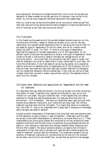be an adjustment. We should not forget however that, if this is true, the cannabis use behaviour of these nineteen during last year prior to interview is very similar to the others. So, we may have measured a temporal adjustment that passed away .

After our cocaine user surveys we formulated similar conclusions, where we said that high level users during top period have the same probability of reporting abstinence at time of interview as low level users during top period.<sup>5</sup>

#### *10.5 Conclusion*

In this chapter we discussed some of the cannabis related problems users can run into. Deviance and criminality, related to obtaining cannabis occurs, but for very few respondents. We operationalised dependence more or less along the lines of DSM-IV, but asked for signs of 'dependence' for the full career, and not for a twelve month period (as DSM-IV does). For DSM -IV three or more signs of dependence legitimise the diagnosis of cannabis dependence. Out of 216 respondents, 51 (24 percent) report to have ever had experience on three or more signs of dependence. What comes out as well is, that during a career of cannabis use, average amount of use – during top period – can be very high, this top period may last 4 years or longer, and need for assistance can be felt so clearly that it is even memorised till much later. We found the combination of very high levels of use during top period, and a subjective need for some form of assistance with 19 respondents out of 216 (9 percent). But this does not mean that these very high level users that consider treatment for themselves can not change their behaviour without outside help. In fact, they can, and *all of these nineteen* lower their use level in drastic ways without calling in the assistance they at some time did consider.

#### *10.6 Some other reflections and speculations on 'dependence' and the need for treatment*

Our data show that user careers are dynamic, but this can be seen only when reviewing a long stretch of career. Diagnostic tools, applied and followed up upon at just one moment of a use career, may give a distorted view. If that happens they can destroy potential for change that users themselves have. Our data also show that within an environment – as in Amsterdam – that does not marginalise heavy users and push them towards drug treatment institutions, such institutions are rarely used. Still without treatment use level does diminish ultimately. This means that results of a diagnostic tool, like DSM-IV, have to be interpreted with a great deal of background knowledge about cannabis use careers in general $^6$ .

Another prudent interpretation of these data is that some high level users perceive parts of their behaviour as signs of being 'in need of treatment'. These signs, and this need are socially constructed interpretations (or attributions, as Davies would put it.<sup>7</sup> These interpretations are continuously offered and reinforced by the very existence of these assistance institutions and the well known conventional drug use perspectives they are based on. Also, because our data show that cannabis related problem behaviours are felt and often located in the area of personal relations, we assume that intimate or close persons of high level users of cannabis will make the same inferences about the 'need for treatment' as some users do themselves. This causes extra pressure into the direction of treatment institutions on moments that do not look as if the 'problem' will be taken care of by the user herself! Also, we saw that top period of use averages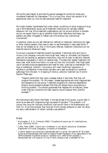38 months (see chapter 4) and that this period averages 54 months for those who considered treatment for themselves. This is a long time. About ten percent of all experienced users run into this self perceived need for treatment

We might therefor hypothesise that under certain conditions of social imaging of drug use in the Netherlands, actual use of treatment institutions for cannabis related behaviour will rise. Since treatment organisations can not survive without a clientele, we can not expect them to say to potential clients that 'data show that heavy use patterns are often mitigated or halted over time without any institutional involvement'.

If potential clients are not self referred but referred to treatment institutions by legal or other medical experts, they have to learn to see themselves in help-need terms, if they do not already do so. Also in third party referrals, treatment institutions do not have the nature to refuse such cases.

Once such a process of treatment growth has started, it becomes more and more a vicious circle. Because, more and more (high level, heavy or ultimately just frequent) users will be handled by assistance institutions, they will all learn to see and interpret themselves inescapably in terms of needing help. The data that register treatment will show rises. After some time there is no way out from the 'conclusion' that (high level) use of cannabis produces dependence and need for help. Users say so themselves! This type of artefactual 'scientific' conclusions will meet insufficient opposition in societies or professional circles where cannabis use is seen as deviance or potential pathology from the start. In *Diseasing of America, addiction treatment out of control* Stanton Peele says :

"People's belief that they have a disease makes it less likely that they will outgrow the problem. For this reason, disease approaches are most inappropriate and dangerous for the young. Treatment programs for chemical dependence stress to young substance abusers that they will always have a drug-taking or drinking problem. This almost guarantees that relapses will be frequent, when under ordinary conditions the vast majority would outgrow their youthful excesses."<sup>8</sup>

We have empirically shown that Peele, in the last phrase of this quote, is quite right in as far as we deal with outgrowing high use levels of cannabis.<sup>9</sup> The problem is of course, how long the 'ordinary conditions' that we still have in the Netherlands, will hold. Or, to be more precise, how long will Dutch society postpone or even not allow too early medicalisation of certain cannabis use patterns?

#### *Notes*

- <sup>1</sup> Morningstar, P. & D. Chitwood (1983), *The patterns of cocaine use. An interdisciplinary study*. Rockville: NIDA.
- 2 Cohen, Peter (1989), *Cocaine use in Amsterdam in non deviant subcultures*. Amsterdam: [Department of Human Geography, University of Amsterdam.](http://www.cedro-uva.org/lib/cohen.drugs.00.html)
- <sup>3</sup> In earlier research we introduced a standardised test in a survey. We used the SF 36 Health Survey as the standardised instrument to measure Health Perception of our respondents in the 1994 Amsterdam household survey.(cf. Sandwijk et al, 1995) When available, a standardised test is far superior to a list of items, because a test is validated for the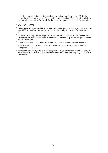population in which it is used. No validation process is known for any type of DSM-IV related list of items for any type of community based population. This entails that whatever the concept of 'dependence' means, DSM-IV is not (yet) a proper instrument for measuring it.

- $\chi^2$  = 20.45, p <.0001
- <sup>5</sup> Cohen, Peter, & Arjan Sas (1995), *Cocaine use in Amsterdam II. Initiation and patterns of use after 1986.* [Amsterdam: Department of Human Geography, University of Amsterdam. p.](http://www.cedro-uva.org/lib/cohen.cocaine2.html) 48.
- <sup>6</sup> For instance, scoring cannabis 'dependence' with the help of DSM-IV should be done very cautiously.High level use, and negative influences of cannabis, may last on average 54 months and still dissappear!
- <sup>7</sup> Davies, John Booth (1992), *The myth of addiction*. Chur: Harwood Academic Publishers.
- <sup>8</sup> Peele, Stanton (1989), *[Diseasing of America. Addiction treatment out of control](http://www.peele.net/lib/diseasing.html)*. Lexington: Lexington Books. p. 27.
- <sup>9</sup> For cocaine, see Cohen, Peter & Arjan Sas (1993), *Ten years of cocaine. A follow-up study of 64 cocaine users in Amsterdam*[. Amsterdam: Department of Human Geography, University of](http://www.cedro-uva.org/lib/cohen.ten.html) Amsterdam.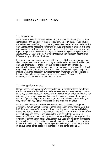# **11 DRUGS AND DRUG POLICY**

#### *11.1 Introduction*

We know little about the relation between drug use prevalence and drug policy. The complications of finding out if there is indeed any, are formidable.<sup>1</sup> Finding out on the basis of hard data if drug policy has any measurable consequences for variables like drug use prevalence, modes and fashions of drug use, or patterns of drug use over time is impossible for the time being. However, we feel that Reinarman and Levine may be right stating that criminalization of drugs has influence on types of drug use and their consequences.<sup>2</sup> Consequently, we may find that lack of criminilization has the same influence, only in different directions.

In designing our questionnaire we decided that we should at least ask a few questions about the perceived role of cannabis policy in the Netherlands on variables like other drug use, preferences for drug policy, and contacts with law enforcement. By contrasting the outcomes of these questions between respondents living under different drug policy regimes, we might at least shed some light on these highly complicated matters. Since these data about our respondents in Amsterdam will be compared to the same data collected by a sample of experienced users in Bremen and San Francisco, we will be able to do so in the near future.

#### *11.2 Drug policy preferences*

Heroin is considered a drug with 'unacceptable risk' in the Netherlands, therefor its distribution system is clandestine, spread over apartment and street dealing contacts. In no way is heroin distribution comparable to the distribution system of cannabis, nor is its social and cultural image anywhere near the images of cannabis. However, it is not part of police policy to arrest users, buyers and small sellers of heroin as long as they refrain from staying highly visible or causing street level nuisance.

When asked if the current cannabis policy in the Netherlands should change in the direction of current alcohol policy or current heroin policy, or stay as it is, more than half of the respondents (56 percent) indicated that they would prefer cannabis being treated like alcohol. Another 77 respondents (35 percent) was satisfied with the current policy of quasi legal access to cannabis via the so called coffeeshops. Only 13 respondents (6 percent) said that they would prefer cannabis policy to change into the direction of current heroin policy. Because high level users may have been subjected to more negative effects of cannabis than users at lesser level during top period, we were interested in looking at policy preference per use level category. We found that level of use during top period does not influence policy preference (table 11.1).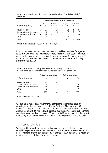|                              | Level of use during period of heaviest use |     |        |     |        |     |         |     |
|------------------------------|--------------------------------------------|-----|--------|-----|--------|-----|---------|-----|
|                              | Low                                        |     | Medium |     | High   |     | Unknown |     |
| Preferred drug policy        | n                                          | %   | n      | %   | $\eta$ | %   | n       | %   |
| Remain the same              | 19                                         | 37  | 29     | 37  | 23     | 32  | 5       | 36  |
| Cannabis treated like heroin |                                            | 2   | 6      | 8   | 5      |     |         | 7   |
| Cannabis treated like alcoho | 32                                         | 62  | 42     | 53  | 41     | 58  |         | 50  |
| Other                        |                                            |     | 2      | 3   | 2      | 3   |         |     |
| Total                        | 52                                         | 100 | 79     | 100 |        | 100 | 14      | 100 |

**Table 11.1** Preferred drug policy concerning cannabis by level of use during period of heaviest use.

Kruskal-Wallis chi-square=  $0.3619$ , df = 2, p =  $0.8345$ , n.s.

In our cocaine study we had found that users who had been abstinent for a year or longer had somewhat less liberal views on cocaine policy than those not abstinent. In our present sample of experienced cannabis users having quit (no use during last 12 month prior to interview, see chapter 8) does not influence the cannabis policy preference (table 11.2).

**Table 11.2** Preferred drug policy concerning cannabis for respondents who still used cannabis at the time of the interview, and for those who had quit cannabis.

|                              | Not quitted cannabis use |     | Quitted cannabis use |    |  |
|------------------------------|--------------------------|-----|----------------------|----|--|
| Preferred drug policy        | n                        | %   | n                    | %  |  |
| Remain the same              | 41                       | 33  | 35                   | 38 |  |
| Cannabis treated like heroin | 6                        | 5   | 7                    | 8  |  |
| Cannabis treated like alcoho | 75                       | 61  | 47                   | 51 |  |
| Other                        |                          |     |                      | 4  |  |
| Total                        | 123                      | 100 | 93                   |    |  |

 $\chi$ 2 = 4.70, df=3, p=0.19506, n.s.

We also asked respondents whether they regarded the current legal situation advantageous , disadvantageous or indifferent for them. The majority (136 respondents, 63 percent) said that the current legal situation was indifferent to them. Another 28 percent (60 respondents) expressed that the current legal situation indeed was advantageous for them. However, 20 respondents (9 percent) said that the current drug policy was disadvantageous. We did not ask for explanation of these answers.

## *11.3 Legal complications.*

When asked how much time respondents would need to get at least one gram of cannabis, 99 percent answered: less than one hour and 95 percent answers less than 0.5 hour. This confirms the easy accessibility of cannabis in Amsterdam via a system of municipality licensed shops (so called coffeeshops).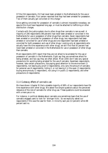Of the 216 respondents, 212 had never been arrested in the Netherlands for the use or possession of cannabis. Four person reported that they had been arrested for possession. Two of them actually got convicted on this charge.<sup>3</sup>

Since getting convicted for possession of cannabis is almost impossible nowadays, we assume this must have happened long ago, or must be attached to trafficking or other distribution charges.

Contacts with the justice system due to other drugs than cannabis is rare as well. A majority of 206 respondents (98 percent) had never been arrested or convicted in the Netherlands for use or possession of other drugs than cannabis. Seven respondents had been arrested or convicted for possession of other drugs, two respondents had been arrested or convicted for use of other drugs and one respondent had been arrested or convicted for both possession and use of other drugs. Looking only at respondents who actually have life time experience with other drugs, we still find that 93 percent had never been arrested or convicted in the Netherlands for use or possession of other drugs than cannabis.

Most respondents (207) report that they are not afraid to be arrested for the use or possession of cannabis in the Netherlands. Eight say they are sometimes afraid for being arrested, and two say they are often afraid. Most (200) don't take any special precautions for avoiding being arrested for the use of cannabis. Seventeen respondents, however, take certain precautions, like paying good attention to the environment (3 respondents), not leaving any proof (3 respondents), only carry the amount of cannabis for personal use (4 respondents), hiding it, or not leaving it in the open (2 respondents), buying anonymously (1 respondent), not using it in public (2 respondents), and other precautions (4 respondents).

#### *11.4 Gateway effects of cannabis use*

We have shown (chapter 9) that a sizeable majority of 68% of our respondents have life time experience with other drugs. We asked five simple questions about the perceived relevance of the role of cannabis for other drug use. These questions could be answered with a mere yes or no.

For instance, in political debates about cannabis one sometimes hears that the use of cannabis engages users to look for 'stronger kicks'. So we explicitly asked our respondents if this was the case for them. A minority said yes (13 percent) while 88 percent said no.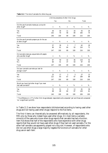|                                                                      | Life time prevalence of other illicit drugs |          |                      |          |                  |          |
|----------------------------------------------------------------------|---------------------------------------------|----------|----------------------|----------|------------------|----------|
|                                                                      | Yes                                         |          | No                   |          | <b>Total</b>     |          |
| Did the use of cannabis makes you curious for<br>other drugs?*       | $\boldsymbol{n}$                            | $\%$     | $\boldsymbol{n}$     | $\%$     | $\boldsymbol{n}$ | $\%$     |
| Yes<br>N <sub>0</sub>                                                | 44<br>102                                   | 30<br>70 | 11<br>58             | 16<br>84 | 55<br>160        | 26<br>74 |
| Total                                                                | 146                                         | 100      | 69                   | 100      | 215              | 100      |
| Did the use of cannabis prepare you for the use<br>of other drugs?*  | $\boldsymbol{n}$                            | $\%$     | $\boldsymbol{n}$     | $\%$     | $\boldsymbol{n}$ | $\%$     |
| Yes<br>N <sub>0</sub>                                                | 57<br>90                                    | 39<br>61 | 5<br>64              | 7<br>93  | 62<br>154        | 29<br>71 |
| Total                                                                | 147                                         | 100      | 69                   | 100      | 216              | 100      |
| Did cannabis make you acquainted with people<br>who use other drugs? | $\boldsymbol{n}$                            | $\%$     | $\boldsymbol{n}$     | $\%$     | $\boldsymbol{n}$ | $\%$     |
| Yes<br>N <sub>0</sub>                                                | 87<br>60                                    | 59<br>41 | 32<br>37             | 46<br>54 | 119<br>97        | 55<br>45 |
| Total                                                                | 147                                         | 100      | 69                   | 100      | 216              | 100      |
| Did your cannabis use make you look for<br>stronger kicks?*          | $\boldsymbol{n}$                            | $\%$     | $\boldsymbol{n}$     | $\%$     | $\boldsymbol{n}$ | $\%$     |
| Yes<br>N <sub>0</sub>                                                | 25<br>122                                   | 17<br>83 | $\overline{2}$<br>67 | 3<br>97  | 27<br>189        | 13<br>88 |
| Total                                                                | 147                                         | 100      | 69                   | 100      | 216              | 100      |
| Would you have tried other drugs if you never<br>had used cannabis?* | $\boldsymbol{n}$                            | %        | $\boldsymbol{n}$     | %        | $\boldsymbol{n}$ | %        |
| Yes<br>N <sub>0</sub>                                                | 72<br>68                                    | 51<br>49 | 9<br>60              | 13<br>87 | 81<br>128        | 39<br>61 |
| Total                                                                | 140                                         | 100      | 69                   | 100      | 209              | 100      |

**Table 11.3** The role of cannabis for other drug use.

\* The difference in LTP of other illicit drugs between respondents who answered 'yes' and those who answered 'no' is significant (p<0.05).

In Table 11.3 we show how respondents (dichotomised according to having used other drugs and not having used other drugs) respond to the five items.

The first 4 items can theoretically be answered affirmatively by all respondents, the fifth only by those who indeed have used other drugs. On most items a variable minority of the users who know other drugs reports that cannabis has had a function. Item five shows that half of the respondents who have experience with other drugs reports that they would not have used other drugs if they had not used cannabis. For the other half cannabis use apparently played not a big role. However, of respondents who did not use other drugs a large majority negates the functions of cannabis for other drug use on each item.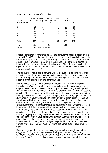| Number of               | Respondents with<br>LTP of other drugs no LTP of other drugs |                          | Respondents with |     | AII<br>respondents |     |  |
|-------------------------|--------------------------------------------------------------|--------------------------|------------------|-----|--------------------|-----|--|
| <i>positive answers</i> | n                                                            | %                        | n                | %   | n                  | %   |  |
| $\theta$                | 24                                                           | 16                       | 3                | 4   | 27                 | 13  |  |
|                         | 41                                                           | 28                       | 31               | 45  | 72                 | 33  |  |
| 2                       | 40                                                           | 27                       | 27               | 39  | 67                 | 31  |  |
| 3                       | 15                                                           | 10                       | 7                | 10  | 22                 | 10  |  |
| 4                       | 20                                                           | 14                       |                  |     | 21                 | 10  |  |
| 5                       | 7                                                            | 5                        |                  |     | 7                  | 3   |  |
| Total                   | 147                                                          | 100                      | 69               | 100 | 216                | 100 |  |
| Mean                    | 1.91                                                         |                          | 1.59             |     | 1.81               |     |  |
| Student's t             |                                                              | 2.10, df=207.69, p=0.037 |                  |     |                    |     |  |

**Table 11.4** The role of cannabis for other drug use.

Pretending that the five items are a scale we can compute the score per person on this scale (table 11.4).The highest possible score is 5 if a respondent reports that on all five items cannabis plays a role for using other drugs. Three percent of all respondents have a score of five. More users of other drugs than non users report the use of cannabis as important, and also as more important(higher score). The difference is small but significant. Still, average score on this 'scale' for those who have experience with other drug users is not more than 1,91.

The conclusion is not so straightforward. Cannabis plays a role for using other drugs, in varying degrees for different persons, and almost only for those who indeed have used other drugs. For those who have not used other drugs, cannabis is almost always perceived as not 'pulling them' into other drug use.

Most respondents deny a role of cannabis in the sense that they want to acquaint themselves with 'stronger' substances or that cannabis made them curious for other drugs. However, cannabis use as a social activity occurs among drug users in general, and just over half of our respondents report to have learned to know other drug users via cannabis. This social process may still remain one of the most important avenues into learning to know about other drugs and developing a motive for trying them. Knowing about drugs from users themselves is an important part of the initiation route, as we saw with cannabis itself (see chapter 3) and with cocaine. $^4$  This implies there may be some spurious relation in play here where we discuss the perceived importance of cannabis use for the occurrence other drug use experience. We know that the probability to have used illicit drugs increases with education, and with outgoing behaviour (visiting cafe's, bars, disco's, theatre). Cannabis users are far more outgoing than non cannabis users, so their chance to see and meet other drug users is much larger than of non outgoing people. So, outgoing behaviour- and not cannabis use per se- may be the common determinant of the probability of any drug use experience. Dominant local drug policy may play a role here: the more drug use is marginalised and concentrated into definite sub cultural groups, the higher the probability that cannabis users meet users of other drugs. This may result into higher prevalence levels of other drug use experience.

Moreover, the importance of life time experience with other drugs should not be exaggerated. Trying other drugs than cannabis happens relatively often among our sample, but frequent use of other drugs is far less prevalent. We repeat here our finding in chapter 9 that "the number of experienced cannabis users in our sample that reports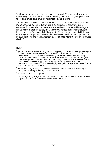100 times or over of other illicit drug use, is very small." So, independently of the role of going out, or of cannabis use is for creating cultural and physical possibilities to try other drugs, other drug use remains largely experimental.

Another topic is in what degree the decriminalization of cannabis sales in coffeeshops invites coffeeshop owners and other cannabis distributors to sell other drugs to customers. So, we asked all respondents where they bought their cannabis during the last 12 month of their use period, and whether they were able to buy other drugs at their point of sale. We found that 29 persons (or 13 percent) were indeed able to buy other drugs at their point of cannabis sale. Cocaine was mentioned by 13 persons, LSD by 10, heroin by 6 and MDMA (ecstasy) by 5. For more information on this topic, see chapter 6.

#### *Notes*

- $1$  Reuband, Karl-Heinz (1995), Drug use and drug policy in Western Europe. epidemiological findings in a comparative perspective. *European Addiction Research* 1995; 1 pp. 32-41. Cohen, Peter (1997), The relation between drug use prevalence estimation and policy interests. In: European Monitoring Center for Drugs and Drug Addiction, *Estimating the prevalence of problem drug use in Europe.* Luxembourg: Office for Official Publications of the European Communities. pp. 27-34. MacCoun, Robert & Peter Reuter (1997), Interpreting Dutch cannabis policy: Reasoning by analogy in the legalization debate. *Science*, 3 October 1997, Vol. 278, pp. 47-52.
- <sup>2</sup> Reinarman, Craig & Harry G. Levine (Eds.) (1997), *Crack in America. Demon drugs and social justice.* Berkeley: University of California Press.
- <sup>3</sup> We have no data about one person
- 4 Cf. Cohen, Peter (1989), *Cocaine use in Amsterdam in non deviant subcultures*. Amsterdam: Department of Human Geography, University of Amsterdam.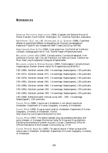### **REFERENCES**

AMERICAN PSYCHIATRIC ASSOCIATION (1994), *Diagnostic and Statistical Manual of Mental Disorders*. Fourth Edition. Washington, DC: American Psychiatric Association.

AMSTERDAM, I.G.C. VAN, J.W. VAN DER LAAN, & J.L. SLANGEN (1998), Cognitieve effecten en psychotische effecten na stopzetting van chronisch cannabisgebruik. *Nederlands Tijdschrift voor Geneeskunde* 1998 7 maart;142(10) pp 504-508.

ARBEITSGRUPPE HANF & FUß (1994), *Unser gutes Kraut. Das Porträt der Hanfkultur.* Löhrbach: Arbeitsgruppe Hanf & Fuß / Werner Pieper's MedienXperimente.

BÖLLINGER, LORENZ (Ed.) (1997), *Cannabis science / Cannabis Wissenschaft. From prohibition to human right / Von der Prohibition zum Recht auf Genuß*. Frankfurt am Main: Peter Lang Europäischer Verlag der Wissenschaften.

BÖLLINGER, LORENZ & STEPHAN QUENSEL (1995), *Forschungsplan Cannabis-Konsum Vergleichsstudie*. Bremen: Bremer Institut für Drogenforschung (BISDRO).

CBS (1966), *Statistisch zakboek 1966*. 's Gravenhage: Staatsuitgeverij, CBS publicatie.

CBS (1971), *Statistisch zakboek 1971*. 's Gravenhage: Staatsuitgeverij, CBS publicatie.

CBS (1976), *Statistisch zakboek 1976*. 's Gravenhage: Staatsuitgeverij, CBS publicatie.

CBS (1981), *Statistisch zakboek 1981*. 's Gravenhage: Staatsuitgeverij, CBS publicatie.

CBS (1986), *Statistisch zakboek 1986*. 's Gravenhage: Staatsuitgeverij, CBS publicatie.

CBS (1992), *Statistisch jaarboek 1992*. 's Gravenhage: Staatsuitgeverij, CBS publicatie.

CBS (1995), *Statistisch jaarboek 1995*. 's Gravenhage: Staatsuitgeverij, CBS publicatie.

CBS (1996), *Netherlands health interview survey 1981 - 1995*. 's Gravenhage: Staatsuitgeverij, CBS publicatie.

COHEN, PETER (1989), *Cocaine use in Amsterdam in non deviant subcultures*. [Amsterdam: Department of Human Geography, University of Amsterdam.](http://www.cedro-uva.org/lib/cohen.drugs.00.html)

COHEN, PETER (1990), *Drugs as a social construct*. Amsterdam: Department of Human Geography, University of Amsterdam. Online: [http://www.frw.uva.nl/cedro/library/dis/Toc.html](http://www.cedro-uva.org/lib/cohen.drugs.toc.html)

COHEN, PETER (1997), The relation between drug use prevalence estimation and policy interests. In: European Monitoring Center for Drugs and Drug Addiction, *Estimating the prevalence of problem drug use in Europe.* Luxembourg: Office for Official Publications of the European Communities. pp. 27-34.

COHEN, PETER & ARJAN SAS (1993), *Ten years of cocaine. A follow-up study of 64 cocaine users in Amsterdam*[. Amsterdam: Department of Human Geography, University](http://www.cedro-uva.org/lib/cohen.ten.html) of Amsterdam.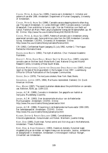COHEN, PETER, & ARJAN SAS (1995), *Cocaine use in Amsterdam II. Initiation and patterns of use after 1986.* [Amsterdam: Department of Human Geography, University](http://www.cedro-uva.org/lib/cohen.cocaine2.html) of Amsterdam.

[COHEN, PETER & ARJAN SAS \(1996\), Cannabis use as a stepping stone to other drug](http://www.cedro-uva.org/lib/cohen.cannabis.html) use: The case of Amsterdam. In: Lorenz Böllinger (1997) *Cannabis science / Cannabis Wissenschaft. From prohibition to human right / Von der Prohibition zum Recht auf Genuß*. Frankfurt am Main: Peter Lang Europäischer Verlag der Wissenschaften. pp. 49- 82. Online: http://www.frw.uva.nl/cedro/library/ASC95/ASC95.html

COHEN, PETER, & ARJAN SAS (1997), *Patterns of cannabis use in Amsterdam among [experienced cannabis users. Some preliminary data from the 1995 Amsterdam Cannabis](http://www.cedro-uva.org/lib/sas.patterns.html) Survey.* Amsterdam: CEDRO, University of Amsterdam. Online: http://www.frw.uva.nl/cedro/library/cannabis/florence.html.

CRI (1992), *Confidentieel Raport* Jaargang 13, July 1992, number 2. The Hague: Recherche Informatie Dienst.

DAVIES, JOHN BOOTH (1992), *The myth of addiction*. Chur: Harwood Academic Publishers.

DIDCOTT, PETER, DAVID REILLY, WENDY SWIFT & WAYNE HALL (1997), *Long term cannabis users on the New South Wales North Coast*. National Drug and Alcohol Research Centre, University of New South Wales.

EUROPEAN MONITORING CENTRE FOR DRUGS AND DRUG ADDICTION (1997), *Annual report on the state of the drugs problem in the European Union 1997*. Luxembourg: Office for Official Publications of the European Communities.

GOODE, ERICH (1970), *The marijuana smokers*. New York: Basic Books.

GRINSPOON, LESTER (1971, 1994), *Marihuana reconsidered.* Oakland, CA: Quick American Archives.

HALL, WAYNE (1997), The recent Australian debate about the prohihibition on cannabis use. *Addiction*, 92(9), pp. 1109-1115.

JANSEN, A.C.M. (1989), *Cannabis in Amsterdam. Een geografie van hashish en marijuana.* Muiderberg: Coutinho.

JANSEN, A.C.M. (1993), *Over de economische structuur van de Nederlandse Marihuanasector.* Amsterdam: CEDRO. Online: http://www.frw.uva.nl/cedro/library/jansen/sector.html

JANSEN, A.C.M. (1996)*, Prijsvorming in de Nederlandse marihuana-sector 1990-1995; Een beleidsperspectief.* Amsterdam: CEDRO. Online: http://www.frw.uva.nl/cedro/library/jansen/prijs.html

KLEIBER, DIETER & RENATE SOELLNER (1998)*, Cannabiskonsum. Entwicklungstendenzen, Konsummuster und Risiken*. Weinheim: Juventa Verlag.

KORF, DIRK (1995), *Dutch treat. Formal control and illicit drug use in the Netherlands*. Amsterdam: Thesis Publishers.

KORF, DIRK, & HANS VERBRAECK (1993*), Dealers en dienders. Dynamiek tussen drugsbestrijding en de midden- en hogere niveaus van de cannabis-, cocaïne-, amfetamineen ecstasyhandel in Amsterdam.* Amsterdam: Criminologisch Instituut 'Bonger', Univeriteit van Amsterdam.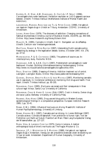KUIPERS, H., H. STAM, A.W. OUWEHAND, G. CRUTS & I.P. SPRUIT (1996), *Cannabisgebruikers nader beschouwd. Peilstation-resultaten en LADIS-gegevens opnieuw bekeken*. Utrecht: Trimbos Instituut (Netherlands Institute of Mental Health and Addiction).

LANGEMEIJER, MARIEKE, ROELF-JAN VAN TIL & PETER COHEN (1998), *Het gebruik van legale en illegale drugs in Utrecht en Tilburg.* Amsterdam: CEDRO, University of Amsterdam.

LEVINE, HARRY GENE (1979), The discovery of addiction: Changing conceptions of habitual drunkenness in America. *Journal of Studies on Alcohol*, 15(1979), pp. 493-506. Online: http://www.lindesmith.org/library/tlclevin.html

MAALSTÉ, N. (1995), *Cannabis in Utrecht. Deel III. Stamgasten van de coffeeshop.* Utrecht: Centrum voor Verslavingsonderzoek.

MACCOUN, ROBERT & PETER REUTER (1997), Interpreting Dutch cannabis policy: Reasoning by analogy in the legalization debate. *Science*, 3 October 1997, Vol. 278, pp. 47-52.

MORNINGSTAR, P. & D. CHITWOOD (1983), *The patterns of cocaine use. An interdisciplinary study*. Rockville: NIDA.

OUWEHAND, A.W. & A.A.N. CRUTS (1997), *Problematisch cannabisgebruik nader beschouwd*. Houten: Stichting Informatievoorziening Verslavingszorg. Online: http://www.ivv.nl/publications/cannabisgebruik/cgebruiktoc.html.

PEELE, STANTON (1989), *Diseasing of America. Addiction treatment out of control*. [Lexington: Lexington Books. Online: http://www.peele.net/lib/diseasing.html](http://www.peele.net/lib/diseasing.html)

QUENSEL, STEPHAN, BIRGITTA KOLTE & INGO MICHELS (1997), Monitoring cannabis use: A case study. In: *Invitational conference on monitoring illicit drugs and health. Final report.* Utrecht: Trimbos Instituut. pp. 95-105.

REINARMAN, CRAIG (1995), *Marijuana use careers and their consequences in three cultural-legal milieux*. Santa Cruz: University of California.

REINARMAN, CRAIG & HARRY G. LEVINE (Eds.) (1997), *Crack in America. Demon drugs and social justice.* Berkeley: University of California Press.

REUBAND, KARL-HEINZ (1995), Drug use and drug policy in Western Europe. epidemiological findings in a comparative perspective. *European Addiction Research* 1995; 1 pp. 32-41.

ROBBE, H.W.J. (1994), *Influence of marijuana on driving*. Maastricht: Institute of Human Psychopharmacology, University of Limburg.

ROBBE, HINDRIK W.J. (1997), Cannabis and car driving. In: Lorenz Böllinger (1997) *Cannabis science / Cannabis Wissenschaft. From prohibition to human right / Von der Prohibition zum Recht auf Genuß*. Frankfurt am Main: Peter Lang Europäischer Verlag der Wissenschaften. pp. 127-137.

RUBIN, VERA, & LAMBROS COMITAS (1975), *Ganja in Jamaica. A medical anthropological study of chronic marihuana use.* The Hague: Mouton & Co.

SANDWIJK, J.P., I. WESTERTERP & S. MUSTERD (1988), *Het gebruik van legale en illegale drugs in Amsterdam. Verslag van een prevalentie-onderzoek onder de bevolking van 12 jaar en ouder.* Amsterdam: Department of Human Geography, University of Amsterdam.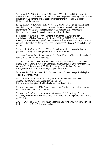SANDWIJK, J.P., P.D.A. COHEN & S. MUSTERD (1991), *Licit and illicit drug use in Amsterdam. Report of a household survey in 1990 on the prevalence of drug use among the population of 12 years and over.* Amsterdam: Department of Human Geography, University of Amsterdam.

SANDWIJK, J.P., P.D.A. COHEN, S. MUSTERD & M.P.S. LANGEMEIJER (1995*), Licit and illicit drug use in Amsterdam II: Report of a household survey in 1994 on the prevalence of drug use among the population of 12 years and over*. Amsterdam: Department of Human Geography, University of Amsterdam.

SCHNEIDER, WOLFGANG (1997), Umgang mit Cannabis. Zum Stand der sozialwissenschaftlichen Forschung. In: Lorenz Böllinger (1997) *Cannabis science / Cannabis Wissenschaft. From prohibition to human right / Von der Prohibition zum Recht auf Genuß*. Frankfurt am Main: Peter Lang Europäischer Verlag der Wissenschaften. pp. 83-100.

SPRUIT, I.P. & W.M. DE ZWART (1995), Middelengebruik en kansspelgedrag. In: *Jaarboek verslaving 1994 over gebruik en zorg*. Utrecht: NIAD.

STEFANIS, COSTAS, RHEA DORNBUSH, & MAX FINK (Eds.) (1977), *Hashish. Studies of long-term use*. New York: Raven Press.

TIL, ROELF-JAN VAN (1997), *Het eerste nationale drugsprevalentie-onderzoek*. Paper presented on the seventh forum on alcohol and drugresearch (FADO), Amersfoort, 16 October 1997. Amsterdam: CEDRO, University of Amsterdam. Online: http://www.frw.uva.nl/cedro/library/roelfjan/fado97.html

WALDORF, D., C. REINARMAN, & S. MURPHY (1991), *Cocaine changes*. Philadelphia: Temple University Press.

WERKGROEP VERDOVENDE MIDDELEN (1972), *Achtergronden en risico's van druggebruik*. 's Gravenhage: Staatsuitgeverij. Online: http://nederland.drugtext.nl/bibliotheek/rapporten/baan1.htm

ZINBERG, NORMAN E. (1984), *Drug, set, and setting. The basis for controlled intoxicant use*. New Haven: Yale University Press.

ZINBERG, N.E., W.M. HARDING, & M. WINKELIER (1977), A study of social regulatory mechanisms in controlled illicit drug users. *Jnl of Drug Issues*, Vol.7, No 2, pp 117-132.

ZWART, W.M. DE & C. MENSINK (1996), *Jaarboek verslaving 1995 over gebruik en zorg in cijfers*. Houten: Bohn Stafleu Van Loghum.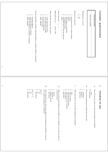| $\overline{\phantom{a}}$ | 1 2 3 4<br>other, specify:<br>under the influence of hashish or marijuana<br>under the influence of alcohol<br>not under influence | Was the respondent noticably under the influence of alcohol, hashish or marijuana?<br>other, specify:<br>at the university | $-0.040$<br>in a cafe or coffeeshop<br>at the interviewer's home<br>at the respondent's home                                     | Where did the interview take place?<br>Begin interview at :  (A.M./P.M.)                 | Date of interview //                                                                                              | $\frac{1}{2}$<br>このい<br>other:<br>illness<br>right address, not at home<br>respondent had no time for interview<br>wrong phone number<br>refusal<br>person does not live at given address | Reason for no interview:                                      | Participation in survey?<br>$\sim$ $-$<br>$_{\rm N}^{\rm NS}$ | Interviewer number:                                                                                | Respondent number:                                                 | Cannabis questionnaire |  |
|--------------------------|------------------------------------------------------------------------------------------------------------------------------------|----------------------------------------------------------------------------------------------------------------------------|----------------------------------------------------------------------------------------------------------------------------------|------------------------------------------------------------------------------------------|-------------------------------------------------------------------------------------------------------------------|-------------------------------------------------------------------------------------------------------------------------------------------------------------------------------------------|---------------------------------------------------------------|---------------------------------------------------------------|----------------------------------------------------------------------------------------------------|--------------------------------------------------------------------|------------------------|--|
| 2                        | asked for it?<br>$\alpha$<br>$\overline{\phantom{0}}$<br>yes<br>don't know<br>$\overline{a}$                                       | offered?<br>1 vor<br>$\sigma$ $\sim$<br>$_{\lambda \rm es}$<br>don't know<br>$\overline{a}$                                | 9g<br>Prior to that first time, had anyone offered you marijuana (or hashish), or had you ever asked for marijuana (or hashish)? | $\frac{1}{2}$ $\frac{1}{2}$<br>bought it myself<br>don't know<br>asked for it<br>offered | βÇ<br>When you first used marijuana (or hashish), was it offered to you, did you ask for it<br>or did you buy it? | $\frac{1}{2} \alpha \alpha \alpha$<br>with one or more co-workers<br>with others:<br>with a group of friends<br>with one friend<br>don't know<br>alone                                    | Z<br>With whom did you use your first marijuana (or hashish)? | $\frac{1}{2}$<br>don't know<br>hashish<br>marijuana           | đ<br>$\mathcal{S}$ :<br>Did you use marijuana (or hashish) that first time?<br>don't know<br>years | Γa<br>How old were you when you first used marijuana (or hashish)? | Initiation of use      |  |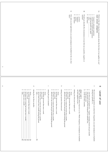- 4aWhich of the following four statements about the first time of use applies to you? read answer categories Which of the following four statements about the first time of use applies to you? read answer categories
- ب ص I found it a pleasant experience
- I found it an unpleasant experience
- $\omega$ I did not perceive any effect I did not perceive any effect
- $\cup$ 5 other: ........................................

............

- $\circ$ don't know don't know
- 4bWould you describe the circumstances of your first use as positive, negative or neutral? Would you describe the circumstances of your first use as positive, negative or neutral?
- positive
- $\sim$ negative
- دى neutral
- 
- $\circ$ don't know don't know
- 4c How did you feel right before you used marijuana (or hashish) for the very first How did you feel right before you used marijuana (or hashish) for the very first<br>time?

## $\equiv$ Level of use Level of use

- $\sigma$ during four periods, i.e., The next several questions are about how frequently you used marijuana (or hashish) The next several questions are about how frequently you used marijuana (or hashish) during four periods, i.e.,
- a a your first year of regular use - "regular" meaning at least once per month your period of heaviest marijuana (or hashish) use, your first year of regular use - "regular" meaning at least once per month
- your period of heaviest marijuana (or hashish) use,
- in the past year,  $\lim_{x \to 0}$  the last three months. in the past year,

c

 $\mathbf{a}$ in the last three months.

## show card 1 show card 1

This card shows these *fequencies of use.* Which frequency of marijuana (or hashish) use best applied to you ... This card shows these use best applied to you ... *frequencies of use*. Which frequency of marijuana (or hashish)

- aduring your first year of regular use? during your first year of regular use?
- daily

 $\overline{\phantom{a}}$ 

- $\sim$ not daily, but more than once a week not daily, but more than once a week
- ယ once a week once a week
- $\sigma$ 4 less than once a week, but at least once a month less than once a week, but at least once a month
- did not ever use at least once per month during this period did not ever use at least once per month during this period
- during your period of heaviest use? during your period of heaviest use?

b

- 
- $\sim$ not daily, but more than once a week not daily, but more than once a week daily
- once a week
- once a week less than once a week, but at least once a month less than once a week, but at least once a month

4

دى

- $\sigma$ did not ever use at least once per month during this period did not ever use at least once per month during this period
- cduring the past 12 months? during the past 12 months?
- daily
- $\sim$ not daily, but more than once a week not daily, but more than once a week
- ယ once a week once a week
- ហ 4 less than once a week, but at least once a month less than once a week, but at least once a month
- never used at least once a month during this period never used at least once a month during this period

\_\_\_\_\_\_\_\_\_\_\_\_\_\_\_\_\_\_\_\_\_\_\_\_\_\_\_\_\_\_\_\_\_\_\_\_\_\_\_\_\_\_\_\_\_\_\_\_\_\_\_\_\_\_

.<br>eg

 $\mathbf{a}$ during the last three months during the last three months.

െ none

4 $\omega$  $\sim$ once a week not daily, but more than once a week daily\_ less than once a week, but at least once a month. less than once a week, but at least once a month\_\_\_\_\_\_\_\_\_\_\_\_\_\_\_\_\_\_\_\_\_\_\_\_\_\_\_\_\_\_\_\_ once a week not daily, but more than once a week\_\_\_\_\_\_\_\_\_\_\_\_\_\_\_\_\_\_\_\_\_\_\_\_\_\_\_\_\_\_ daily\_\_\_\_\_\_\_\_\_\_\_\_\_\_\_\_\_\_\_\_\_\_\_\_\_\_\_\_\_\_\_\_\_\_\_\_\_\_\_\_\_\_\_\_\_\_\_\_\_\_\_\_\_ 7b 7b 7b 7b 7b 6a

 $\sigma$ 

6

none

less than once a month

less than once a month

4

 $\omega$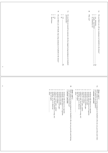|                   | $\rm \Sigma d$<br>97                                                                                                                                                                                                                                                                                                                                                                                                                                                                                            | ęд<br>ခု                                                                                                                                                                                                                                                                                                                                                                                                                                                                                                                    |
|-------------------|-----------------------------------------------------------------------------------------------------------------------------------------------------------------------------------------------------------------------------------------------------------------------------------------------------------------------------------------------------------------------------------------------------------------------------------------------------------------------------------------------------------------|-----------------------------------------------------------------------------------------------------------------------------------------------------------------------------------------------------------------------------------------------------------------------------------------------------------------------------------------------------------------------------------------------------------------------------------------------------------------------------------------------------------------------------|
|                   | $\frac{1}{2}$<br>Do you think you will finally stop using marijuana (or hashish) in the future?<br>$\sim$ $-$<br>Do you think of yourself as someone who has stopped using marijuana (or hashish)<br>$\operatorname{permandy?}$<br>don't know<br>ā<br>yes<br>$\rm g$<br>yes<br>8a                                                                                                                                                                                                                               | $\frac{1}{2}$<br>Do you think you will use marijuana (or hashish) in the future?<br>Why not?<br>maybe / don't know<br>no, definitely not<br>yes, definitely.<br>76                                                                                                                                                                                                                                                                                                                                                          |
| GП                |                                                                                                                                                                                                                                                                                                                                                                                                                                                                                                                 |                                                                                                                                                                                                                                                                                                                                                                                                                                                                                                                             |
| $\mathsf{\sigma}$ | æ<br>1234567890<br>Which method of using marijuana (or hashish) is the one you <i>generally</i> used during<br>your period of heaviest use?<br><b>7 answer possible</b><br>answer possible<br>smoking in (dry) pipe<br>other:<br>eating as salty food (omelette, in soup, etc)<br>eating as a sweet (cake, cookie)<br>smoking in wet (water) pipe<br>smoking without tobacco in a cigarette<br>smoking with tobacco in a cigarette<br>does not apply<br>smoking in chillum<br>drinking, as tea or otherwise<br> | 8a<br>1234567890<br>Which method of using marijuana (or hashish) is the one you generally used when<br>Show card 2<br>Show card 2<br>you started to use it regularly?<br>J,<br>answer possible<br>smoking in chillum<br>other:<br>does not apply<br>eating as a sweet (cake, cookie)<br>smoking in (dry) pipe<br>smoking without tobacco in a cigarette<br>drinking, as tea or otherwise<br>eating as salty food (omelette, in soup, etc)<br>smoking in wet (water) pipe<br>smoking with tobacco in a cigarette<br>$\vdots$ |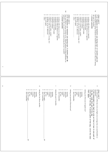|                                                                                                                     | 1234567890<br>other:<br>does not apply<br>drinking, as tea or otherwise<br>eating as salty food (omelette, in soup, etc)<br>eating as a sweet (cake, cookie)<br>smoking in chillum<br>:<br>:<br>:<br>: | $_{\rm{sg}}$<br>This card shows various <i>methods of use</i> . Which method of using marijuana (or hashish) is the one you <i>generally</i> used during the last 3 months?<br>if no maijuana (or hashish) use during last 3 months goto 8b<br>show card 2<br>answer possible<br>smoking in wet (water) pipe<br>smoking in (dry) pipe<br>smoking without tobacco in a cigarette<br>smoking with tobacco in a cigarette | $\vdash \mathsf{W} \mathsf{W} \mathsf{W} \mathsf{W} \mathsf{W} \mathsf{W} \mathsf{W}$<br>$\circ$<br>smoking in wet (water) pipe<br>other:<br>does not apply<br>drinking, as tea or otherwise<br>eating as salty food (omelette, in soup, etc)<br>eating as a sweet (cake, cookie)<br>smoking in chillum<br>smoking in (dry) pipe<br>smoking without tobacco in a cigarette<br>smoking with tobacco in a cigarette<br>$\vdots$<br>$\vdots$ | $8^{\circ}$<br>Which method of using marijuana (or hashish) is the one you $\mathit{generally}$ used during the past 12 months?<br>if no maijuana (or hashish) use during last 12 months goto 8c<br>show card 2<br>1 answer possible                                                                   |
|---------------------------------------------------------------------------------------------------------------------|--------------------------------------------------------------------------------------------------------------------------------------------------------------------------------------------------------|------------------------------------------------------------------------------------------------------------------------------------------------------------------------------------------------------------------------------------------------------------------------------------------------------------------------------------------------------------------------------------------------------------------------|-------------------------------------------------------------------------------------------------------------------------------------------------------------------------------------------------------------------------------------------------------------------------------------------------------------------------------------------------------------------------------------------------------------------------------------------|--------------------------------------------------------------------------------------------------------------------------------------------------------------------------------------------------------------------------------------------------------------------------------------------------------|
| ↘<br>$^{\circ}$<br>م<br>all day<br>mght<br>afternoon<br>don't remember<br>does not apply<br>evening<br>morning<br>ő | p<br>during the last three months.<br>ڡ<br>does not apply<br>all day<br>$\rm{mght}$<br>afternoon<br>don't remember<br>evening<br>morning<br>ő                                                          | $\mathrel{\circ}$<br>q<br>during the past 12 months.<br>$\circ$<br>during your period of heaviest use?<br>don't remember<br>all day<br>$\rm mght$<br>evening<br>afternoon<br>guirrom                                                                                                                                                                                                                                   | p<br>during your first year of regular use?<br>that apply<br>don't remember<br>all day<br>night<br>afternoon<br>$g$ uncom<br>evening                                                                                                                                                                                                                                                                                                      | $\circ$<br>circle part of the day, if several parts of the day, circle the ones<br>if the respondent was high for only an hour or two in one part of<br>the day, code that part of the day<br>marijuana<br>On what parts of the day were you high on an average day you used hashish or<br>show card 3 |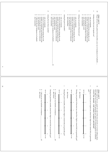|                         | しつうすうり<br>don't remember<br>only during the week<br>more during the week than on weekends<br>equally on weekends and during the week<br>I did not use any marijuana (or hashish)<br>more on weekends than during the week | only on weekends        | $\mathbf{p}$<br>during the last three months?<br>don't remember                              | 1234569<br>only during the week<br>more during the week than on weekends<br>I did not use any marijuana (or hashish) | equally on weekends and during the week<br>only on weekends<br>more on weekends than during the week | $\mathsf{\small o}$<br>during the past 12 months?<br>don't remember                                 | $\begin{array}{c}\n 4 & \text{or } \mathbb{Z} \\  2 & \text{or } \mathbb{Z}\n \end{array}$<br>equally on weekends and during the week<br>only during the week<br>more during the week than on weekends<br>more on weekends than during the week<br>only on weekends | ρ<br>during your period of heaviest use? | 404409<br>equally on weekends and during the week<br>don't remember<br>only during the week<br>more during the week than on weekends<br>more on weekends than during the week<br>only on weekends | p<br>$\overline{0}$<br>during your first year of regular use?<br>show card 4<br>Please tell me which pattern best describes your use of marijuana (or hashish)                                                                         |
|-------------------------|---------------------------------------------------------------------------------------------------------------------------------------------------------------------------------------------------------------------------|-------------------------|----------------------------------------------------------------------------------------------|----------------------------------------------------------------------------------------------------------------------|------------------------------------------------------------------------------------------------------|-----------------------------------------------------------------------------------------------------|---------------------------------------------------------------------------------------------------------------------------------------------------------------------------------------------------------------------------------------------------------------------|------------------------------------------|---------------------------------------------------------------------------------------------------------------------------------------------------------------------------------------------------|----------------------------------------------------------------------------------------------------------------------------------------------------------------------------------------------------------------------------------------|
| $\circ$                 |                                                                                                                                                                                                                           |                         |                                                                                              | ニ                                                                                                                    |                                                                                                      |                                                                                                     |                                                                                                                                                                                                                                                                     |                                          |                                                                                                                                                                                                   |                                                                                                                                                                                                                                        |
| $\overline{\mathbf{c}}$ |                                                                                                                                                                                                                           |                         | $\mathbf{p}$                                                                                 |                                                                                                                      |                                                                                                      | $\mathrel{\circ}$                                                                                   | σ                                                                                                                                                                                                                                                                   |                                          | p                                                                                                                                                                                                 | $\Xi$                                                                                                                                                                                                                                  |
|                         | $^{\circ}$<br>don't know<br>I did not use any hashish or marijuana<br>5                                                                                                                                                   | light buzz<br>very high | During the past three months, about how high or stoned did you generally<br>$^{\prime}$ get? | 60 Q<br>don't know<br>I did not use any hashish or marijuana<br>5                                                    | light buzz<br>$\sim$<br>$\omega$<br>$\sigma$<br>very high                                            | $\circ$<br>During the past 12 months, about how high or stoned did you generally get?<br>don't know | light buzz<br>During your period of heaviest use, about how high or stoned did you generally get?<br>N<br>$\omega$<br>σ<br>$\circ$<br>very high                                                                                                                     | $\circ$<br>don't know                    | Set?<br>During your first year of regular use, about how high or how stoned did you generally<br>light buzz<br>$\sim$<br>ω<br>C<br>$\circ$<br>very high                                           | Next I want to ask you, again for each of the four periods we've been talking about, how high or how stoned you generally got when you used marijuana (or hashish).<br>show card 5<br>circle the answer, only whole numbers permitted! |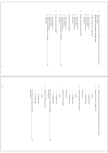|                    |                                                               |                 |  |                                               |                                                                                                     |                        | $\mathbf{r}$                  |                                                                                         |                                                             |                        | $\mathrel{\circ}$          |                                      |                                                    | σ                                        |               |                        |                                                                        | p                                      |                                            | $\overline{5}$                                                                                 |  |
|--------------------|---------------------------------------------------------------|-----------------|--|-----------------------------------------------|-----------------------------------------------------------------------------------------------------|------------------------|-------------------------------|-----------------------------------------------------------------------------------------|-------------------------------------------------------------|------------------------|----------------------------|--------------------------------------|----------------------------------------------------|------------------------------------------|---------------|------------------------|------------------------------------------------------------------------|----------------------------------------|--------------------------------------------|------------------------------------------------------------------------------------------------|--|
|                    |                                                               |                 |  | don't know                                    | しょうこし<br>for four or more hours<br>I did not use any hashish or marijuana<br>for 2 or 3 hours<br>13 | orly for an hour or so | during the past three months? | $\circ$<br>$\overline{+}$<br>I did not use any hashish or marijuana<br>don't know<br>13 | $\frac{1}{2}$<br>for four or more hours<br>for 2 or 3 hours | orly for an hour or so | during the past 12 months? | don't know<br>for four or more hours | しっこし<br>only for an hour or so<br>for 2 or 3 hours | during your period of heaviest use?      | don't know    | for four or more hours | $\overline{\phantom{a}}$<br>only for an hour or so<br>for 2 or 3 hours | during your first year of regular use? | during the full ocasion, not per joint     | When you used marijuana (or hashish), for about how long would you generally be high or stoned |  |
| $\overline{1}$     |                                                               |                 |  |                                               |                                                                                                     |                        |                               |                                                                                         |                                                             |                        |                            |                                      |                                                    |                                          |               |                        |                                                                        |                                        |                                            |                                                                                                |  |
|                    |                                                               |                 |  |                                               |                                                                                                     |                        |                               |                                                                                         |                                                             |                        |                            |                                      |                                                    |                                          |               |                        |                                                                        |                                        |                                            |                                                                                                |  |
| $\overline{\rm 5}$ | 88 I did not use marijuana or hashish.<br>99 don't know<br>14 | 25 guilder bags |  | $\mathbf{r}$<br>during the last three months? | 88 I did not use marijuana or hashish<br>99 don't know<br>14                                        | 25 guilder bags        |                               |                                                                                         | $\mathrel{\circ}$<br>during the past 12 months?             | 99 don't know          |                            |                                      |                                                    | q<br>during your period of heaviest use? | 99 don't know |                        |                                                                        | $\cdots\cdots\cdots$ gram              | B<br>during the first year of regular use? | $\mathfrak{L}$<br>About how much marijuana (or hashish) did you use on average per month       |  |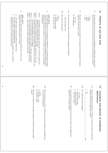| 18<br>$\frac{1}{2}$<br>show card 7<br>Please tell me which response on this card best describes how you have used<br>marijuana (or hash) most recently (last 30 days):<br>maintain that level for a certain amount of time<br>I use until I reach a certain level of effect and I continue to use as needed to<br>I use only a specific amount and then I stop<br>I use until I reach a certain level of effect and then I stop | Pattern 4<br>Pattern 3<br>Pattern 6<br>Pattern 1<br>Pattern 5<br>Pattern 2<br>I immediately started using large amounts after I first tried marijuana (or<br>My use pattern has varied considerably over the years<br>My use increased gradually until it reached a peak, then it decreased<br>I started using marijuana (or hashish) at the same level that I still use, and<br>I have started and stopped using marijuana (or hashish) many times<br>My marijuana (or hashish) use has gradually increased over the years<br>hashish) but gradually decreased since then.<br>the amount and frequency have not changed. | $\overline{\mathbb{Z}}$<br>show card 6<br>which one most closely resembles your overall pattern of use in terms of regularity<br>To get some idea about your marijuana (or hashish) use over the full period in which<br>and frequency?<br>you used, I will show you a card with some statements and graphs. Could you tell me | $\mathcal{S}$<br>$\vdots$<br>77<br>$\ldots$ years<br>less than one month<br>less than one week<br>months | 16b<br>How long was this period? | 16a<br>How old were you when you used the most marijuana (or hashish)?<br>years old (begin year)                         | 15<br>$66\,$<br>$\vdots$<br>How old were you when you started to use marijuana (or hash) regularly? We define<br>regularly as at least once a month.<br>years old<br>not applicable | days                                        | $\vdots$<br>weeks<br>$\frac{1}{2}$<br>Now let me back up to your very first use of marijuana (or hashish). How long was the<br>period between your very first use and the next time you used marijuana (or hash)?<br>months<br>years | 14<br>Ξ<br>Patterns or use over time                  |
|---------------------------------------------------------------------------------------------------------------------------------------------------------------------------------------------------------------------------------------------------------------------------------------------------------------------------------------------------------------------------------------------------------------------------------|---------------------------------------------------------------------------------------------------------------------------------------------------------------------------------------------------------------------------------------------------------------------------------------------------------------------------------------------------------------------------------------------------------------------------------------------------------------------------------------------------------------------------------------------------------------------------------------------------------------------------|--------------------------------------------------------------------------------------------------------------------------------------------------------------------------------------------------------------------------------------------------------------------------------------------------------------------------------|----------------------------------------------------------------------------------------------------------|----------------------------------|--------------------------------------------------------------------------------------------------------------------------|-------------------------------------------------------------------------------------------------------------------------------------------------------------------------------------|---------------------------------------------|--------------------------------------------------------------------------------------------------------------------------------------------------------------------------------------------------------------------------------------|-------------------------------------------------------|
|                                                                                                                                                                                                                                                                                                                                                                                                                                 | 20b<br>$\frac{2}{3}$<br>Why did you temporarily stop using marijuana (or hashish) during that longest period?<br>months<br>less than 1 week<br>less than 1 month                                                                                                                                                                                                                                                                                                                                                                                                                                                          | 20a<br>you started using regularly?<br>What was the longest period in which you did not use marijuana (or hashish) once                                                                                                                                                                                                        |                                                                                                          |                                  | 19с<br>Can you tell me the most important reasons why you did not use marijuana (or<br>hashish) for one month or longer? | 4<br>$\omega$<br>Z<br>between 3 and 5 times<br>more than 10 times<br>between 6 and 10 times<br>1 or 2 times                                                                         | q6I<br>How many times did this happen?<br>J | 19a<br>N<br>Since you started to use regularly, was there ever a period in which you did not use<br>marijuana (or hash) for longer than a month?<br>yes<br>21a                                                                       | ⋜<br>abstinence<br>Cessation and periods of temporary |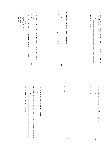|                         | <b>22b</b><br>$\frac{1}{2} \alpha \omega \Delta \phi$<br>How many times have you concsciously quit marijuana (or hashish)?<br>between 6 and 10 times<br>more than 10 times<br>don't know<br>$\mathbf{g}$<br>$1$ or $2$ times<br>between 3 and 5 times | 22a<br>$\sim$ $\sim$<br>Have you ever concsciously quit marijuana (or hashish) but gone back to it?<br>yes                                      | 21c<br>21d<br>Tell me what problems cutting back created for you.<br>$\frac{1}{2}$<br>Did cutting back on your use create any problems?<br>$\sum\limits_{\mathbf{R}\in\mathbb{S}}$ | $21b$<br>$21\mathrm{a}$<br>Since you first used marijuana (or hashish) regularly, did you ever concsciously cut back on how much you used?<br>Why did you cut back?<br>$\sim$ $\sim$<br>$\stackrel{\text{yes}}{\text{re}}$ |
|-------------------------|-------------------------------------------------------------------------------------------------------------------------------------------------------------------------------------------------------------------------------------------------------|-------------------------------------------------------------------------------------------------------------------------------------------------|------------------------------------------------------------------------------------------------------------------------------------------------------------------------------------|----------------------------------------------------------------------------------------------------------------------------------------------------------------------------------------------------------------------------|
| $\overline{\mathbf{5}}$ | 22c                                                                                                                                                                                                                                                   |                                                                                                                                                 | <b>22a</b>                                                                                                                                                                         | <b>22a</b>                                                                                                                                                                                                                 |
| $\mathfrak{g}$          | 22h<br>$\frac{1}{2}$<br>What were these actions or strategies?<br>yes<br>g<br>G<br>23a                                                                                                                                                                | 22f<br>2g<br>When did you quit marijuana (or hashish)?<br>Did you take any specific actions or follow any specific strategies in order to quit? | 22e<br>$v_{\rm Myr}$<br>23a                                                                                                                                                        | 22c<br>22d<br>$\sim$ $\sim$<br>Have you quit marijuana (or hashish) use totally now?<br>Why not?<br>$_{\rm Nes}^{\rm Ves}$<br>22e                                                                                          |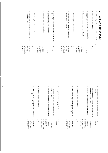| S<br>$\overline{\phantom{a}}$<br>Have you ever used tobacco in combination with<br>marihuana or hash?<br>Also during the last three months? | $\boldsymbol{\omega}$<br>How many times have you smoked?                                | $\sim$<br>How old were you when you smoked<br>$($ tobac $\sigma$ $)$ ?<br>for the first time?                                                      | $\overline{a}$<br>Have you ever smoked cigarettes, sigars or pipe | S<br>Have you ever used alcohol in combination<br>with marijuana (or hashish)?        | $\overline{+}$<br>Also during the last three months?                                              | $\boldsymbol{\omega}$<br>How many times have you used alcohol?                               | $\boldsymbol{\omega}$<br>the first time?<br>How old were you when you used alcohol for | $\overline{a}$<br>Have you ever used alcohol?                                         | 23<br>The next questions are about the use of other drugs.                             | $\,<$<br>Use with other drugs |
|---------------------------------------------------------------------------------------------------------------------------------------------|-----------------------------------------------------------------------------------------|----------------------------------------------------------------------------------------------------------------------------------------------------|-------------------------------------------------------------------|---------------------------------------------------------------------------------------|---------------------------------------------------------------------------------------------------|----------------------------------------------------------------------------------------------|----------------------------------------------------------------------------------------|---------------------------------------------------------------------------------------|----------------------------------------------------------------------------------------|-------------------------------|
| 4 yes, but seldom<br>3 yes, regularly<br>1 yes, always<br>5 no, never<br>2 yes, often<br>$2\;\mathrm{n}\mathrm{o}$<br>$1$ yes               | 4 101-1000 times<br>3 51-100 times<br>$5 > 1000$ times<br>2 11-50 times<br>1 1-10 times | $2 \text{ no } \rightarrow$<br>years old<br>59                                                                                                     | $1$ yes                                                           | 4 yes, but seldom<br>3 yes, regularly<br>1 yes, always<br>5 no, never<br>2 yes, often | $2 \; \rm no$<br>l yes                                                                            | $5 > 1000$ times<br>4 101-1000 times<br>3 51-100 times<br>2 11-50 times<br>1 1-10 times      | years old                                                                              | $2 \text{ no} \rightarrow$<br>$1$ yes<br>¢                                            |                                                                                        |                               |
| S<br>with marijuana (or hashish)?<br>Have you ever used sleeping pills in combination                                                       | $\overline{4}$<br>Also during the last three months?                                    | $\epsilon$<br>Z<br>Ho<br>Ho<br>for<br>w many times have you used sleeping pills?<br>the first time?<br>w old were you when you used sleeping pills | 은<br>Have you ever used sleeping pills?                           |                                                                                       | S<br>in combination with marijuana (or hashish)?<br>Have you ever used tranquilizers or sedatives | $\overline{+}$<br>Also during the last three months?                                         | $\mathbf{\hat{z}}$<br>Ho<br>w many times have you used tranquilizers?                  | Z<br>sedatives for the first time?<br>How old were you when you used tranquilizers or | S<br>Have you ever used tranquilizers or sedatives<br>(mn)                             |                               |
| 5 no, never<br>3 yes, regularly<br>$1$ yes, always<br>$2$ yes, often<br>4 yes, but seldom                                                   | $5 > 1000$ times<br>4 101-1000 times<br>$2~\rm{no}$<br>$1$ yes                          | $2\ 11\text{-}50$ times<br>$1$ 1-10 times<br>3 51-100 times<br>years old                                                                           | $2 \text{ no} \rightarrow e$<br>$1$ yes                           | $5$ no, never<br>4 yes, but seldom<br>3 yes, regularly                                | 2 yes, often<br>1 yes, always                                                                     | $5 > 1000$ times<br>$2\;\mathrm{n}\mathrm{o}$<br>4 101-1000 times<br>3 51-100 times<br>l yes | $11-10 \text{ times}$<br>2 11-50 times                                                 | years old                                                                             | $\begin{array}{c}\n1 \text{ yes} \\ 2 \text{ no } \rightarrow \mathbf{d}\n\end{array}$ |                               |

 $\overline{\mathfrak{c}}$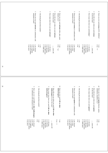|          | S<br>Have you ever used solvents in combination with<br>marijuana or hash?                    | $\rightarrow$<br>Also during the last three months? | $\boldsymbol{\omega}$<br>How many times have you used solvents?                                       | $\overline{c}$<br>How old were you when you used solvents<br>for the first time?           | Þ<br>Have you ever used solvents (ether, glue, paint<br>thimners, etc.)? $\frac{1}{2}$ | S<br>Have you ever used ecstasy in combination with<br>marijuana or hash?                       | $\rightarrow$<br>Also during the last three months?         | $\boldsymbol{\omega}$<br>How many times have you used ecstasy?                                                           | $\boldsymbol{\omega}$<br>How old were you when you used ecstasy<br>for the first time? | e1 Have you ever used ecstasy (XTC, MDMA)?                                      |
|----------|-----------------------------------------------------------------------------------------------|-----------------------------------------------------|-------------------------------------------------------------------------------------------------------|--------------------------------------------------------------------------------------------|----------------------------------------------------------------------------------------|-------------------------------------------------------------------------------------------------|-------------------------------------------------------------|--------------------------------------------------------------------------------------------------------------------------|----------------------------------------------------------------------------------------|---------------------------------------------------------------------------------|
|          | S<br>4<br>$3$ yes, regularly<br>2 yes, often<br>1 yes, always<br>no, never<br>yes, but seldom | $\begin{smallmatrix}1\\\text{yes}\end{smallmatrix}$ | U<br>4 101-1000 times<br>3 51-100 times<br>Z<br>1 1-10 times<br>$>1000$ times<br>$11\text{-}50$ times | years old                                                                                  | $\begin{array}{c} 1 \text{ yes} \\ 2 \text{ no } \rightarrow \end{array}$<br>6         | 5 no, never<br>$3$ yes, regularly<br>4 yes, but seldom<br>$1$ yes, always $2$ yes, often        | $1~{\rm yes}$                                               | $5 > 1000$ times<br>4 101-1000 times<br>$\omega$<br>N<br>$\overline{ }$<br>51-100 times<br>$1 - 10$ times<br>11-50 times | years old                                                                              | $2 \text{ no } \rightarrow f$<br>1 yes                                          |
| 5        |                                                                                               |                                                     |                                                                                                       |                                                                                            |                                                                                        |                                                                                                 |                                                             |                                                                                                                          |                                                                                        |                                                                                 |
| $\Omega$ | S<br>n combination with marijuana or hash?<br>Have you ever used LSD or other hallucinogens   | 4<br>$\Delta$ lso during the last three months?     | $\omega$<br>hallucinogens?<br>How many times have you used LSD or other                               | $\sim$<br>hallucinogens for the first time?<br>How old were you when you used LSD or other | Ξ<br>Have you ever used LSD or other<br>hallucinogens?                                 | S<br>marijuana or hash?<br>Have you ever used opiates in combination with                       | $\rightarrow$<br>$\Delta$ lso during the last three months? | $\boldsymbol{\omega}$<br>How many times have you used opiates?                                                           | $\boldsymbol{\omega}$<br>or the first time?<br>How old were you when you used opiates  | Γg<br>methadone, morphine, etc.)?<br>Have you ever used opiates (heroin, opium, |
|          | 4 yes, but seldom<br>$1$ yes, always<br>$2$ yes, often<br>5 no, never<br>$3$ yes, regularly   | $2~\rm{no}$<br>l yes                                | $5 > 1000$ times<br>4 101-1000 times<br>3 51-100 times<br>2 11-50 times<br>1 1-10 times               | years old                                                                                  | $2 \text{ no } \rightarrow I$<br>$1$ yes                                               | 5 no, never<br>4 yes, but seldom<br>$3$ yes, ${\rm regularly}$<br>2 yes, often<br>1 yes, always | $2~\rm{no}$<br>$1\,\mathrm{yes}$                            | $5 > 1000$ times<br>4 101-1000 times<br>3 51-100 times<br>2 11-50 times<br>1 1-10 times                                  | years old                                                                              | $2 \text{ no} \rightarrow h$<br>1 yes                                           |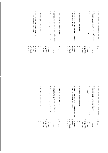|    | S<br>Have you ever used powder cocaine in<br>combination with marijuana or hash?            | $\overline{\phantom{a}}$<br>Also during the last three months? | $\boldsymbol{\omega}$<br>How many times have you used powder cocaine?                             | $\boldsymbol{\mathsf{c}}$<br>How old were you when you used powder cocaine<br>for the first time? | $\Xi$<br>Have you ever used powder cocaine?        | U<br>Have you ever used <b>amphetamine</b> in combination<br>with marijuana or hash?                | $\rightarrow$<br>Also during the last three months? | $\boldsymbol{\omega}$<br>How many times have you used amphetamine?                                | $\boldsymbol{\omega}$<br>How old were you when you used <b>amphetamine</b><br>(speed) for the first time? | $\equiv$<br>Have you ever used amphetamine or speed?                     |
|----|---------------------------------------------------------------------------------------------|----------------------------------------------------------------|---------------------------------------------------------------------------------------------------|---------------------------------------------------------------------------------------------------|----------------------------------------------------|-----------------------------------------------------------------------------------------------------|-----------------------------------------------------|---------------------------------------------------------------------------------------------------|-----------------------------------------------------------------------------------------------------------|--------------------------------------------------------------------------|
|    | 5 no, never<br>$2$ yes, often<br>$3$ yes, regularly<br>$4$ yes, but seldom<br>1 yes, always | $2\text{ no}$<br>l yes                                         | $5 > 1000$ times<br>$2\,11\text{-}50$ times<br>4 101-1000 times<br>3 51-100 times<br>1 1-10 times | years old                                                                                         | $\frac{1}{2}$ yes<br>$\lambda < 0$ n               | $5 \text{ no, never}$<br>4 yes, but seldom<br>$3$ yes, regularly<br>2 yes, often<br>1 yes, always   | $2~\rm{no}$<br>$1$ yes                              | $5 > 1000$ times<br>$4\,101\mbox{-}1000$ times<br>3 51-100 times<br>2 11-50 times<br>1 1-10 times | years old                                                                                                 | $2 \text{ no } \Rightarrow j$<br>$1\,\mathrm{yes}$                       |
| 21 |                                                                                             |                                                                |                                                                                                   |                                                                                                   |                                                    |                                                                                                     |                                                     |                                                                                                   |                                                                                                           |                                                                          |
| 22 |                                                                                             | Also during the last three months?                             | $\omega$<br>How many times have you used hash-oil?                                                | $\sim$<br>for the first time?<br>How old were you when you used hash-oil                          | Ξ<br>Have you ever used hash-oil?                  | <b>Un</b><br>combination with marijuana or hash?<br>Have you ever used crack or freebase cocaine in | Also during the last three months?                  | $\omega$<br>$\mathbf{cocaine}$ ?<br>How many times have you used crack or freebase                | $\sim$<br>freebase cocaine for the first time?<br>How old were you when you used crack or                 | $\overline{\mathbf{x}}$<br>Have you ever used crack or freebase cocaine? |
|    |                                                                                             | $2~\rm{no}$<br>$1$ yes                                         | $11-10 \text{ times}$<br>2 11-50 times<br>$5 > 1000$ times<br>4 101-1000 times<br>3 51-100 times  | years old                                                                                         | $\frac{1}{2}$ yes<br>$_{\rm no}$ $\rightarrow$ 24a | $3$ yes, regularly<br>5 no, never<br>4 yes, but seldom<br>2 yes, often<br>$1$ yes, always           | $2~\rm{no}$<br>1 yes                                | $5 > 1000$ times<br>4 101-1000 times<br>3 51-100 times<br>2 11-50 times<br>1 1-10 times           | years old                                                                                                 | $1 \text{ yes}$<br>$2 \text{ no } \rightarrow I$                         |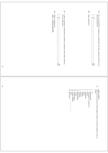| 23     | 24d<br>24c<br>$\sim$ $-$<br>Which combination?<br>only 1 answer possible,<br>Is there a particular combination of hashish or marijuana with another substance that you like best?<br>$\overline{a}$<br>$_{\lambda \rm es}$<br>$\frac{25}{240}$ |                                                                                                                                                                                                                                                            | 24b<br>What substances?<br>N<br>$\mu$<br>$\frac{24b}{24c}$                                                     | 24a<br>Do you use hashish or marijuana in combination with other substances that have not been mentioned yet?<br>$\overline{\phantom{a}}$<br>$y$ es $-$ |
|--------|------------------------------------------------------------------------------------------------------------------------------------------------------------------------------------------------------------------------------------------------|------------------------------------------------------------------------------------------------------------------------------------------------------------------------------------------------------------------------------------------------------------|----------------------------------------------------------------------------------------------------------------|---------------------------------------------------------------------------------------------------------------------------------------------------------|
| $24\,$ |                                                                                                                                                                                                                                                | 577278<br>$\vdash \mathsf{U} \cup \mathsf{U} \land \mathsf{F} \cup \mathsf{U} \land \mathsf{V} \land \mathsf{I}$<br>other<br>ecstasy/MDMA<br>don't know<br>amphetamine<br>hallucinogens<br>codeine<br>umido<br>methadone<br>cocaine<br>palfium<br>morphine | heroin<br>$\begin{array}{c}\text{no}\\ \text{sleeping}\text{ plus}\\ \end{array}$<br>tranquilizers (sedatives) | 25<br>Have you ever used one of these drugs by needle or received an injection of any of<br>show card 8<br>then?                                        |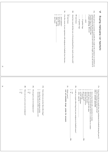|    |                                     |                                                                              |                                           |                                                                                      |                                                 | 40040<br>about the same<br>don't know<br>other, specify:<br>less expensive<br>more expensive | 26c<br>Over the course of your experience with marijuana (or hashish), has it become | 999 don't know<br>$f$ | 26b<br>About how much did that cost, or (if not purchased) how much was that worth? | 999 don't know                                                                | 25 guilder bags                        | 10 guilder bags                              |                                              | Please tell me as accurately as possible the weight of the marijuana (or hashish) you yourself used in the past month. If you don't know the weight, you may also answer in 10 guilder bags or $25$ guilder bags.<br>if used nothing: fill in 0 | 26a                                                                                                                                                       | ≤<br>Buying marijuana (or hashish) |
|----|-------------------------------------|------------------------------------------------------------------------------|-------------------------------------------|--------------------------------------------------------------------------------------|-------------------------------------------------|----------------------------------------------------------------------------------------------|--------------------------------------------------------------------------------------|-----------------------|-------------------------------------------------------------------------------------|-------------------------------------------------------------------------------|----------------------------------------|----------------------------------------------|----------------------------------------------|-------------------------------------------------------------------------------------------------------------------------------------------------------------------------------------------------------------------------------------------------|-----------------------------------------------------------------------------------------------------------------------------------------------------------|------------------------------------|
| 25 |                                     |                                                                              |                                           |                                                                                      |                                                 |                                                                                              |                                                                                      |                       |                                                                                     |                                                                               |                                        |                                              |                                              |                                                                                                                                                                                                                                                 |                                                                                                                                                           |                                    |
| 26 | $\sim$ $-$<br>$\sum_{n=1}^{\infty}$ | <b>28b</b><br>Have you ever grown your own marijuana?<br>$_{\rm N}^{\rm NS}$ | 28a<br>o you grow your own marijuana now? | N<br>from other persons (other customers, etc.)<br>from the hash or marijuana dealer | 27d<br>From whom can you buy these other drugs? |                                                                                              | ist all available drugs. probe for answers                                           | 27c<br>Which one(s)?  | $\sim$ $-$<br>$\overline{a}$<br>yes<br><b>28a</b>                                   | 27b<br>Could you acquire other drugs from your marijuana (or hashish) source? | other, specify:<br>several coffeeshops | grow it myself<br>1 coffeeshop<br><b>29a</b> | directly from growers<br>from street dealers | 123456789<br>directly from a friend who deals<br>from any of several friends who have a connection to a dealer<br>from a close friend with a connection to a dealer                                                                             | rom whom did you usually buy your marijunana (or hashish) during the past 12<br>nonths or during your last year of use?<br><b>DII/y 1 answer possible</b> | 27a                                |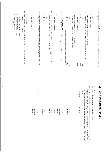|    |                                                                                                                                                                                             | 29g                                                                                                                       |                                                                                                                        | 29f                                                                                                                                              | 29e                                                                                                                                                                                | 29d                                                                                                                                               | 29c                                                                                                                                                                                         |                                                                                                                                                                 | 29b                                                                                                                                                                                                                                                                                                                                                           | 29a                                                                                          |
|----|---------------------------------------------------------------------------------------------------------------------------------------------------------------------------------------------|---------------------------------------------------------------------------------------------------------------------------|------------------------------------------------------------------------------------------------------------------------|--------------------------------------------------------------------------------------------------------------------------------------------------|------------------------------------------------------------------------------------------------------------------------------------------------------------------------------------|---------------------------------------------------------------------------------------------------------------------------------------------------|---------------------------------------------------------------------------------------------------------------------------------------------------------------------------------------------|-----------------------------------------------------------------------------------------------------------------------------------------------------------------|---------------------------------------------------------------------------------------------------------------------------------------------------------------------------------------------------------------------------------------------------------------------------------------------------------------------------------------------------------------|----------------------------------------------------------------------------------------------|
|    | $\rightarrow \alpha \omega \not\rightarrow \omega$<br>remained the same<br>more time consuming<br>more dangerous/more of a hassle<br>less time consuming<br>less dangerous/less of a hassle | Over the period that you have used marijuana (or hash), obtaining it has become<br>show card 9<br>maximum of<br>2 answers | $\frac{1}{2}$<br>what it now costs, would most marijuana users start using less?<br>don't know / no answer<br>ă<br>yes | In your opinion, if the current price of marijuana (or hash) increased to about twice<br>$\sim$<br>don't know/no answer<br>$\overline{5}$<br>yes | 5<br>2<br>what it now costs, would most users begin to consume more?<br>In your opinion, if the current price of marijuana (or hash) dropped to about half<br>don't know/no answer | <b>If still using (see 22c, page 17)</b><br>If marijuana (or hash) became much more expensive, would you use less of it?<br>$\overline{a}$<br>yes | $\frac{1}{2}$<br>If it became much cheaper, would you start using again?<br>if respondent has quit (see 22c, page 17)<br>don't know/no answer<br>yes<br>$\overline{5}$<br>29e<br>29e<br>29e | 28<br>20<br>$\overline{\phantom{a}}$<br>don't know/no answer_<br>$\overline{a}$<br>$_{\lambda \rm es}$<br>I have quit<br><b>P6Z</b><br><b>79d</b><br><b>P6Z</b> | $\frac{1}{2}$<br>If marijuana (or hashish) became much cheaper, would you use more of it?<br>if respondent stull uses (see 22c, page 17)<br>don't know/no answer<br>$_{\rm Yes}$<br>ā                                                                                                                                                                         | use?<br>Has marijuana (or hash) ever been too expensive for you to afford what you wanted to |
| 27 |                                                                                                                                                                                             | $\vdots$                                                                                                                  |                                                                                                                        |                                                                                                                                                  |                                                                                                                                                                                    |                                                                                                                                                   |                                                                                                                                                                                             |                                                                                                                                                                 |                                                                                                                                                                                                                                                                                                                                                               |                                                                                              |
|    |                                                                                                                                                                                             |                                                                                                                           |                                                                                                                        |                                                                                                                                                  |                                                                                                                                                                                    |                                                                                                                                                   |                                                                                                                                                                                             |                                                                                                                                                                 |                                                                                                                                                                                                                                                                                                                                                               |                                                                                              |
| 28 |                                                                                                                                                                                             |                                                                                                                           | 'n,<br>                                                                                                                | 4.<br>.                                                                                                                                          | ب                                                                                                                                                                                  | Ņ.<br>                                                                                                                                            | ۳.                                                                                                                                                                                          | ø<br>situations                                                                                                                                                 | 30a<br>which you have generally used marijuana (or hashish).<br>The next set of questions are about the situations $-$<br>seldom).<br>hashish) considering your whole career of use<br>$\circ$                                                                                                                                                                | ≦                                                                                            |
|    |                                                                                                                                                                                             |                                                                                                                           | 1 2 3 4<br>seldom<br>sometimes<br>often<br>always                                                                      | 3<br>4<br>$\sim$ $-$<br>seldom<br>sometimes<br>always<br>often                                                                                   | $\omega$ 4<br>$\overline{2}$<br>seldom<br>sometimes<br>often<br>always                                                                                                             | 3 4<br>$\sim$ $-$<br>seldom<br>sometimes<br>often<br>always                                                                                       | 3<br>4<br>$\sim$ $-$<br>seldom<br>sometimes<br>always<br>often                                                                                                                              | q<br>trequency                                                                                                                                                  | I'd like you to name the most common situations in which you have used marijuana (or<br>how frequently you use or used marijuana in that situation (always, often, sometimes,<br>r "When I work in the garden" — and for each situation you name, please tell me<br>- circumstances, places, or events -<br>for example,"At a football game,<br>$\frac{1}{2}$ | Sets and Settings of Use                                                                     |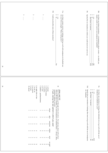|                                                                                                                                                      | dig<br>$31\mathrm{a}$                                                                                                                                                                                                                                                                                                                          | 30c<br>coc                                                                                                                                                                                                                                                                                                       |
|------------------------------------------------------------------------------------------------------------------------------------------------------|------------------------------------------------------------------------------------------------------------------------------------------------------------------------------------------------------------------------------------------------------------------------------------------------------------------------------------------------|------------------------------------------------------------------------------------------------------------------------------------------------------------------------------------------------------------------------------------------------------------------------------------------------------------------|
| $\omega$<br>$\overline{c}$<br>$\begin{array}{c} \vdots \\ \vdots \\ \vdots \end{array}$<br>$\begin{array}{c} \vdots \\ \vdots \\ \vdots \end{array}$ | $\overline{\phantom{0}}$<br>Could you describe some of these emotions?<br>Are there certain $\emph{entotions}$ or feelings which go well with marijuana (or hashish) use for you? (For example: "When I feel poetic")<br>N<br>$\overline{\phantom{a}}$<br>$\frac{1}{2}$<br>$\overline{\mathbf{a}}$<br>yes                                      | Specify the two situations in which you would most not want to use.<br>Are there any distinct situations — circumstances, places, events — in which you simply would <i>not</i> want to use marijuana (or hashish)?<br>$\frac{1}{2}$<br>yes                                                                      |
| $9.$ in bed<br>$8. \ \mathrm{at\,concerts}$<br>6. in 1 $7.$ in 1<br>10. abroad<br>my car                                                             | 31c<br>32<br>$3. \ \mathop{\mathrm{at}}$ parties<br>1. at home<br>2. at friend's home                                                                                                                                                                                                                                                          | $\frac{30}{312}$<br>31a<br>31c<br><b>J1d</b><br>$\frac{1}{2}$                                                                                                                                                                                                                                                    |
| night clubs or bars                                                                                                                                  | 4. at work<br>5. outdoors - park/beach/streets<br>Next I'm going to go through of list of locations. For each one, please tell me how often in the last 3 months, you used marijuana (or hashish) there — always, often,<br>Show card 10<br>sometimes, seldom, or never.<br><b>if quit, during the last period in which you used</b><br>ababla | Specify the two emotions of feelings that most not go well with the use of marijuana<br>Are there any emotions or feelings that definitely do $not\,$ go well with the use of marijuana (or hashish) for you?<br>(or hashish).<br>$\frac{100 - 1 - 1 - 1 - 1 - 1 - 1}{100} = 0.01$ don't know / no answer<br>yes |
| <b>UNNN</b><br>$\overline{2}$                                                                                                                        | often<br>$\sim$ 0<br>$\sim$ $\sim$<br>$\boldsymbol{\mathsf{c}}$                                                                                                                                                                                                                                                                                |                                                                                                                                                                                                                                                                                                                  |
| $\epsilon$<br>$\epsilon$<br>$\omega$ $\omega$<br>$\epsilon$                                                                                          | sometimes<br>$\epsilon$<br>ε<br>$\epsilon$<br>$\mathbf{\hat{z}}$<br>$\epsilon$                                                                                                                                                                                                                                                                 |                                                                                                                                                                                                                                                                                                                  |
|                                                                                                                                                      |                                                                                                                                                                                                                                                                                                                                                |                                                                                                                                                                                                                                                                                                                  |
| $\rightarrow$<br>44<br>$\rightarrow$<br>$\rightarrow$<br>$\rightarrow$                                                                               | seldom<br>$\rightarrow$<br>$\rightarrow$<br>$\rightarrow$<br>$\rightarrow$                                                                                                                                                                                                                                                                     |                                                                                                                                                                                                                                                                                                                  |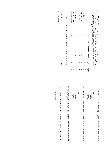|                 |               | <b>atte</b><br>Which people?<br>$\sim$ $-$<br>$\rm ^s$<br>yes                                                                                   | 34a<br>Are there people with whom you definitely would not use marijuana (or hashish)?                                                   | 6. with parents<br>8. with brothers/sisters<br>7. with own children                              | 5. with coworkers | 4. with acquaintances | 3. with friends<br>$2.$ with spouse/partner                                                         | $1.$ alone                                                                    | ababla                          | if quit, during the last period in which you used | 33<br><b>Show card 10</b><br>Now I'd like to read you a list of the types of people it is possible to use marijuana (or<br>hash) with. For each one, please tell me how often in the last 3 months you have<br>used marijuana (or hash) with them |  |
|-----------------|---------------|-------------------------------------------------------------------------------------------------------------------------------------------------|------------------------------------------------------------------------------------------------------------------------------------------|--------------------------------------------------------------------------------------------------|-------------------|-----------------------|-----------------------------------------------------------------------------------------------------|-------------------------------------------------------------------------------|---------------------------------|---------------------------------------------------|---------------------------------------------------------------------------------------------------------------------------------------------------------------------------------------------------------------------------------------------------|--|
|                 |               |                                                                                                                                                 |                                                                                                                                          | <b>UNU</b><br>ယ ယ ယ                                                                              | $\omega$ $\omega$ |                       | $\bm{\omega}$<br>$\bm{\omega}$                                                                      | $\begin{array}{ccc} 2 & 2 & 3 \\ 3 & 4 & 5 \end{array}$<br>$\mathbf{\hat{z}}$ | $of ten$<br>sometimes           |                                                   |                                                                                                                                                                                                                                                   |  |
| $\overline{51}$ |               | 35a                                                                                                                                             |                                                                                                                                          | 44<br>4<br>u u u                                                                                 | 4<br>U U U        | $\rightarrow$         | $\rightarrow$<br>4                                                                                  | $\overline{+}$<br>u u                                                         | seldom<br>never                 |                                                   |                                                                                                                                                                                                                                                   |  |
|                 |               |                                                                                                                                                 |                                                                                                                                          | $\infty$ $\infty$ $\infty$                                                                       |                   |                       |                                                                                                     | $\infty$ $\infty$ $\infty$ $\infty$                                           | not appl.                       |                                                   |                                                                                                                                                                                                                                                   |  |
| 32              | <br>accidents | 35d<br><br>How many <i>traffic accidents</i> , however minor, have you had that were related to the use of marijuana <i>alone?</i><br>accidents | 35c<br>How many traffic accidents, however minor, have you had that were related to the<br>use of marijuana in combination with alcohol? | $\frac{1}{2}$<br>more than 15 times<br>11 - 15 times<br>$6 - 10$ times<br>$1 - 5$ times<br>never |                   | of marijuana alone?   | <b>35b</b><br>Have you ever driven a motor vehicle (car, truck, or motor-cycle) under the influence | more than 15 times                                                            | $6 - 10$ times<br>11 - 15 times | $\frac{1}{2}$<br>never<br>$1 - 5$ times           | 35a<br>Have you ever driven a motor vehicle (car, truck, or motor-cycle) under the influence<br>of marijuana in combination with alcohol?                                                                                                         |  |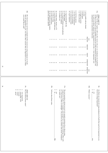| ٠<br>j |
|--------|
| ٠      |
| ç      |
| ١      |
|        |

36aNext, I'd like to explore with you the *reasons why you use marijuana* ((or hashish)).<br>I'd like to read you a list of possible reasons for using marijuana ((or hashish)), and<br>for each one please indicate how important it Next, I'd like to explore with you thefor each one please indicate how important it is for you — very important, very I'd like to read you a list of possible reasons for using marijuana ((or hashish)), and  $\overline{11}$  *reasons why you use*marijuana ((or hashish)).

| unimportant, or somewhere in between.        |                   |                |          |                         |     |
|----------------------------------------------|-------------------|----------------|----------|-------------------------|-----|
|                                              |                   |                |          |                         | rad |
|                                              | nnportani<br>Visq | important      | neutral  | unimportant unimportant |     |
| 1. to be sociable with my friends            |                   |                |          |                         |     |
| 2. to relax                                  |                   | $\overline{u}$ |          |                         |     |
| 3. to feel good                              |                   |                | ω        |                         | u u |
| 4. to forget my worries                      |                   | $\frac{2}{3}$  | ω        |                         | c   |
| 5. to "blow off steam"                       |                   |                |          |                         |     |
| ρ.<br>to feel less anxious                   |                   | N              | ω        |                         |     |
| 7. to cope with depression                   |                   | N              | ω        |                         | u u |
| 8. as a cure for boredom                     |                   | N              | ω        |                         | S   |
| 9. to communicate better                     |                   | N              | ω        |                         | c   |
| 10. to get inspiration                       |                   | N              |          |                         |     |
| Ξ<br>to get me through the day               |                   | N              | ω        |                         |     |
| ī2<br>to fight fatigue                       |                   | N              | $\omega$ |                         |     |
| 13. as a symbol of defiance toward authority |                   | Z              | ω        |                         | c   |
| Ŧ.<br>to feel less inhibited                 |                   | Z              | ω        |                         |     |
| 5. to enhance sex                            |                   |                |          |                         |     |
| 16. to enjoy music, movies, or TV            |                   | N              | ω        |                         |     |
| 7. to see the world with fresh eyes          |                   |                | س        |                         | U   |
| 18. to help me sleep                         |                   | <b>UN</b>      | س        |                         | U   |
| 19. to slow myself down                      |                   | Z              | ω        |                         | U   |
| 20. for medical reasons (eg, nausea,         |                   |                |          |                         |     |
| glaucoma) please specify                     |                   |                |          |                         |     |

36bOK, that list may not have included all the reasons for using marijuana (or hash) that are important to you. Are there other reasons that are important to you which you would like to add? OK, that list may not have included all the reasons for using marijuana (or hash) you would like to add? that are important to you. Are there other reasons that are important to you which

> 36cAre there any reasons for using marijuana (or hash) that used to be important to you but are no longer important? Are there any reasons for using marijuana (or hash) that used to be important to you but are no longer important?

\_ 37a

36d Which reasons? Which reasons?

 $\overline{c}$  $\frac{\text{Nes}}{\text{R}}$ 

- 37aThe next question is about *personal rules* people sometimes have about using marijuana (or hash). For example, some people have rules about drinking coffee such as "I use never coffee at midnight". Do you have any simila (or hash) use? The next question is about (or hash) use? as "I use never coffee at midnight". Do you have any similar rules about marijuana marijuana (or hash). For example, some people have rules about drinking coffee such *personal rules*people sometimes have about using
- $\overline{v}$  $m \nightharpoonup$
- \_ 38a
- 37bTell me about these rules. Tell me about these rules.

37cshow card 12 show card 12

- Do you stick by these rules? Do you stick by these rules?
- very rigorously
- very rigorously<br>reasonably well<br>loosely
- reasonably well
- $\omega$  N
- 
- 4 IV never rarely
- never
- 34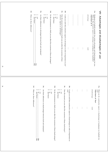| 38£<br>What are these differences? | $\frac{1}{2}$<br>$\begin{array}{c} \mathbf{m} \text{ } \frac{\mathbf{m} \text{ } \mathbf{m} \text{ } \mathbf{m} \text{ } \mathbf{m} \text{ } \mathbf{m} \text{ } \mathbf{m} \text{ } \mathbf{m} \text{ } \mathbf{m} \text{ } \mathbf{m} \text{ } \mathbf{m} \text{ } \mathbf{m} \text{ } \mathbf{m} \text{ } \mathbf{m} \text{ } \mathbf{m} \text{ } \mathbf{m} \text{ } \mathbf{m} \text{ } \mathbf{m} \text{ } \mathbf{m} \text{ } \mathbf{m} \text{ } \mathbf{m} \text{ } \$<br>yes | 38e<br>Are there differences in advantages between hash and marijuana? | $\sim$<br>don't know<br>$\overline{a}$                             | 38d<br>Do the circumstances in which you use affect the occurrence of these advantages?<br>yes | ς<br>δ<br>don't know<br>$\rm g$                                                     | 38c<br>Does the amount of marijuana (or hash) you use affect the occurrence of these attractive aspects or advantages?<br>yes | $38b$<br>Could you rank these attractive aspects or advantages in order of importance to you? | $\frac{1}{2}$                                                                                           | $\vdots$             | $\vdots$                  | <br>:<br>:<br>:<br>:<br>$\vdots$ | $a dvarant age$<br>rank   | 38a<br>Marijuana (or hashish) probably has certain advantages and disadvantages for you.<br>What are the <i>attractive aspects or advantages</i> of marijuana ((or hashish))?<br>maximum of 4 | VIII Advantages and disadvantages of use                                              |
|------------------------------------|----------------------------------------------------------------------------------------------------------------------------------------------------------------------------------------------------------------------------------------------------------------------------------------------------------------------------------------------------------------------------------------------------------------------------------------------------------------------------------------|------------------------------------------------------------------------|--------------------------------------------------------------------|------------------------------------------------------------------------------------------------|-------------------------------------------------------------------------------------|-------------------------------------------------------------------------------------------------------------------------------|-----------------------------------------------------------------------------------------------|---------------------------------------------------------------------------------------------------------|----------------------|---------------------------|----------------------------------|---------------------------|-----------------------------------------------------------------------------------------------------------------------------------------------------------------------------------------------|---------------------------------------------------------------------------------------|
|                                    | 39a<br>399                                                                                                                                                                                                                                                                                                                                                                                                                                                                             |                                                                        | 39e                                                                |                                                                                                | P6£                                                                                 |                                                                                                                               | 39c                                                                                           | 39b                                                                                                     |                      |                           |                                  |                           |                                                                                                                                                                                               | 39a                                                                                   |
|                                    | $\frac{1}{2}$<br>What are these differences?<br>don't know<br>$\overline{\mathtt{c}}$<br>399                                                                                                                                                                                                                                                                                                                                                                                           | yes                                                                    | Are there differences in disadvantages between hash and marijuana? | 2<br>2<br>don't know<br>yes<br>ā                                                               | Do the circumstances in which you use affect the occurrence of these disadvantages? | 1<br>2<br>2<br>don't know<br>ā<br>$_{\lambda \rm es}$                                                                         | Does the amount you use affect the occurrence of these disadvantages?                         | $\mathit{yot2}$<br>Could you rank these unattractive aspects or disadvantages in order of importance to | $\vdots$<br>$\vdots$ | $\vdots$<br>$\frac{1}{2}$ | $\vdots$<br>$\vdots$             | $\frac{1}{2}$<br>$\vdots$ | $disadvarna se$<br>maximum of four<br>rank                                                                                                                                                    | What are the unattractive aspects or disadonntages of marijuana (or hashish) for you? |

35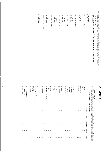| 37 |                                                           |                                            |                               |                           |                                    | 66<br>don't know                          | <br>$\operatorname{points}$ | How about amphetamine? |                    | 66<br>$\vdots$<br>don't know | points                                      | How about ecstasy? | $\%$<br>don't know  | points                                                                 |                                                   | How about tobacco?          | $66\,$<br>points<br>and thow |                         | How about cocaine?                                  | $\begin{tabular}{ll} $\cdots$ & points\\ $\mathfrak{g}\mathfrak{o}$ & don't know \end{tabular}$ |                                      | How about alcohol? |                 | $\begin{tabular}{ll} $\cdots$ & points\\ $\mathsf{99} \space \; \mathsf{d} \mathsf{on}' t \; \mathsf{know} \end{tabular}$ | How about hashish?                             |                                                     | $\begin{tabular}{ll} $\cdots$ & points \\ 99 & don't know \end{tabular}$ | personally)<br>(resp. does not necessarily have to have used the substance                                                                                                                                            | Imagine a 10 point scale on which 1 was all dissadvantages, 10 was all advantages, and 5 was an even balance of advantages and disadvantages. How would you rate<br>marijuana overall? | 396              |
|----|-----------------------------------------------------------|--------------------------------------------|-------------------------------|---------------------------|------------------------------------|-------------------------------------------|-----------------------------|------------------------|--------------------|------------------------------|---------------------------------------------|--------------------|---------------------|------------------------------------------------------------------------|---------------------------------------------------|-----------------------------|------------------------------|-------------------------|-----------------------------------------------------|-------------------------------------------------------------------------------------------------|--------------------------------------|--------------------|-----------------|---------------------------------------------------------------------------------------------------------------------------|------------------------------------------------|-----------------------------------------------------|--------------------------------------------------------------------------|-----------------------------------------------------------------------------------------------------------------------------------------------------------------------------------------------------------------------|----------------------------------------------------------------------------------------------------------------------------------------------------------------------------------------|------------------|
| 38 | 28. extroverted                                           | 27. absent-minded<br>26. strong (mentally) | 25. passive                   | problems<br>24. talkative | 23. more able to analyze and solve | 22. weak (mentally)                       | 21. pessimistic             | 20. intelligent        | 19. lonely         | 18. attentive to aesthetics  | $17.$ soft                                  | 16. horny          | $15.$ $\frac{1}{3}$ | 14. serious                                                            | 13. awake                                         | 12. nostalgic               | $11.$ active $\,$            | 10. introverted         | $9.$ intuitive $\,$<br>8. paranoid                  | $7.$ optimistic $\,$                                                                            | 6. comfortable                       | 5. aggressive      | 4. relaxed      | $3.$ productive $\,$                                                                                                      | $2. \, \mathrm{merry}$                         | $1.$ slow                                           |                                                                          | $\ddot{\theta}$<br>one,<br>Show card 10                                                                                                                                                                               |                                                                                                                                                                                        | ≅<br>ш<br>ffects |
|    | <b>UNU</b><br>$\omega$ $\omega$ $\omega$<br>4<br>un un un | $\rightarrow$<br>$\overline{+}$            | N N<br>$\epsilon$<br>4<br>u u | $\epsilon$<br>4           | $\epsilon$<br>4                    | <b>UNU</b><br>ဖြစ<br>$\rightarrow$<br>いいい | $\overline{+}$              | $\epsilon$<br>4        | ယ<br>$\rightarrow$ | ことことこ<br>4<br><b>unununu</b> | $\omega$ $\omega$ $\omega$<br>$\rightarrow$ | $\rightarrow$      |                     | $\sim$ $\sim$<br>$\omega$ $\omega$<br>$\rightarrow$<br><b>unununun</b> | $\sqrt{2}$<br>$\mathbf{\omega}$<br>$\overline{+}$ | $\epsilon$<br>$\rightarrow$ | Z<br>3<br>4                  | $\sim$<br>$\omega$<br>S | $\sqrt{2}$<br>$\boldsymbol{\omega}$<br>4<br>u u u u | $\epsilon$<br>$\epsilon$<br>$\rightarrow$<br>$\rightarrow$                                      | $\overline{u}$<br>ς<br>$\rightarrow$ | ω<br>4             | N N<br>س<br>u u | $\overline{c}$<br>$\epsilon$<br>4<br>S                                                                                    | $\overline{c}$<br>$\tilde{\epsilon}$<br>4<br>S | $\overline{c}$<br>$\epsilon$<br>$\overline{+}$<br>S | abvar<br>often<br>sometimes<br>seldom<br>never                           | Next I would like to read you a list of possible effects of marijuana (hash). For each<br>use marijuana (or hash), do you become<br>please tell me if it occurs, always, often, sometimes, seldom, or never. When you |                                                                                                                                                                                        |                  |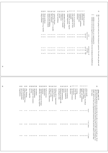41OK, next I'm going to read you a list of physical symptoms. For each one, please tell me OK, next I'm going to read you a list of *physical symptoms*. For each one, please tell

a whether or not you have *ever*experienced it;

ے whether or not you regard it as a consequence of your marijuana (or hashish) use.

| 22<br>23<br>21                                                       | 20<br>5<br>$\overline{8}$<br>17<br>5                                                                                     | Ħ<br>5<br>51<br>12<br>〓                                                                             | ৩<br>$^{\circ}$<br>↘<br>ᡋ<br>5                                                                                 | 4<br>$\omega$ $\omega$                                                                  |
|----------------------------------------------------------------------|--------------------------------------------------------------------------------------------------------------------------|-----------------------------------------------------------------------------------------------------|----------------------------------------------------------------------------------------------------------------|-----------------------------------------------------------------------------------------|
| drug overdoses<br>throat problems<br>minor operations (e.g. tonsils) | injuries from accidents<br>injuries from fighting<br>skin intections<br>venereal diseases<br>physically unfit (>1 month) | anxiety<br>restlessness<br>depression (>1 month)<br>heart problems<br>( <i>Moman</i> ) GYN problems | extra appetite for food<br>pruuosur<br>inability to reach orgasm<br>lack of sexual interest<br>(man) impotence | intections<br>stomach ulcer<br>respiratory problems<br>preumonia<br>high blood pressure |
| NN                                                                   | N<br>N<br>N<br>N                                                                                                         | N<br>Z<br>N<br>N                                                                                    | N<br>Z<br>N                                                                                                    | experienced<br>yes no<br>ever<br>$\frac{2}{3}$                                          |
| <b>NNN</b><br>ς<br>ω                                                 | <b>2222</b><br>ω<br>ς<br>ω<br>ω                                                                                          | N N<br><b>NNN</b><br>ω<br>ω<br>ω<br>ω<br>ω                                                          | ひとひと<br>ယ ယ<br>ပ<br>ω                                                                                          | consequence of<br>yes no<br>cannabis<br><b>2222</b><br>$\omega$ $\omega$ $\omega$       |
|                                                                      |                                                                                                                          |                                                                                                     |                                                                                                                |                                                                                         |

> show card 13  $\ddot{42}$

**show card 13**<br>The following questions are about the *direct effects of marijuana* (or hash) use. We'd<br>like to know if you have experienced the following effects after using marijuana (or<br>hash), and if so, have you experi five times. The following questions are about the five times. hash), and if so, have you experienced it between one and five times or more than like to know if you have experienced the following effects after using marijuana (or *direct effects of marijuana*(or hash) use. We'd

| 32<br>51<br>34<br>33                                                                                | 27<br>SO<br>29<br>28<br>26                                                               | 23<br>25<br>24<br>22<br>21                                                                             | 20<br>$\overline{6}$<br>$^{8}$<br>17<br>ЭÏ                                                                       | 51<br>Ħ<br>13<br>12<br>〓                                                                                           | $\circ$<br>$^{\circ}$<br>$\sim$<br><b>S</b>                                   | 40<br>$\omega$ $\sim$ $-$                                                                                    |
|-----------------------------------------------------------------------------------------------------|------------------------------------------------------------------------------------------|--------------------------------------------------------------------------------------------------------|------------------------------------------------------------------------------------------------------------------|--------------------------------------------------------------------------------------------------------------------|-------------------------------------------------------------------------------|--------------------------------------------------------------------------------------------------------------|
| torgettulness<br>feeling separated from<br>clear thinking<br>loss of motivation<br>body/environment | anxiety<br>mconscroushess<br>convulsions<br>loss of appetite<br>restlessness/nervousness | hallucinations<br>difficulty achieving orgasms<br>insomnia<br>depressions<br>(woman) menstrual changes | mystical experiences<br>feeling cold or impersonal<br>breathing difficulties<br>forget worries<br>sense of power | being pre-occupied with<br>absent mindedness<br>nausea<br>overly suspicious<br>mind wandering<br>meaningless tasks | sweating<br>dizziness<br>any kind of tremor<br>visual distortions<br>headache | thinking faster<br>energetic feeling<br>higher self confidence<br>faster/irregular heartbeat<br>cotton mouth |
|                                                                                                     |                                                                                          |                                                                                                        |                                                                                                                  |                                                                                                                    |                                                                               | never<br>∸<br>$\overline{\phantom{a}}$                                                                       |
| $\frac{2}{3}$<br>N N                                                                                | 22222                                                                                    | 22222                                                                                                  | 22222                                                                                                            | 22222                                                                                                              | 22222                                                                         | 1 to 5 times<br><b>202023</b>                                                                                |
| دی دی<br>ယ ယ                                                                                        | ω<br>ω<br>ယ ယ<br>ω                                                                       | $\omega$ $\omega$<br>ပ<br>ω<br>ω                                                                       | ယ ယ<br>$\omega$ $\omega$<br>ယ                                                                                    | ω<br>ς<br>ς<br>ς<br>ω                                                                                              | $\omega$<br>ω<br>ω<br>ω<br>ယ                                                  | V<br>5 times<br>ω<br>ω<br>ω<br>ပေ                                                                            |

40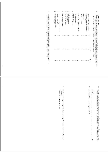# show card 13

43

**show card 13**<br>The next list contains *more effects of marijuana* (or hashish) use. Again, for each one,<br>please tell me if you have ever experienced it yourself after using marijuana (or<br>hashish), and if so, did you exper The next list contains hashish), and if so, did you experience it less or more than five times. please tell me if you have ever experienced it yourself after using marijuana (or *more effects of marijuana*(or hashish) use. Again, for each one,

| 5<br>5<br>58<br>5                                                                               | ᇦ<br>$\frac{1}{4}$<br>〓<br>ದ<br>12                                                        | $^{\circ}$<br>↘<br>ᠪ<br>٥                                                                                         | $\omega$ N<br>                                                                                                     |
|-------------------------------------------------------------------------------------------------|-------------------------------------------------------------------------------------------|-------------------------------------------------------------------------------------------------------------------|--------------------------------------------------------------------------------------------------------------------|
| more frequent urination<br>violent behavior<br>worry over imagined enemies<br>bouts of laughter | sexual stimulation<br>urge to carry weapons<br>lack of ambition<br>panic<br>prolonged sex | sense of well-being, euphoria<br>sense of perfectness<br>talkativeness<br>having no cares<br>indifference to pain | epileptic attacks<br>allergies<br>tightness or pain in the chest<br>unusual sensitivity to light<br>local numbness |
|                                                                                                 |                                                                                           |                                                                                                                   | перек                                                                                                              |
| 22<br>23                                                                                        | <b>NN</b><br>$\overline{c}$<br>N                                                          | N<br>Z<br>Z<br>N                                                                                                  | to 5 times<br>5000<br>د                                                                                            |
| ς<br>ω<br>ω                                                                                     | $\omega$<br>ω<br>ω<br>ω                                                                   | ω<br>ω<br>ω<br>ω                                                                                                  | 5 times<br>ω<br>$\omega$<br>S                                                                                      |

44Are there  $any \; of \mathit{ler} \; of \mathit{ferds}$  of marijuana (or hashish) — positive or negative — which I have not mentioned yet, but which you think are important? Are there which I have not mentioned yet, but which you think are important? *any other effects*of marijuana (or hashish) — positive or negative —

- 45a Have you ever re-lived past marijuana (or hash) experiences or effects — as if you had just consumed marijuana (hash) — at a moment when you had *not*consumed any?
- $\frac{\text{Nes}}{\text{R}}$ \_ 46
- 45bCould you tell me something about that? Could you tell me something about that?

 $\overline{c}$ 

 $\overline{a}$ 

What was the  $\emph{single strongly effect}$  you ever experienced after using marijuana (or hashish)? What was the hashish)?*single strongest effect*you ever experienced after using marijuana (or

only one answer possible! only one answer possible!

46

 $t_2$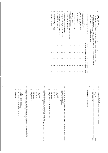|    |                                                                                                                                                              |                                                                                                                                          |                                                                                        |                                                                                                                              | 17. I have less interest in normal life<br>16. I have become slower-thinking<br>18. I have serious problems<br>UUU<br>$\omega$ $\omega$ $\omega$ | 13. I have become less efficient<br>12. I have more appreciation for beautiful things<br>11. my lovelife has become more intense<br>15. my social life has improved<br>14. I have become a better and smarter person<br>22222<br>w w w w w | 9. I am more open to religious and spiritual matters<br>8. I take myself less seriously<br>6. I am more open to other people<br>7. I am less ambitious<br>10. I have become less productive<br><b>UUUUU</b><br>w w w w w | $5.1\,\mathrm{go}$ out more often<br>$\mathcal{A}.$<br>3. I have come to know myself better<br>2. I am happier with myself<br>1. I have become more balanced<br>have more fun in life<br>agreement agreement<br>00000<br>$a\emph{greenent}$<br>$\boldsymbol{\omega}$<br>$\epsilon$<br>$\boldsymbol{\omega}$<br>ى<br>$\bm{\omega}$ | 47<br>As a result of using marijuana (or hashish)<br>statements applies to you personally, and for each one tell me if you agree with it,<br>Next I'd like to read you a series of statements people sometimes make about how<br>read<br>show card 14<br>disagree with it, or something in between.<br>marijuana (or hash) affects them. Please think about how much each of these<br>introduction, then statements<br>30041<br>dis |
|----|--------------------------------------------------------------------------------------------------------------------------------------------------------------|------------------------------------------------------------------------------------------------------------------------------------------|----------------------------------------------------------------------------------------|------------------------------------------------------------------------------------------------------------------------------|--------------------------------------------------------------------------------------------------------------------------------------------------|--------------------------------------------------------------------------------------------------------------------------------------------------------------------------------------------------------------------------------------------|--------------------------------------------------------------------------------------------------------------------------------------------------------------------------------------------------------------------------|-----------------------------------------------------------------------------------------------------------------------------------------------------------------------------------------------------------------------------------------------------------------------------------------------------------------------------------|-------------------------------------------------------------------------------------------------------------------------------------------------------------------------------------------------------------------------------------------------------------------------------------------------------------------------------------------------------------------------------------------------------------------------------------|
| 43 |                                                                                                                                                              |                                                                                                                                          |                                                                                        |                                                                                                                              | 44<br>$\rightarrow$<br>$\circ$ $\circ$<br>$\circ$                                                                                                | 44<br>$\rightarrow$<br>$\rightarrow$<br>$\overline{+}$<br>$\circ \circ \circ$<br>$\circ$<br>$\circ$                                                                                                                                        | 44<br>$\rightarrow$<br>$\rightarrow$<br>$\rightarrow$<br>$\circ$<br>$\circ$<br>$\circ$<br>$\circ$<br>$\circ$                                                                                                             | $a$ greement<br>4<br>$k$ row<br>$\circ$<br>$\circ$<br>$\circ$<br>$\circ$<br>$\circ$                                                                                                                                                                                                                                               | strong dis-<br>don't                                                                                                                                                                                                                                                                                                                                                                                                                |
| 44 | $^{\circ}$<br>$\omega$ $\omega$<br>no, the strength has remained the same<br>don't know<br>other,<br>yes, has become less strong<br>yes, has become stronger | 49c<br>available on the market, changed over the years?<br>n your overall experience, has the quality or strength of marijuana (or hash) | strong<br>moderate<br>does not matter<br>very strong<br>biim<br>very mild<br>weet niet | q6<br>What kind of marijuana (or hashish) do you prefer?<br>read out categories, except "does not matter", probe for answers | $^{\circ}$<br>٥<br>strong<br>moderate<br>does not apply, haven't used in past month weet niet<br>very strong                                     | $49a$<br>N<br>during the last month?<br><b>cad out categories</b><br>How would you rate the strength of the marijuana ((or hashish)) you generally used<br>piir<br>very mild                                                               |                                                                                                                                                                                                                          |                                                                                                                                                                                                                                                                                                                                   | $48a$<br>48Þ<br>$\omega$ N<br>Why?<br>Oo you prefer hashish or marijuana, or doesn't it matter?<br>naximum of 3 reasons<br>hashish<br>marijuana ____.<br>does not matter<br>66t<br>48b<br>48b                                                                                                                                                                                                                                       |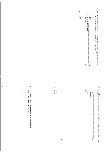|    |                                                                                                                                                                                 |                          | $49e$                      | $_{\rm p6f}$                                                                                                                                                                                                                                                                                                                                                                                                                                                                  |
|----|---------------------------------------------------------------------------------------------------------------------------------------------------------------------------------|--------------------------|----------------------------|-------------------------------------------------------------------------------------------------------------------------------------------------------------------------------------------------------------------------------------------------------------------------------------------------------------------------------------------------------------------------------------------------------------------------------------------------------------------------------|
|    |                                                                                                                                                                                 |                          | if less<br>$W\text{hyr}$ ? | On those occasions when you have used particularly strong or potent marijuana (or hash), do you generally smoke less, more or about the same?<br>12349<br>don't know<br>less                                                                                                                                                                                                                                                                                                  |
| 45 |                                                                                                                                                                                 |                          |                            | $49f$<br>$49f$<br>49f                                                                                                                                                                                                                                                                                                                                                                                                                                                         |
| 46 | $49i$                                                                                                                                                                           | $49h$                    |                            | $49\mathrm{g}$<br>$19f$                                                                                                                                                                                                                                                                                                                                                                                                                                                       |
|    | $\overline{2}$<br>Do you prefer a specific breed or type of marijuana (or hashish)? Write $down name$ , maximum of 2<br>$\frac{\text{no}}{\text{yes}},$<br>$\vdots$<br>$\vdots$ | Why not?<br>if no<br>491 |                            | if yes<br>$\frac{\mathcal{N}}{\mathbb{W}_{\mathrm{hy}^2}}$<br>$\sim$ $\sim$ $-$<br>If a much stronger breed of marijuana were available, would you use it over less strong breeds? $\,$<br>$\begin{minipage}{.4\linewidth} \begin{tabular}{l} \hline \textbf{no} & \textbf{---} & \textbf{---} \\ \textbf{do} & \textbf{--} & \textbf{--} \\ \textbf{do} & \textbf{to} & \textbf{arrow} \end{tabular} \end{minipage}$<br>$_{\lambda \rm es}$<br>$\overline{1}$<br>$66b - 66b$ |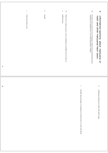| $47\,$ | $\mathrel{\circ}$<br>where and when to use: | $\mathbf{\sigma}$<br>dosage: | $\boldsymbol{\omega}$<br>$\overline{51}$<br>method of use:<br>What advice would you give a novice marijuana (or hashish) user in terms of: |                                                                                        | $\overline{5}0$<br>$\boldsymbol{\times}$<br>Over the course of your own use of marijuana, which sources of information about marijuana (or hashish) have you found particularly reliable?<br>hash and other marijuana/hash users<br>Information/opinions about marijuana<br>$\overline{a}$ |  |
|--------|---------------------------------------------|------------------------------|--------------------------------------------------------------------------------------------------------------------------------------------|----------------------------------------------------------------------------------------|--------------------------------------------------------------------------------------------------------------------------------------------------------------------------------------------------------------------------------------------------------------------------------------------|--|
| $48\,$ |                                             |                              |                                                                                                                                            | $\spadesuit$<br>possible disadvantages of marijuana (or hash) & how to deal with them: | $\mathbf{r}$<br>combining marijuana (or hash) with other drugs:                                                                                                                                                                                                                            |  |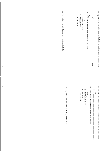|                    | 52c<br>Why did you persuade them not to try marijuana (or hash)? | 52a<br>52b<br>$\frac{1}{2}$<br>Have you ever persuaded someone who had never tried marijuana (or hash) <i>not</i> to try $\text{it}$ ?<br><b>if yes</b><br>Whom did you persuade not to try marijuana (or hash)?<br>$\sim$ $-$<br>coworkers<br>others, specify!<br>$_{\rm res}^{\rm yes}$<br>friends<br>spouse/lover/partner<br>family members                                                                                                                                    |
|--------------------|------------------------------------------------------------------|-----------------------------------------------------------------------------------------------------------------------------------------------------------------------------------------------------------------------------------------------------------------------------------------------------------------------------------------------------------------------------------------------------------------------------------------------------------------------------------|
| $\epsilon_{\rm P}$ |                                                                  | 53a                                                                                                                                                                                                                                                                                                                                                                                                                                                                               |
| $\mathbf{S}$       | 53c<br>Why did you encourage them to try marijauna (or hash)?    | 53b<br>53a<br>Whom did you encourage to use marijuana (or hashish)?<br>$\ensuremath{\mathsf{u}}\xspace$ $\ensuremath{\mathsf{u}}\xspace$<br>$\ensuremath{\mathsf{u}}\xspace$ $\ensuremath{\mathsf{u}}\xspace$ $\ensuremath{\mathsf{u}}\xspace$<br>$\overline{a}$<br>Have you ever encouraged someone who'd never tried marijuana (or hash) to do so?<br>$\underset{\text{res}}{\text{res}}$<br>others, specify!<br>spouse/lover/partner<br>family members<br>coworkers<br>friends |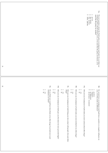- 54aThe next question is about the Dutch policy on marijuana (and hash). Do you think our marijuana policy should remain as it is, or be more like the policy for heroin, or be more like the policy for alcohol? The next question is about the Dutch policy on marijuana (and hash). Do you think our more like the policy for alcohol? marijuana policy should remain as it is, or be more like the policy for heroin, or be
- as it is
- ب ص
- like alcohol like heroin
- 43 ⊭ other, specify:

- Do current laws on marijuana (and hash) have a positive or a negative influence on you, or do they make no difference? Do current laws on marijuana (and hash) have a positive or a negative influence on you, or do they make no difference?
- positive

54b

- $\overline{c}$  $\overline{a}$
- no difference negative

دى

- $\circ$ do not know / no answer do not know / no answer
- 55a Did your use of marijuana (or hash) make you more curious about other drugs? Did your use of marijuana (or hash) make you more curious about other drugs?
- $\overline{2}$ no yes
- 55bDid your use of marijuana (or hash) make you more inclined to try other drugs? Did your use of marijuana (or hash) make you more inclined to try other drugs?
- no yes  $\overline{\phantom{a}}$

 $\overline{c}$ 

- 55c Did your use of marijuana (or hash) bring you into contact with people who used other Did your use of marijuana (or hash) bring you into contact with people who used other drugs?
- $\overline{v}$ no yes
- 55d Did your use of marijuana (or hash) give you the desire for more powerful highs? Did your use of marijuana (or hash) give you the desire for more powerful highs?
- 
- $\overline{2}$ no yes
- 55eDo you think you would have been likely to try other drugs if you had never used marijuana (or hash)? Do you think you would have been likely to try other drugs if you had never used marijuana (or hash)?
- ب ص no yes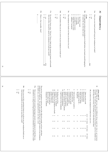|    |                                          |                                                                                                                                                             |                                |                                                                                                                                                                                    | 576<br>⊕<br>What is that monthly limit?                                                                                                                                                                                                                            | $\sim$ $-$<br>yes<br>F<br><b>97b</b><br>89 | 57a<br>Do you [if no longer using, "Did you"] have a limit on the amount of money each month<br>that you allow yourself to spend on marijuana (or hash) per month? | $\overline{\mathsf{c}}$<br>ă<br>yes                                                                                                                                                                                 | <b>56d</b><br>Do you believe that you are in control of your marijuana (or hash) use? | $\frac{1}{2}$<br>ā<br>yes                                                                                                   | 56c<br>Has marijuana (or hash) ever been an obsession for you?                                | $\circ$<br>GП<br>4<br>unknown / no answer<br>6 months to two years<br>longer than two years | $\omega$<br>$\overline{c}$<br>1 to 4 weeks<br>1 to 6 months | $\overline{\phantom{a}}$<br>less than 1 week   | 560<br>it? (since the very first time of use)<br>How long had you been using marijuana (or hash) before you found yourself longing for<br>if yes                       | I<br>2<br>$\rm ^s$<br>$_{\lambda \rm es}$<br>pod       | 56a<br>Have you ever found yourself longing for marijuana (or hash)?<br><b>Dependency</b>                                                                                                                                                                | $\geq$ |
|----|------------------------------------------|-------------------------------------------------------------------------------------------------------------------------------------------------------------|--------------------------------|------------------------------------------------------------------------------------------------------------------------------------------------------------------------------------|--------------------------------------------------------------------------------------------------------------------------------------------------------------------------------------------------------------------------------------------------------------------|--------------------------------------------|--------------------------------------------------------------------------------------------------------------------------------------------------------------------|---------------------------------------------------------------------------------------------------------------------------------------------------------------------------------------------------------------------|---------------------------------------------------------------------------------------|-----------------------------------------------------------------------------------------------------------------------------|-----------------------------------------------------------------------------------------------|---------------------------------------------------------------------------------------------|-------------------------------------------------------------|------------------------------------------------|------------------------------------------------------------------------------------------------------------------------------------------------------------------------|--------------------------------------------------------|----------------------------------------------------------------------------------------------------------------------------------------------------------------------------------------------------------------------------------------------------------|--------|
| 53 |                                          |                                                                                                                                                             |                                |                                                                                                                                                                                    |                                                                                                                                                                                                                                                                    |                                            |                                                                                                                                                                    |                                                                                                                                                                                                                     |                                                                                       |                                                                                                                             |                                                                                               |                                                                                             |                                                             |                                                |                                                                                                                                                                        |                                                        |                                                                                                                                                                                                                                                          |        |
| 54 | $\sim$<br>$\overline{\mathtt{S}}$<br>yes | <b>969</b><br>Have you ever felt a persistent desire to cut down on your marijuana (hash) use or<br>tried unsuccessfully to cut down, for more than a week? | Z<br>$\overline{}$<br>ă<br>yes | 59a<br>Have you ever found yourself using larger amounts of marijuana (or hash) than you<br>intended to or using it for longer periods than you intended to, for more than a week? | (or hash) use, you've ever experienced it for more than a week.<br>The next few questions concern some of the <i>difficulties</i> people can have with their marijuana (or hash) use. For each one, please tell me if, over the course of your marijuana marijuana |                                            | like in order to get<br>marijuana (or hashish)<br>situation you did not<br>people or been in a                                                                     | 12<br>13<br>$\Xi$<br>Hung around with<br>Stealing cars to buy<br>marijuana (or hashish)<br>Trading sex for marijuana (or hash)<br>I<br>$\overline{\phantom{a}}$<br>N N<br>2<br>ယ ယ<br>ω<br>$\overline{4}$<br>₳<br>4 | $\overline{C}$<br>Engaged in prostitution<br>to get money to buy marijauna<br>↵       | $\circ$<br>Stolen marijuana (or hashish)<br>checks to buy marijuana<br>Forged or passed a bad<br>$\frac{2}{3}$<br>ယ ယ<br>44 | $\infty$ $\sim$<br>Commited burglary<br>marijuana (or hash)<br>$\frac{2}{3}$<br>ယ ယ<br>4<br>4 | $\mathsf{\sigma}$<br>pay for your own<br>Sold marijuana (or hash) to<br>$\sim$<br>ယ<br>4    | GП<br>Shoplifted<br>Z<br>ω<br>4                             | or friends to buy M<br>Stolen from family<br>4 | $-1004$<br>Sold possessions<br>Borrowed money<br>Taken on extra work<br>never 1-2 times<br><b>2222</b><br>3-10 times<br>$\omega$ $\omega$ $\omega$<br>ပ<br>$>10$ times | OK, in order to buy marijuana (or hash), have you ever | 58<br>Now I'd like to read you a list of different <i>things people have done to get marijuana</i> (or hash). For each one, please tell me if you've ever done it, and if so whether you did it only once or twice, 3 to 10 times, or mo<br>show card 15 |        |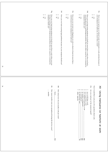|    |                                        | 366                                                                                                                                                                                        |                                                                                              | 39f                                                                              |                        | 59 <sub>e</sub>                                                                                                                   |                                                                                                  | P6S                                                                                                                                                                                               |                                                                |                                                         | 59c                                                                                                                                         |
|----|----------------------------------------|--------------------------------------------------------------------------------------------------------------------------------------------------------------------------------------------|----------------------------------------------------------------------------------------------|----------------------------------------------------------------------------------|------------------------|-----------------------------------------------------------------------------------------------------------------------------------|--------------------------------------------------------------------------------------------------|---------------------------------------------------------------------------------------------------------------------------------------------------------------------------------------------------|----------------------------------------------------------------|---------------------------------------------------------|---------------------------------------------------------------------------------------------------------------------------------------------|
| 55 | $\frac{1}{2}$<br>$\overline{a}$<br>yes | having recurring social or interpersonal problems that were caused or worsened by marijuana (hash) use?<br>Have you ever kept using marijuana (or hash) for more than a week when you were | Z<br>$\overline{\mathbf{c}}$<br>yes                                                          | Have you ever had recurring legal problems because of your marijuana (hash) use? | $\sim$ $-$<br>ă<br>yes | Have you ever not met your obligations at work or school or home for more than a<br>week because of your marijuana (or hash) use? | N<br>I<br>ă<br>yes                                                                               | Have you ever kept using marijuana (or hash) for more than a week when you had a<br>recurring physical or psychological problem that was either caused by or worsened by<br>marijuana (hash) use? | $\sim$<br>ā                                                    | $_{\rm Yes}$                                            | your marijuana (or hash) use, for more than a week?<br>Have you ever given up or reduced social, recreational or work activities because of |
| 56 |                                        | $60c$<br>How many months were you unemployed during the last two years?<br>$\vdots$<br>months                                                                                              | q <sub>0</sub> p<br>How many hours do you usually work per week?<br>$\ddot{\cdot}$<br>hours. |                                                                                  |                        |                                                                                                                                   | $\cup \cup \rightarrow \cup \cup \cup$<br>no, unemployed<br>other, specify:<br>no, housewife/man | $\overline{\phantom{a}}$<br>no, student, unemployed<br>yes, student & part-time work<br>yes, in part-time work<br>yes, in full-time work                                                          | e <sub>0</sub> g<br>⋗<br>re you employed at the moment (paid)? | Now I would like to ask you a few questions about work. | ≚<br>Using marijuana (or hashish) at work                                                                                                   |

62e

e 8 8 8<br>5 8 8 8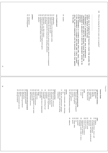| 20<br>non-management                                                                                                                                                                                  | $\Box$<br>position<br>management                                                                                                                                   | 88388<br>60<br>8<br>$\Omega$<br>$\Box$<br>intermediate (in a broad sense) in private sector (agents, directors of companies)<br>mondun<br>independent + any other category<br>employed in private sector<br>family member of an independent worker<br>independent<br>unemployed/unfit for labour/retired/etc.<br>government<br>semi-governmental (in a broad sense, including education)<br>temporary jobs through a private employment agency | way of employment<br>$\infty$<br>student                                                                                                                                    | P <sub>09</sub><br>What was during the last two years your occupation?<br>plus the way of employment and the business cluster that applies<br>If the respondent is a student with other jobs: check "student"<br>employed.<br>If the respondent is a student without other jobs: check "student".<br>respondent is educated or in which the respondent wishes to be<br>If respondent is unemployed, check way of employment<br>Check way of employment and business cluster that provides the<br>to the jobs.<br>largest amount of the income.<br>"bemployed"<br>and check the business cluster for which the |
|-------------------------------------------------------------------------------------------------------------------------------------------------------------------------------------------------------|--------------------------------------------------------------------------------------------------------------------------------------------------------------------|------------------------------------------------------------------------------------------------------------------------------------------------------------------------------------------------------------------------------------------------------------------------------------------------------------------------------------------------------------------------------------------------------------------------------------------------|-----------------------------------------------------------------------------------------------------------------------------------------------------------------------------|---------------------------------------------------------------------------------------------------------------------------------------------------------------------------------------------------------------------------------------------------------------------------------------------------------------------------------------------------------------------------------------------------------------------------------------------------------------------------------------------------------------------------------------------------------------------------------------------------------------|
| $\mathfrak{b}4$<br><b>a</b><br>Sang<br>ନ<br>semi-government<br>other governmental services<br>defense<br>international government<br>legal power<br>general government<br>ernment and semi-government | 50<br>$\mathbf{f}$<br>$48\,$<br>$47\,$<br>other business services<br>computerwold<br>trade en exploitation of real estate<br>banking and insurance<br>architecture | 94<br>ਨੀ<br>ਹ<br>44<br>$43\,$<br>$\sharp 2$<br>$\ddot{41}$<br>$\mathfrak{g}$<br><b>SHS</b><br>design<br>journalists<br>press agencies (news), independent<br>consultants<br>advertising, marketing en pr-<br>consultants<br>economic and organisational<br>technical consultants<br>accountants, tax-services<br>legal services (lawyers)<br>iness services                                                                                    | $\tilde{5}$<br>services<br>$\infty$<br>companies)<br>painters, other service providing<br>repair and maintenance (garages,<br>etc.<br>hotels, restaurants, cafés, dancings, | $05\,$<br>$2\, \mathrm{S}$<br>$\mathbf{a}_{\mathrm{DT}}^{\mathrm{opt}}$<br>2223<br>$\overline{\text{O}}$<br>$\overline{c}$<br>Ξ<br>trade<br>business cluster<br>胃<br>PTT and communication companies<br>travel agencies<br>aviation<br>(inland) navigation<br>transport (incl. public transport)<br>sport and communication<br>retail<br>wholesale<br>(handi)crafts<br>public utilities<br>construction<br>industry<br>fishing<br>agriculture<br>culture and industry                                                                                                                                         |

57

58

81

**other**<br>828 8288<br>Baras 829

education

 social or social-cultural social services medical world

organisations (politics) publishers, press, radio, tv (news

excluded)

89

research

monokum 66 unknown

 $\%$  sports 92<br>1<br>1<br>1<br>1<br>1

culture other

religion

education (basic-, lower- and

secondary education)

university and higher professional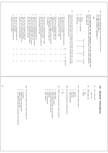|                                                                                                                                      |                                                                                                                                                                |                                                                                                                                                                                                                                                                     |                                                                                                                                                                   |                                                                                                                                                                                                                   |                                                                                                                                                         | S                                                                                                                                                                                                                                                                                             | 5                                                                                                                                                                                               | 60e                                                                                                                     |
|--------------------------------------------------------------------------------------------------------------------------------------|----------------------------------------------------------------------------------------------------------------------------------------------------------------|---------------------------------------------------------------------------------------------------------------------------------------------------------------------------------------------------------------------------------------------------------------------|-------------------------------------------------------------------------------------------------------------------------------------------------------------------|-------------------------------------------------------------------------------------------------------------------------------------------------------------------------------------------------------------------|---------------------------------------------------------------------------------------------------------------------------------------------------------|-----------------------------------------------------------------------------------------------------------------------------------------------------------------------------------------------------------------------------------------------------------------------------------------------|-------------------------------------------------------------------------------------------------------------------------------------------------------------------------------------------------|-------------------------------------------------------------------------------------------------------------------------|
| Β                                                                                                                                    | j<br>$\overline{\pi}$                                                                                                                                          | ⊶.<br>Ļ<br>œ                                                                                                                                                                                                                                                        | Ŧ<br>$\, \sigma$                                                                                                                                                  | p<br>$\mathrel{\circ}$                                                                                                                                                                                            | σ<br>p                                                                                                                                                  | $\alpha$<br>a n                                                                                                                                                                                                                                                                               |                                                                                                                                                                                                 | ゠<br>≒                                                                                                                  |
| Has your use of marijuana (hash) ever<br>helped you financially?<br>Has your use of marijuana (hash) ever<br>harmed you financially? | improved your sexual relationships?<br>harmed your sexual relationships?<br>Has your use of marijuana (hash) use ever<br>Has your use of marijuana (hash) ever | the cause of a break-up or divorce?<br>Has your use of marijuana (hash) ever been<br>improved your relationship with your partner?<br>Has your use of marijuana (hash) ever<br>Has your use of marijuana (hash) ever<br>harmed your relationship with your partner? | be more productive at work?<br>Did your use of marijuana (hash) ever help you<br>you miss one or more days of work?<br>Did your use of marijuana (hash) ever make | supervisor or coworkers?<br>improve your relationship with your<br>or coworkers?<br>your relationship with your supervisor<br>Did your use of marijuana (hash) ever harm<br>Did your use of marijuana (hash) ever | reduce the quality of your work?<br>Did your use of marijuana (hash) ever<br>the quality of your work?<br>Did your use of marijuana (hash) ever improve | Some people say that the use of marijuana (or hashish) will affect the way one<br>influences here. Just answer yes or no.<br>performs at work and in other areas of life. I have a few questions about possible<br>other drug:<br>marijuana (or hashish)<br>cocaine<br>alcohol<br><b>2022</b> | When at work, have you ever been under the influence of one of these substances?<br>show card 15<br>If the respondent has been employed in the last three months, ask<br>jobs<br>never<br>$1-2$ | How many different jobs have you had in the last two years?<br>1 job (current job): 1<br>2 jobs (current + previous): 2 |
|                                                                                                                                      |                                                                                                                                                                |                                                                                                                                                                                                                                                                     | $\overline{\phantom{0}}$                                                                                                                                          | $\overline{\phantom{0}}$<br>$\overline{\phantom{0}}$                                                                                                                                                              | yes                                                                                                                                                     |                                                                                                                                                                                                                                                                                               | times                                                                                                                                                                                           |                                                                                                                         |
| $\sim$<br>N                                                                                                                          | $\sim$<br>Z                                                                                                                                                    | Z<br>2<br>2                                                                                                                                                                                                                                                         | 2<br>Z                                                                                                                                                            | Z<br>Z                                                                                                                                                                                                            | $5\sigma$<br>Z                                                                                                                                          | $\omega$<br>ς<br>ω<br>ω                                                                                                                                                                                                                                                                       | 3-10 times                                                                                                                                                                                      |                                                                                                                         |
| ω<br>ω                                                                                                                               | ω<br>ω                                                                                                                                                         | ω<br>ω<br>ω                                                                                                                                                                                                                                                         | ω<br>ω                                                                                                                                                            | ω<br>ပ                                                                                                                                                                                                            | not applicable<br>ω                                                                                                                                     |                                                                                                                                                                                                                                                                                               | $\vee$<br>10 times                                                                                                                                                                              |                                                                                                                         |
|                                                                                                                                      |                                                                                                                                                                |                                                                                                                                                                                                                                                                     |                                                                                                                                                                   |                                                                                                                                                                                                                   |                                                                                                                                                         |                                                                                                                                                                                                                                                                                               |                                                                                                                                                                                                 |                                                                                                                         |

 $\leq$ General information

63 *How old*are you?

........years old ........years old

64 Write down sex Write down sex

 $\overline{c}$  female male

65a What is your marital status? What is your marital status?

 $\overline{\phantom{a}}$ married

4 22 4 widowed divorced

single/unmarried

අ Do you currently have a steady *partner*?

 $\overline{v}$ yes no

65cWhat is your current living situation at home? What is your current *living situation*at home?

living alone

 $\overline{a}$ 

 $\overline{v}$ living with a partner

living without a partner, but with children

living alone<br>hiving with a partner<br>hiving without a partner, but with children<br>hiving with others, none a partner<br>commune, living with others, none a partner

commune

4 IU

 $\omega$ 

ى ب living with parents

other,

specify:

65<br>O Do you have *children*? If so, where do they live?

no children

4 U U 4 children living with respondent

children living elsewhere

some children living with respondent, some elsewhere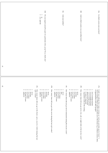| $\mathbf{5}$ |                                                                                                                                                                                                                                   | p <sub>99</sub><br>Do you regard yourself as part of a particular ethnic group? If so, which one?<br>$\sim$ $-$<br>yes, specify:<br>$\overline{a}$                                                                                     | $66c$<br>And your mother?                                                                                                                                                                                                                                                                                                                                 | <b>eb</b><br>And in which country was your father born?                                                                                                                                                                                                                                                                                                                                                                          | egg<br>In which country were you born?                                                                                                                                                                                     |
|--------------|-----------------------------------------------------------------------------------------------------------------------------------------------------------------------------------------------------------------------------------|----------------------------------------------------------------------------------------------------------------------------------------------------------------------------------------------------------------------------------------|-----------------------------------------------------------------------------------------------------------------------------------------------------------------------------------------------------------------------------------------------------------------------------------------------------------------------------------------------------------|----------------------------------------------------------------------------------------------------------------------------------------------------------------------------------------------------------------------------------------------------------------------------------------------------------------------------------------------------------------------------------------------------------------------------------|----------------------------------------------------------------------------------------------------------------------------------------------------------------------------------------------------------------------------|
| $62\,$       | $67e$<br>$-0.040$ $-0.0$<br>How many times did you go to the <i>theater, opera, concerts or ballet</i> during the last $eight$ weeks?<br>uwouyun<br>10 times or more<br>$4$ to $9$ times<br>one time<br>never<br>$2$ or $3$ times | $\mathsf{P}\mathsf{Z}\mathsf{9}$<br>$-1$ $\omega$ $+$ $\omega$ $\infty$<br>How many times did you go to the movies during the last eight weeks?<br>monoun<br>$4$ to $9$ times<br>one time<br>never<br>10 times or more<br>2 or 3 times | $67c$<br>$\begin{array}{c}\n - & \mathcal{U} & \mathcal{U} & \mathcal{U} & \mathcal{U} & \mathcal{U} & \mathcal{U}\n \end{array}$<br>How many times did you go out to restaurants during the last four weeks?<br>п О<br>uwouyun<br>10 times or more<br>$4$ to $9$ times<br>once<br>never<br>unknown<br>10 times or more<br>$4$ to 9 times<br>2 or 3 times | $^{67}$<br>$\rightarrow$ $\sim$ $\sim$ $\rightarrow$<br>How many times did you go out to a bar, cafe, or night clubs in the last four weeks?<br>$\begin{array}{c}\n - & \alpha & \omega & \pi & \pi & \pi\n\end{array}$<br>one time<br>never<br>respondent works in the evening<br>it varies/it depends<br>almost never at home<br>1 or 2 evenings at home<br>5 to 7 evenings at home<br>3 or 4 evenings at home<br>2 or 3 times | $67a$<br>Could you indicate how many <i>evenings per week you generally spend at home?</i> I mean evenings without regular activities out of the house (e.g. without courses, dates,<br>or appointments with other people? |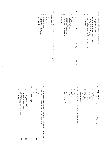|                |                                                                                                                                                                                                                                                                                                 | $\begin{array}{c}\n 1 & \omega & \omega & \omega & \omega & \omega\n \end{array}$<br>no answer<br>other, specify:<br>graduate or professional school<br>4-year college or university<br>community college<br>vocational training<br>$\overline{a}$<br>high school | 68c<br>you did not finish?<br>Apart from what you have completed or are enrolled in, did you had any education | 2345679<br>$\overline{\phantom{a}}$<br>graduate or professional school<br>4-year college or university<br>no answer<br>other, specify:<br>community college<br>completing high school<br>$\overline{a}$<br>vocational training | <b>68b</b><br>Are you currently enrolled in any formal educational program? If yes, what level? | 68a<br>12345679<br>How much formal education have you completed?<br>no answer<br>elementary school/8th grade<br>other, specify:<br>graduate degree (master's or doctorate or law school)<br>4-year college or university degree<br>post-high school vocational school graduate<br>high school graduate<br>2-year or community college degree                     |  |
|----------------|-------------------------------------------------------------------------------------------------------------------------------------------------------------------------------------------------------------------------------------------------------------------------------------------------|-------------------------------------------------------------------------------------------------------------------------------------------------------------------------------------------------------------------------------------------------------------------|----------------------------------------------------------------------------------------------------------------|--------------------------------------------------------------------------------------------------------------------------------------------------------------------------------------------------------------------------------|-------------------------------------------------------------------------------------------------|------------------------------------------------------------------------------------------------------------------------------------------------------------------------------------------------------------------------------------------------------------------------------------------------------------------------------------------------------------------|--|
| $\mathbb{S}^3$ |                                                                                                                                                                                                                                                                                                 |                                                                                                                                                                                                                                                                   |                                                                                                                |                                                                                                                                                                                                                                |                                                                                                 |                                                                                                                                                                                                                                                                                                                                                                  |  |
| 64             | 40Z<br>$\blacktriangle$<br>$\frac{1}{2}$<br>mо<br>maximum of 3 answers<br>For which substance(s)?<br>$\mathcal{H}$ yes<br>yes, for sleeping pills or tranquilizers<br>yes, heroin or other opiates<br>yes, alcohol.<br>yes,<br>yes, cocaine<br>yes, marijuana (or hash)<br>for [other]<br>72827 | 70a<br>Did you inquire about or receive any treatment or counseling for a drug or alcohol<br>$\frac{1}{2}$<br>problem in the last two years, including any 12-step group?<br>$\chi$ es<br>$\overline{\mathtt{S}}$<br>Ά                                            |                                                                                                                | といす<br>ω<br>$\circ$<br>$\sim$<br>$\overline{\phantom{a}}$<br>other, specify:<br>studiefinanciering<br>MMY<br>RWW/bijstand<br>none<br><b>OVM</b><br>$\mathbbm{M}$ $\mathbbm{M}$                                                 | 969<br>Which social welfare benefits do you currently receive?                                  | e <sub>69</sub><br>What was your average monthly income in 1994, net, after taxes?<br>$\infty$<br>$\sim$ $\sim$<br>40<br>$\frac{1}{2}$<br>show card 16<br>more than f6.000<br>f5.000 - f6.000<br>f4.000 - <i>f</i> 5.000<br>$\begin{array}{c} f1.000-f1.500 \\ f1.500-f2.000 \end{array}$<br>< f1.000<br>f3.000 - f4.000<br>$f2.500 - f3.000$<br>f2.000 - f2.500 |  |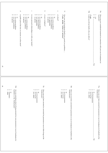|    |                                                       | မ<br>စ<br>$\sim$ $-$<br>no answer<br>yes, minor problems<br>yes, serious problems<br>5                                              | $\mathbf{r}$<br>in public places like bars or concerts or on the street? | $\overline{\phantom{a}}$<br>no answer<br>yes, minor problems<br>yes, serious problems<br>ă | $\cap$<br>in your personal relationships or with your family? | 9<br>$\omega$ $\sim$ $-$<br>$\infty$<br>no answer<br>not applicable<br>yes, minor problems<br>yes, serious problems | $\mathbf{\sigma}$<br>at your workplace?<br>$\overline{a}$                                                | $\infty$<br>$\frac{1}{2}$<br>not applicable<br>$\overline{a}$<br>no answer<br>yes, minor problems<br>yes, serious problems | g<br>at school? | 71<br>Has your use of marijuana (hash) ever caused you problems<br><b>if yes, probe "minor or serious"</b> |                                                                                                         | POZ<br>Could you tell me briefly why you did so?<br>if yes                              | $\sim$<br>Ţ<br>$_{\chi e s}$<br>$\overline{5}$ | $70\mathrm{c}$<br>Have you ever considered treatment in connection with your use of marijuana (or hashish)? |  |
|----|-------------------------------------------------------|-------------------------------------------------------------------------------------------------------------------------------------|--------------------------------------------------------------------------|--------------------------------------------------------------------------------------------|---------------------------------------------------------------|---------------------------------------------------------------------------------------------------------------------|----------------------------------------------------------------------------------------------------------|----------------------------------------------------------------------------------------------------------------------------|-----------------|------------------------------------------------------------------------------------------------------------|---------------------------------------------------------------------------------------------------------|-----------------------------------------------------------------------------------------|------------------------------------------------|-------------------------------------------------------------------------------------------------------------|--|
| e5 |                                                       |                                                                                                                                     |                                                                          |                                                                                            |                                                               |                                                                                                                     |                                                                                                          |                                                                                                                            |                 |                                                                                                            |                                                                                                         |                                                                                         | 21a                                            |                                                                                                             |  |
| 99 | $\frac{1}{2}$<br>often<br>sometimes<br>$\overline{a}$ | 72d<br>Are you some<br>times $afruid$ of being arrested for your possession or use of marijuana<br>(or hashish) in the Netherlands? |                                                                          |                                                                                            |                                                               | 4001<br>yes, other:<br>yes, for possession<br>yes, for use<br>$\overline{a}$                                        | 72c<br>Have you ever been arrested or convicted for possession or use of other drugs in the Netherlands? |                                                                                                                            |                 | $- 0 0 0 $<br>yes, other:<br>yes, for possession<br>yes, for use<br>$\overline{a}$                         | Z2b<br>Have you ever been convicted for possession or use of marijuana (or hashish) in the Netherlands? | $\frac{1}{2} \alpha \alpha \beta$<br>yes, other:<br>yes, for possession<br>yes, for use | $\overline{a}$<br>72c                          | 72a<br>Have you ever been arrested for possession or use of marijuana (or hashish) in the<br>Netherlands?   |  |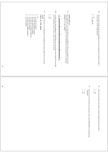|                                                                                                                                                                                                                                            | $\mathcal{Z}% _{M_{1},M_{2}}^{\alpha,\beta}(\varepsilon)$                                                      |                            | $72\mathrm{g}$                                                                                                                                       |                                                                                                                                                                                                                                                                                                                                                                                                                                                                                                                           | 72f                                                                                                                                                                                                                                                                               |                           |                                                                                                               |                                                  | 72e                                                                                                                           |  |
|--------------------------------------------------------------------------------------------------------------------------------------------------------------------------------------------------------------------------------------------|----------------------------------------------------------------------------------------------------------------|----------------------------|------------------------------------------------------------------------------------------------------------------------------------------------------|---------------------------------------------------------------------------------------------------------------------------------------------------------------------------------------------------------------------------------------------------------------------------------------------------------------------------------------------------------------------------------------------------------------------------------------------------------------------------------------------------------------------------|-----------------------------------------------------------------------------------------------------------------------------------------------------------------------------------------------------------------------------------------------------------------------------------|---------------------------|---------------------------------------------------------------------------------------------------------------|--------------------------------------------------|-------------------------------------------------------------------------------------------------------------------------------|--|
| 12345678<br>yes, from some family members<br>yes, from <b>other:</b><br>yes, from my teachers<br>yes, from my coworkers /employer<br>yes, from some of my friends<br>yes, from my partner/spouse<br>yes, from my parents<br>$\overline{a}$ | Do you hide your use of marijuana (or hashish) from some people? If you do, from whom?<br>check all that apply | Z<br>$_{\rm Nes}^{\rm NS}$ | In order to buy the marijuana (or hash) that you use (or have used if quit), do you (did<br>you) sometimes have to have contact with real criminals? | very<br>unlikely<br>$\sim$<br>$\omega$<br>$\sigma$<br>$\frac{1}{\frac{1}{\log \frac{1}{\log \frac{1}{\log \frac{1}{\log \frac{1}{\log \frac{1}{\log \frac{1}{\log \frac{1}{\log \frac{1}{\log \frac{1}{\log \frac{1}{\log \frac{1}{\log \frac{1}{\log \frac{1}{\log \frac{1}{\log \frac{1}{\log \frac{1}{\log \frac{1}{\log \frac{1}{\log \frac{1}{\log \frac{1}{\log \frac{1}{\log \frac{1}{\log \frac{1}{\log \frac{1}{\log \frac{1}{\log \frac{1}{\log \frac{1}{\log \frac{1}{\log \frac{1}{\log \frac{1}{$<br>$\circ$ | On a scale from 1 to 6, how likely do you think it is that you will get <i>arrested</i> for possession or use of marijuana in the Netherlands at some point? (1 is extremely possession or use of marijuana in the Netherlands at<br>show card 17<br>unlikely, 6 is very likely). |                           |                                                                                                               | 1<br>2<br>yes, specify:<br>$\rm s$               | Do you take certain <i>precultions</i> regarding your use of marijuana (or hash) in order to avoid arrest in the Netherlands? |  |
|                                                                                                                                                                                                                                            |                                                                                                                |                            |                                                                                                                                                      |                                                                                                                                                                                                                                                                                                                                                                                                                                                                                                                           |                                                                                                                                                                                                                                                                                   | $\frac{1}{2}$<br>ă<br>yes | $2\overline{2}$<br>counselor?<br>Have you ever received any assistance from a psychotherapist or professional | $\sim$ $\sim$<br>$\overline{a}$<br>$_{\chi e s}$ | 74<br>Have you ever been convicted of a felony during the last four years?                                                    |  |

67

68